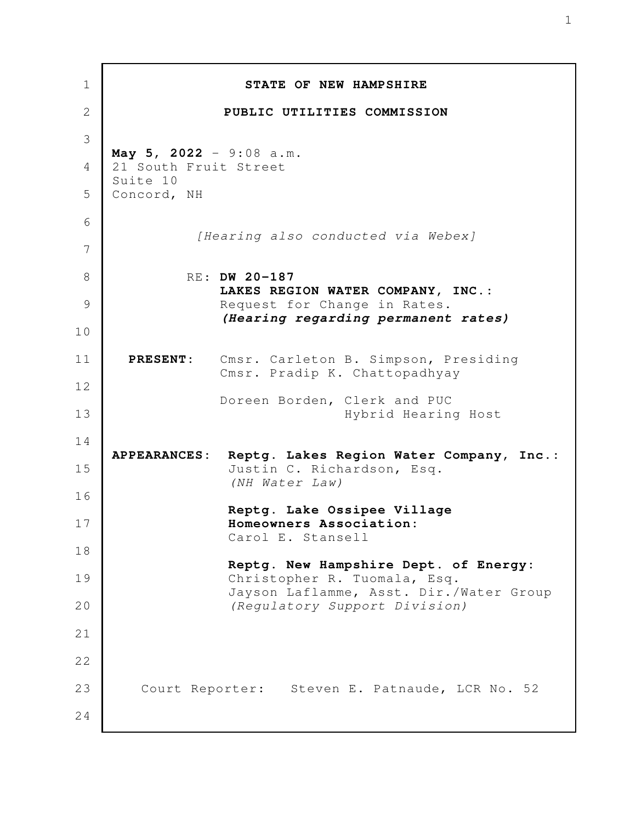| 1        | STATE OF NEW HAMPSHIRE                                                                                          |
|----------|-----------------------------------------------------------------------------------------------------------------|
| 2        | PUBLIC UTILITIES COMMISSION                                                                                     |
| 3        | May 5, 2022 - 9:08 a.m.                                                                                         |
| 4        | 21 South Fruit Street<br>Suite 10                                                                               |
| 5        | Concord, NH                                                                                                     |
| 6<br>7   | [Hearing also conducted via Webex]                                                                              |
| 8        | RE: DW 20-187                                                                                                   |
| 9        | LAKES REGION WATER COMPANY, INC.:<br>Request for Change in Rates.                                               |
| 10       | (Hearing regarding permanent rates)                                                                             |
| 11<br>12 | Cmsr. Carleton B. Simpson, Presiding<br><b>PRESENT:</b><br>Cmsr. Pradip K. Chattopadhyay                        |
| 13       | Doreen Borden, Clerk and PUC<br>Hybrid Hearing Host                                                             |
| 14<br>15 | Reptg. Lakes Region Water Company, Inc.:<br><b>APPEARANCES:</b><br>Justin C. Richardson, Esq.<br>(NH Water Law) |
| 16<br>17 | Reptg. Lake Ossipee Village<br>Homeowners Association:                                                          |
| 18       | Carol E. Stansell                                                                                               |
| 19       | Reptg. New Hampshire Dept. of Energy:<br>Christopher R. Tuomala, Esq.                                           |
| 20       | Jayson Laflamme, Asst. Dir./Water Group<br>(Regulatory Support Division)                                        |
| 21       |                                                                                                                 |
| 22       |                                                                                                                 |
| 23       | Court Reporter: Steven E. Patnaude, LCR No. 52                                                                  |
| 24       |                                                                                                                 |
|          |                                                                                                                 |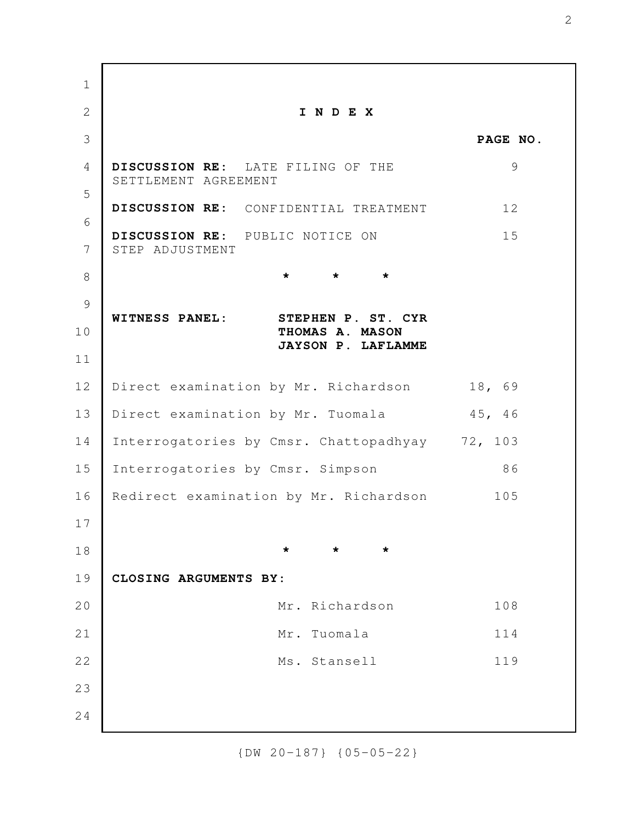**I N D E X PAGE NO. DISCUSSION RE:** LATE FILING OF THE 9 SETTLEMENT AGREEMENT **DISCUSSION RE:** CONFIDENTIAL TREATMENT 12 **DISCUSSION RE:** PUBLIC NOTICE ON 15 STEP ADJUSTMENT **\* \* \* WITNESS PANEL: STEPHEN P. ST. CYR THOMAS A. MASON JAYSON P. LAFLAMME** Direct examination by Mr. Richardson 18, 69 Direct examination by Mr. Tuomala 45, 46 Interrogatories by Cmsr. Chattopadhyay 72, 103 Interrogatories by Cmsr. Simpson 86 Redirect examination by Mr. Richardson 105 **\* \* \* CLOSING ARGUMENTS BY:**  Mr. Richardson 108 Mr. Tuomala 114 Ms. Stansell 119 1 2 3 4 5 6 7 8 9 10 11 12 13 14 15 16 17 18 19 20 21 22 23 24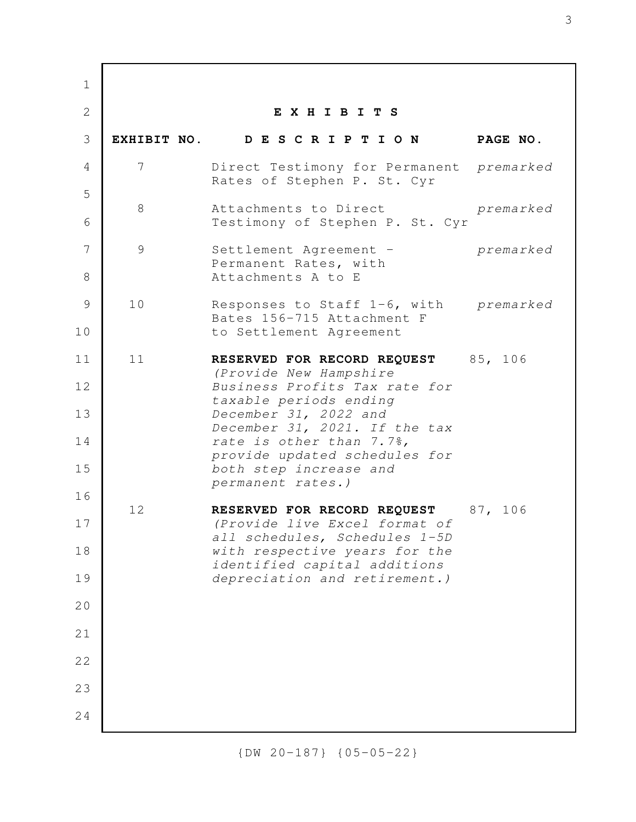**E X H I B I T S EXHIBIT NO. D E S C R I P T I O N PAGE NO.** 7 Direct Testimony for Permanent *premarked* Rates of Stephen P. St. Cyr 8 Attachments to Direct *premarked* Testimony of Stephen P. St. Cyr 9 Settlement Agreement - *premarked* Permanent Rates, with Attachments A to E 10 Responses to Staff 1-6, with *premarked* Bates 156-715 Attachment F to Settlement Agreement 11 RESERVED FOR RECORD REQUEST 85, 106 *(Provide New Hampshire Business Profits Tax rate for taxable periods ending December 31, 2022 and December 31, 2021. If the tax rate is other than 7.7%, provide updated schedules for both step increase and permanent rates.)* 12 **RESERVED FOR RECORD REQUEST** 87, 106 *(Provide live Excel format of all schedules, Schedules 1-5D with respective years for the identified capital additions depreciation and retirement.)* 1 2 3 4 5 6 7 8 9 10 11 12 13 14 15 16 17 18 19 20 21 22 23 24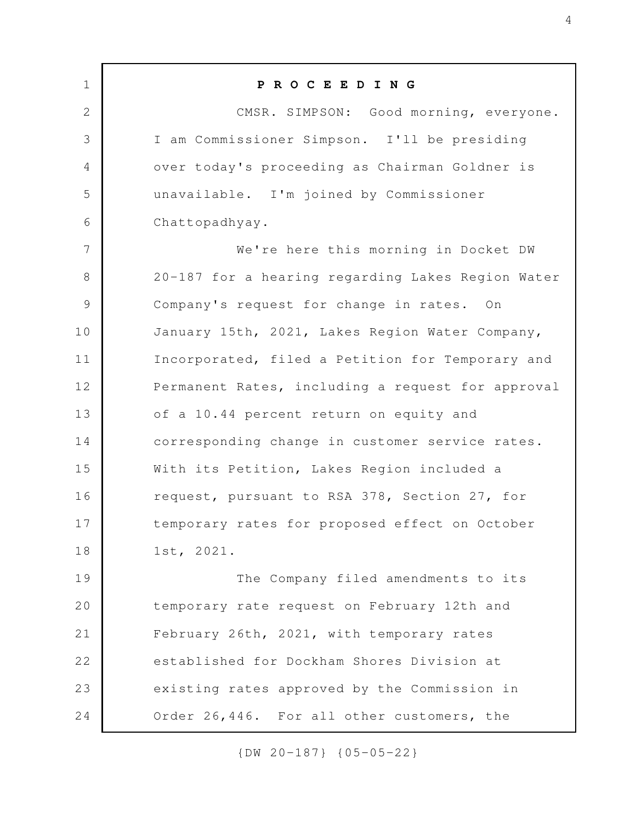**P R O C E E D I N G** CMSR. SIMPSON: Good morning, everyone. I am Commissioner Simpson. I'll be presiding over today's proceeding as Chairman Goldner is unavailable. I'm joined by Commissioner Chattopadhyay. We're here this morning in Docket DW 20-187 for a hearing regarding Lakes Region Water Company's request for change in rates. On January 15th, 2021, Lakes Region Water Company, Incorporated, filed a Petition for Temporary and Permanent Rates, including a request for approval of a 10.44 percent return on equity and corresponding change in customer service rates. With its Petition, Lakes Region included a request, pursuant to RSA 378, Section 27, for temporary rates for proposed effect on October 1st, 2021. The Company filed amendments to its temporary rate request on February 12th and February 26th, 2021, with temporary rates established for Dockham Shores Division at existing rates approved by the Commission in Order 26,446. For all other customers, the 1 2 3 4 5 6 7 8 9 10 11 12 13 14 15 16 17 18 19 20 21 22 23 24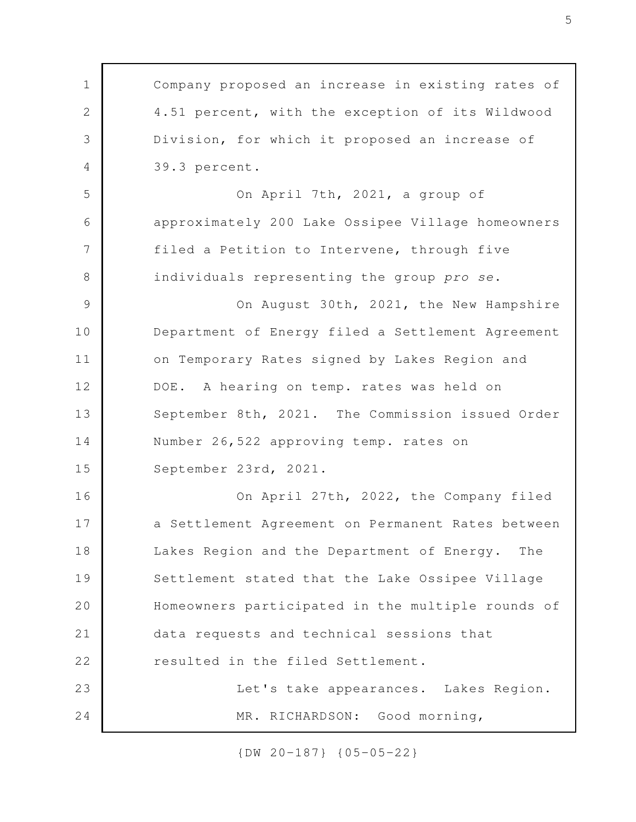Company proposed an increase in existing rates of 4.51 percent, with the exception of its Wildwood Division, for which it proposed an increase of 39.3 percent. On April 7th, 2021, a group of approximately 200 Lake Ossipee Village homeowners filed a Petition to Intervene, through five individuals representing the group *pro se*. On August 30th, 2021, the New Hampshire Department of Energy filed a Settlement Agreement on Temporary Rates signed by Lakes Region and DOE. A hearing on temp. rates was held on September 8th, 2021. The Commission issued Order Number 26,522 approving temp. rates on September 23rd, 2021. On April 27th, 2022, the Company filed a Settlement Agreement on Permanent Rates between Lakes Region and the Department of Energy. The Settlement stated that the Lake Ossipee Village Homeowners participated in the multiple rounds of data requests and technical sessions that resulted in the filed Settlement. Let's take appearances. Lakes Region. MR. RICHARDSON: Good morning, 1 2 3 4 5 6 7 8 9 10 11 12 13 14 15 16 17 18 19 20 21 22 23 24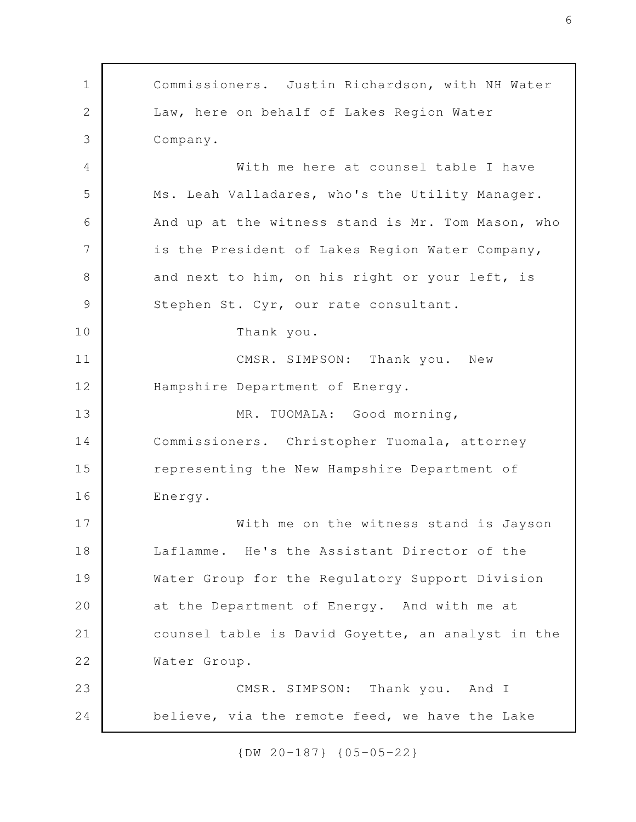Commissioners. Justin Richardson, with NH Water Law, here on behalf of Lakes Region Water Company. With me here at counsel table I have Ms. Leah Valladares, who's the Utility Manager. And up at the witness stand is Mr. Tom Mason, who is the President of Lakes Region Water Company, and next to him, on his right or your left, is Stephen St. Cyr, our rate consultant. Thank you. CMSR. SIMPSON: Thank you. New Hampshire Department of Energy. MR. TUOMALA: Good morning, Commissioners. Christopher Tuomala, attorney representing the New Hampshire Department of Energy. With me on the witness stand is Jayson Laflamme. He's the Assistant Director of the Water Group for the Regulatory Support Division at the Department of Energy. And with me at counsel table is David Goyette, an analyst in the Water Group. CMSR. SIMPSON: Thank you. And I believe, via the remote feed, we have the Lake 1 2 3 4 5 6 7 8 9 10 11 12 13 14 15 16 17 18 19 20 21 22 23 24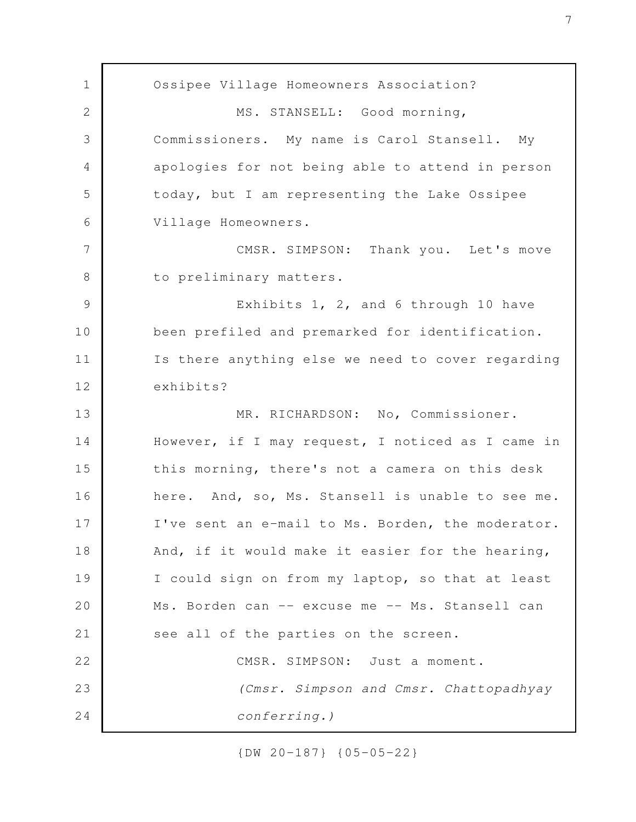Ossipee Village Homeowners Association? MS. STANSELL: Good morning, Commissioners. My name is Carol Stansell. My apologies for not being able to attend in person today, but I am representing the Lake Ossipee Village Homeowners. CMSR. SIMPSON: Thank you. Let's move to preliminary matters. Exhibits 1, 2, and 6 through 10 have been prefiled and premarked for identification. Is there anything else we need to cover regarding exhibits? MR. RICHARDSON: No, Commissioner. However, if I may request, I noticed as I came in this morning, there's not a camera on this desk here. And, so, Ms. Stansell is unable to see me. I've sent an e-mail to Ms. Borden, the moderator. And, if it would make it easier for the hearing, I could sign on from my laptop, so that at least Ms. Borden can -- excuse me -- Ms. Stansell can see all of the parties on the screen. CMSR. SIMPSON: Just a moment. *(Cmsr. Simpson and Cmsr. Chattopadhyay conferring.)* 1 2 3 4 5 6 7 8 9 10 11 12 13 14 15 16 17 18 19 20 21 22 23 24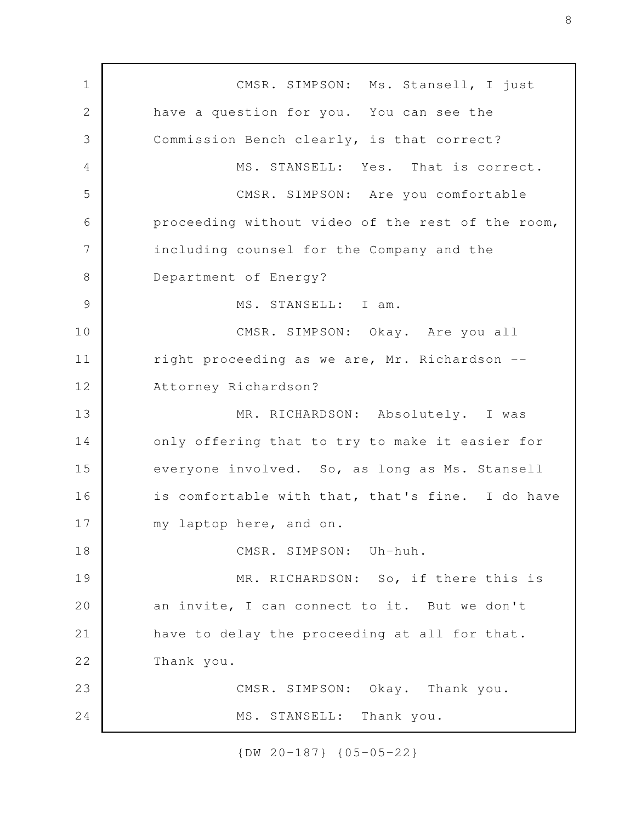CMSR. SIMPSON: Ms. Stansell, I just have a question for you. You can see the Commission Bench clearly, is that correct? MS. STANSELL: Yes. That is correct. CMSR. SIMPSON: Are you comfortable proceeding without video of the rest of the room, including counsel for the Company and the Department of Energy? MS. STANSELL: I am. CMSR. SIMPSON: Okay. Are you all right proceeding as we are, Mr. Richardson -- Attorney Richardson? MR. RICHARDSON: Absolutely. I was only offering that to try to make it easier for everyone involved. So, as long as Ms. Stansell is comfortable with that, that's fine. I do have my laptop here, and on. CMSR. SIMPSON: Uh-huh. MR. RICHARDSON: So, if there this is an invite, I can connect to it. But we don't have to delay the proceeding at all for that. Thank you. CMSR. SIMPSON: Okay. Thank you. MS. STANSELL: Thank you. 1 2 3 4 5 6 7 8 9 10 11 12 13 14 15 16 17 18 19 20 21 22 23 24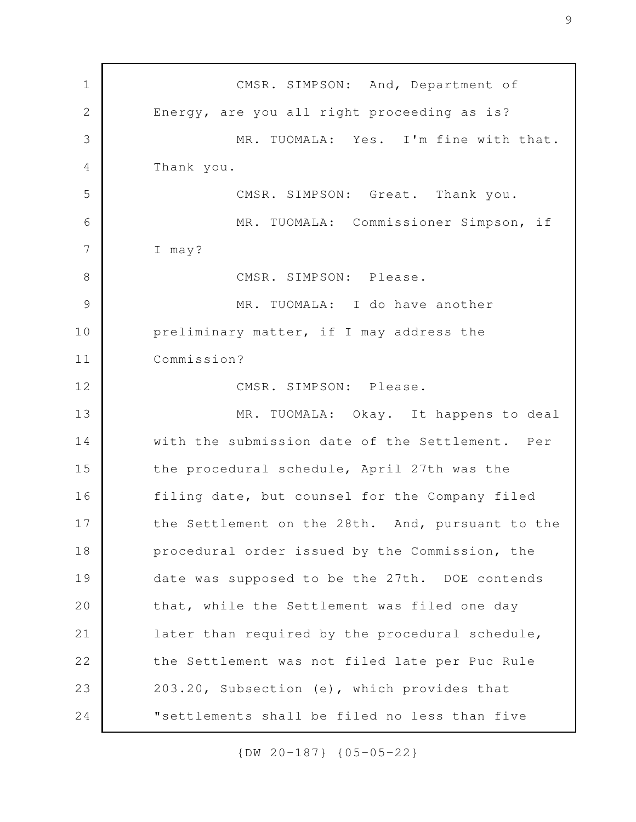CMSR. SIMPSON: And, Department of Energy, are you all right proceeding as is? MR. TUOMALA: Yes. I'm fine with that. Thank you. CMSR. SIMPSON: Great. Thank you. MR. TUOMALA: Commissioner Simpson, if I may? CMSR. SIMPSON: Please. MR. TUOMALA: I do have another preliminary matter, if I may address the Commission? CMSR. SIMPSON: Please. MR. TUOMALA: Okay. It happens to deal with the submission date of the Settlement. Per the procedural schedule, April 27th was the filing date, but counsel for the Company filed the Settlement on the 28th. And, pursuant to the procedural order issued by the Commission, the date was supposed to be the 27th. DOE contends that, while the Settlement was filed one day later than required by the procedural schedule, the Settlement was not filed late per Puc Rule 203.20, Subsection (e), which provides that "settlements shall be filed no less than five 1 2 3 4 5 6 7 8 9 10 11 12 13 14 15 16 17 18 19 20 21 22 23 24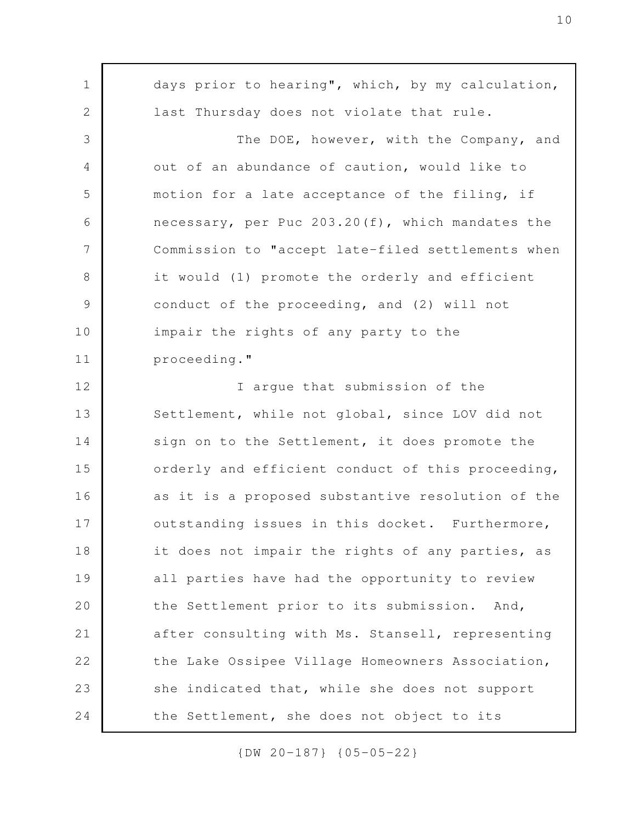days prior to hearing", which, by my calculation, last Thursday does not violate that rule. The DOE, however, with the Company, and out of an abundance of caution, would like to motion for a late acceptance of the filing, if necessary, per Puc 203.20(f), which mandates the Commission to "accept late-filed settlements when it would (1) promote the orderly and efficient conduct of the proceeding, and (2) will not impair the rights of any party to the proceeding." I argue that submission of the Settlement, while not global, since LOV did not sign on to the Settlement, it does promote the orderly and efficient conduct of this proceeding, as it is a proposed substantive resolution of the outstanding issues in this docket. Furthermore, it does not impair the rights of any parties, as all parties have had the opportunity to review the Settlement prior to its submission. And, after consulting with Ms. Stansell, representing the Lake Ossipee Village Homeowners Association, she indicated that, while she does not support the Settlement, she does not object to its 1 2 3 4 5 6 7 8 9 10 11 12 13 14 15 16 17 18 19 20 21 22 23 24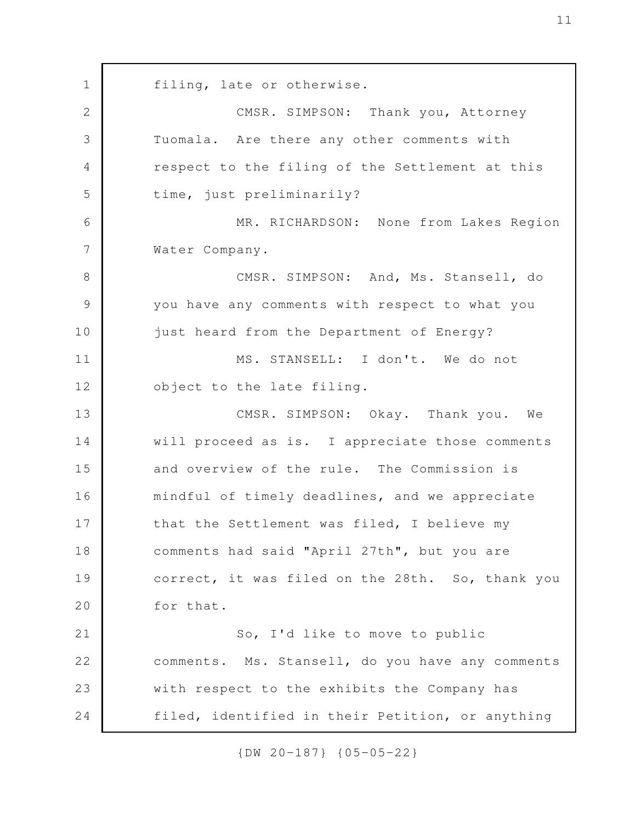filing, late or otherwise. CMSR. SIMPSON: Thank you, Attorney Tuomala. Are there any other comments with respect to the filing of the Settlement at this time, just preliminarily? MR. RICHARDSON: None from Lakes Region Water Company. CMSR. SIMPSON: And, Ms. Stansell, do you have any comments with respect to what you just heard from the Department of Energy? MS. STANSELL: I don't. We do not object to the late filing. CMSR. SIMPSON: Okay. Thank you. We will proceed as is. I appreciate those comments and overview of the rule. The Commission is mindful of timely deadlines, and we appreciate that the Settlement was filed, I believe my comments had said "April 27th", but you are correct, it was filed on the 28th. So, thank you for that. So, I'd like to move to public comments. Ms. Stansell, do you have any comments with respect to the exhibits the Company has filed, identified in their Petition, or anything 1 2 3 4 5 6 7 8 9 10 11 12 13 14 15 16 17 18 19 20 21 22 23 24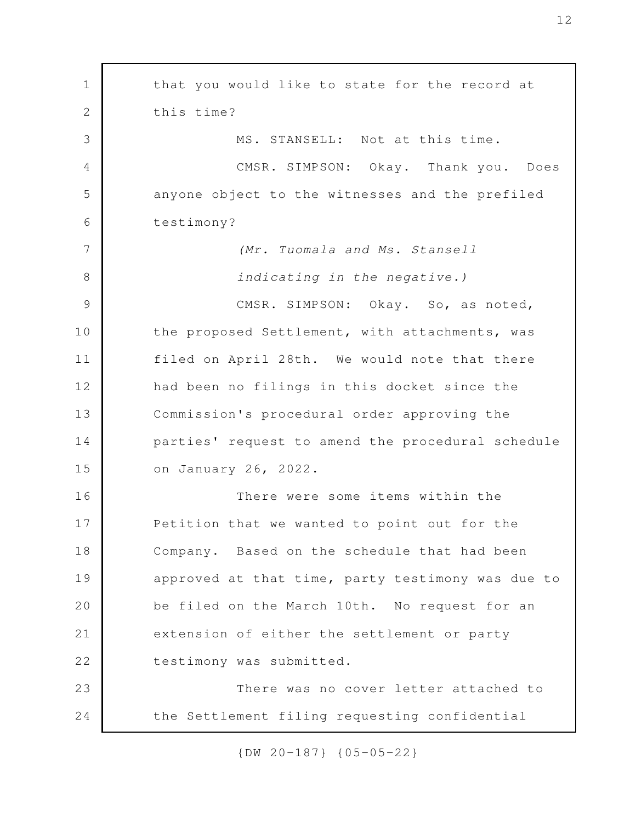that you would like to state for the record at this time? MS. STANSELL: Not at this time. CMSR. SIMPSON: Okay. Thank you. Does anyone object to the witnesses and the prefiled testimony? *(Mr. Tuomala and Ms. Stansell indicating in the negative.)* CMSR. SIMPSON: Okay. So, as noted, the proposed Settlement, with attachments, was filed on April 28th. We would note that there had been no filings in this docket since the Commission's procedural order approving the parties' request to amend the procedural schedule on January 26, 2022. There were some items within the Petition that we wanted to point out for the Company. Based on the schedule that had been approved at that time, party testimony was due to be filed on the March 10th. No request for an extension of either the settlement or party testimony was submitted. There was no cover letter attached to the Settlement filing requesting confidential 1 2 3 4 5 6 7 8 9 10 11 12 13 14 15 16 17 18 19 20 21 22 23 24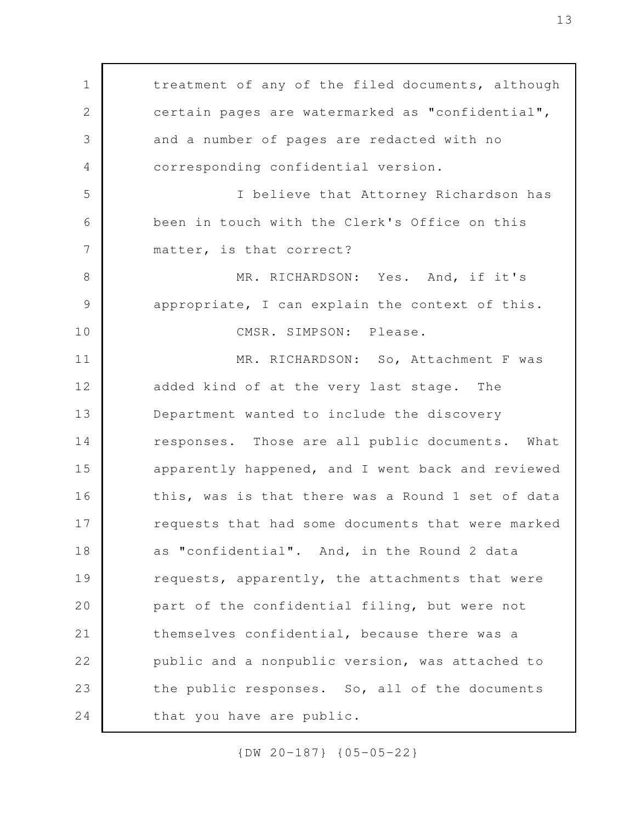treatment of any of the filed documents, although certain pages are watermarked as "confidential", and a number of pages are redacted with no corresponding confidential version. I believe that Attorney Richardson has been in touch with the Clerk's Office on this matter, is that correct? MR. RICHARDSON: Yes. And, if it's appropriate, I can explain the context of this. CMSR. SIMPSON: Please. MR. RICHARDSON: So, Attachment F was added kind of at the very last stage. The Department wanted to include the discovery responses. Those are all public documents. What apparently happened, and I went back and reviewed this, was is that there was a Round 1 set of data requests that had some documents that were marked as "confidential". And, in the Round 2 data requests, apparently, the attachments that were part of the confidential filing, but were not themselves confidential, because there was a public and a nonpublic version, was attached to the public responses. So, all of the documents that you have are public. 1 2 3 4 5 6 7 8 9 10 11 12 13 14 15 16 17 18 19 20 21 22 23 24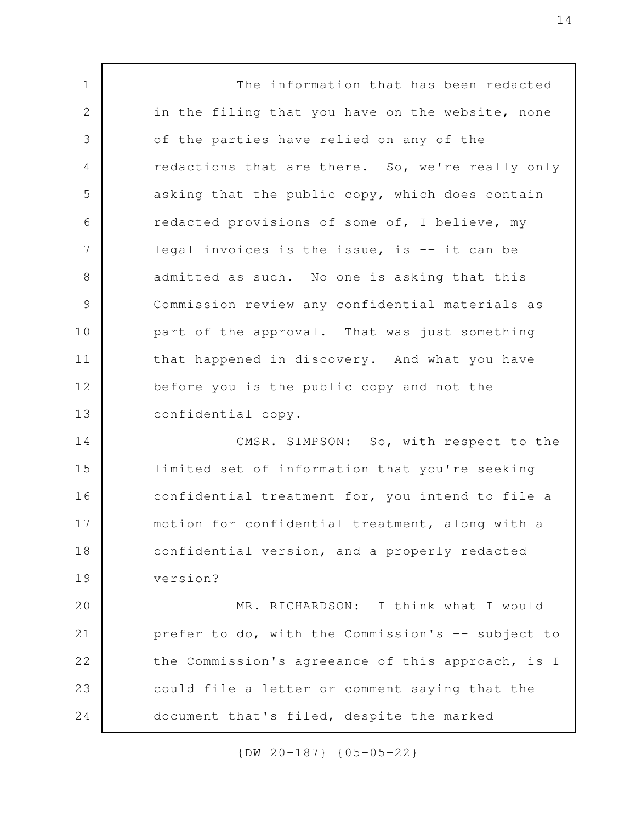The information that has been redacted in the filing that you have on the website, none of the parties have relied on any of the redactions that are there. So, we're really only asking that the public copy, which does contain redacted provisions of some of, I believe, my legal invoices is the issue, is -- it can be admitted as such. No one is asking that this Commission review any confidential materials as part of the approval. That was just something that happened in discovery. And what you have before you is the public copy and not the confidential copy. CMSR. SIMPSON: So, with respect to the limited set of information that you're seeking confidential treatment for, you intend to file a motion for confidential treatment, along with a confidential version, and a properly redacted version? MR. RICHARDSON: I think what I would prefer to do, with the Commission's -- subject to the Commission's agreeance of this approach, is I could file a letter or comment saying that the document that's filed, despite the marked 1 2 3 4 5 6 7 8 9 10 11 12 13 14 15 16 17 18 19 20 21 22 23 24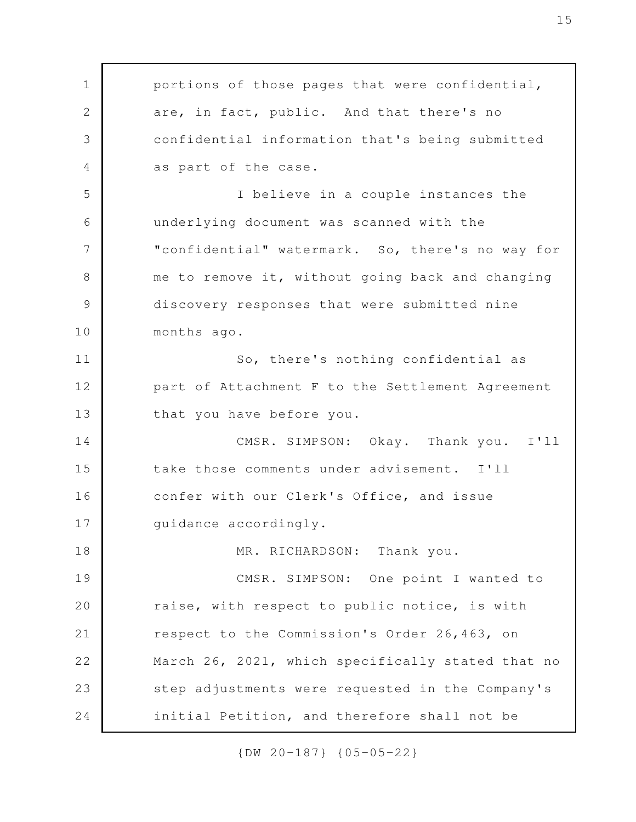portions of those pages that were confidential, are, in fact, public. And that there's no confidential information that's being submitted as part of the case. I believe in a couple instances the underlying document was scanned with the "confidential" watermark. So, there's no way for me to remove it, without going back and changing discovery responses that were submitted nine months ago. So, there's nothing confidential as part of Attachment F to the Settlement Agreement that you have before you. CMSR. SIMPSON: Okay. Thank you. I'll take those comments under advisement. I'll confer with our Clerk's Office, and issue guidance accordingly. MR. RICHARDSON: Thank you. CMSR. SIMPSON: One point I wanted to raise, with respect to public notice, is with respect to the Commission's Order 26,463, on March 26, 2021, which specifically stated that no step adjustments were requested in the Company's initial Petition, and therefore shall not be 1 2 3 4 5 6 7 8 9 10 11 12 13 14 15 16 17 18 19 20 21 22 23 24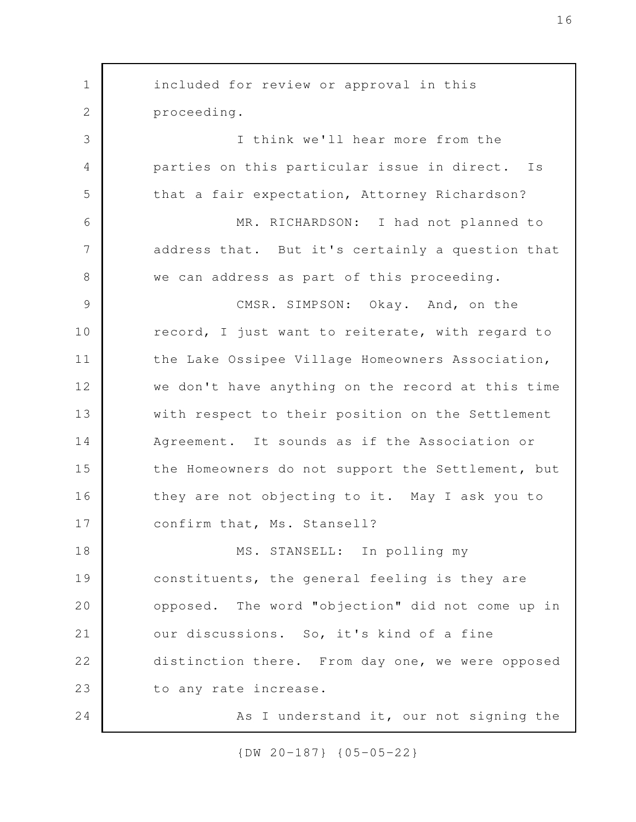included for review or approval in this proceeding. I think we'll hear more from the parties on this particular issue in direct. Is that a fair expectation, Attorney Richardson? MR. RICHARDSON: I had not planned to address that. But it's certainly a question that we can address as part of this proceeding. CMSR. SIMPSON: Okay. And, on the record, I just want to reiterate, with regard to the Lake Ossipee Village Homeowners Association, we don't have anything on the record at this time with respect to their position on the Settlement Agreement. It sounds as if the Association or the Homeowners do not support the Settlement, but they are not objecting to it. May I ask you to confirm that, Ms. Stansell? MS. STANSELL: In polling my constituents, the general feeling is they are opposed. The word "objection" did not come up in our discussions. So, it's kind of a fine distinction there. From day one, we were opposed to any rate increase. As I understand it, our not signing the 1 2 3 4 5 6 7 8 9 10 11 12 13 14 15 16 17 18 19 20 21 22 23 24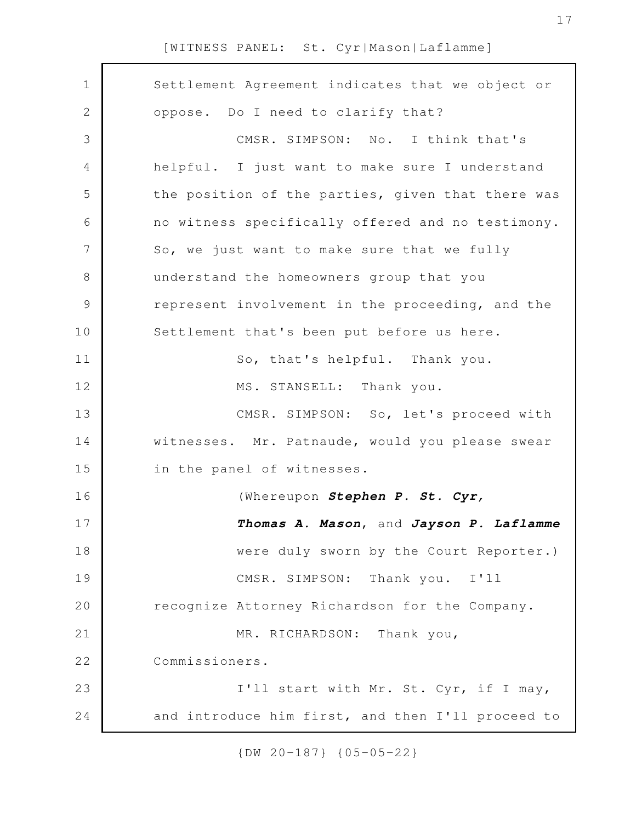| $\mathbf 1$    | Settlement Agreement indicates that we object or  |
|----------------|---------------------------------------------------|
| $\mathbf{2}$   | oppose. Do I need to clarify that?                |
| 3              | CMSR. SIMPSON: No. I think that's                 |
| 4              | helpful. I just want to make sure I understand    |
| 5              | the position of the parties, given that there was |
| 6              | no witness specifically offered and no testimony. |
| $\overline{7}$ | So, we just want to make sure that we fully       |
| $8\,$          | understand the homeowners group that you          |
| $\mathcal{G}$  | represent involvement in the proceeding, and the  |
| 10             | Settlement that's been put before us here.        |
| 11             | So, that's helpful. Thank you.                    |
| 12             | MS. STANSELL: Thank you.                          |
| 13             | CMSR. SIMPSON: So, let's proceed with             |
| 14             | witnesses. Mr. Patnaude, would you please swear   |
| 15             | in the panel of witnesses.                        |
| 16             | (Whereupon Stephen P. St. Cyr,                    |
| 17             | Thomas A. Mason, and Jayson P. Laflamme           |
| 18             | were duly sworn by the Court Reporter.)           |
| 19             | CMSR. SIMPSON: Thank you.<br>I'11                 |
| 20             | recognize Attorney Richardson for the Company.    |
| 21             | MR. RICHARDSON: Thank you,                        |
| 22             | Commissioners.                                    |
| 23             | I'll start with Mr. St. Cyr, if I may,            |
| 24             | and introduce him first, and then I'll proceed to |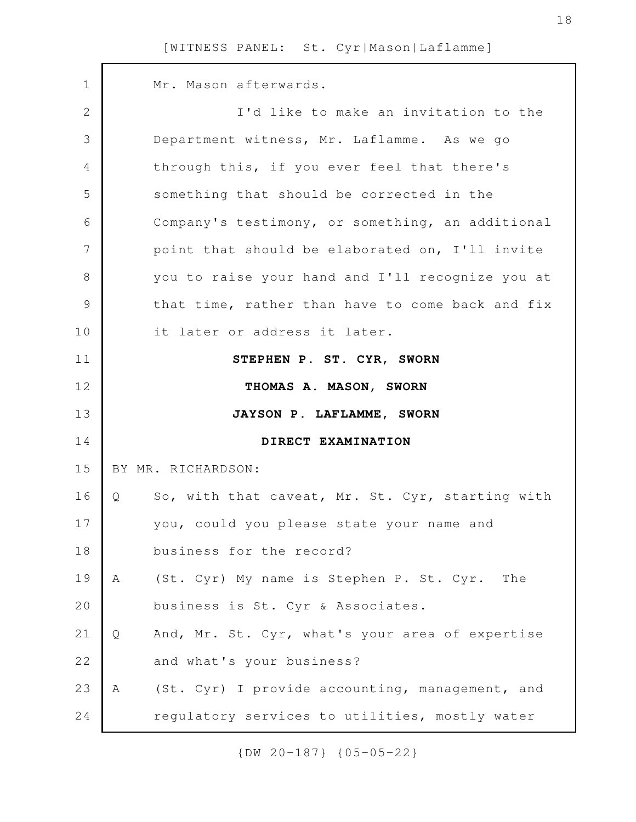Mr. Mason afterwards. I'd like to make an invitation to the Department witness, Mr. Laflamme. As we go through this, if you ever feel that there's something that should be corrected in the Company's testimony, or something, an additional point that should be elaborated on, I'll invite you to raise your hand and I'll recognize you at that time, rather than have to come back and fix it later or address it later. **STEPHEN P. ST. CYR, SWORN THOMAS A. MASON, SWORN JAYSON P. LAFLAMME, SWORN DIRECT EXAMINATION** BY MR. RICHARDSON: Q So, with that caveat, Mr. St. Cyr, starting with you, could you please state your name and business for the record? A (St. Cyr) My name is Stephen P. St. Cyr. The business is St. Cyr & Associates. Q And, Mr. St. Cyr, what's your area of expertise and what's your business? A (St. Cyr) I provide accounting, management, and regulatory services to utilities, mostly water 1 2 3 4 5 6 7 8 9 10 11 12 13 14 15 16 17 18 19 20 21 22 23 24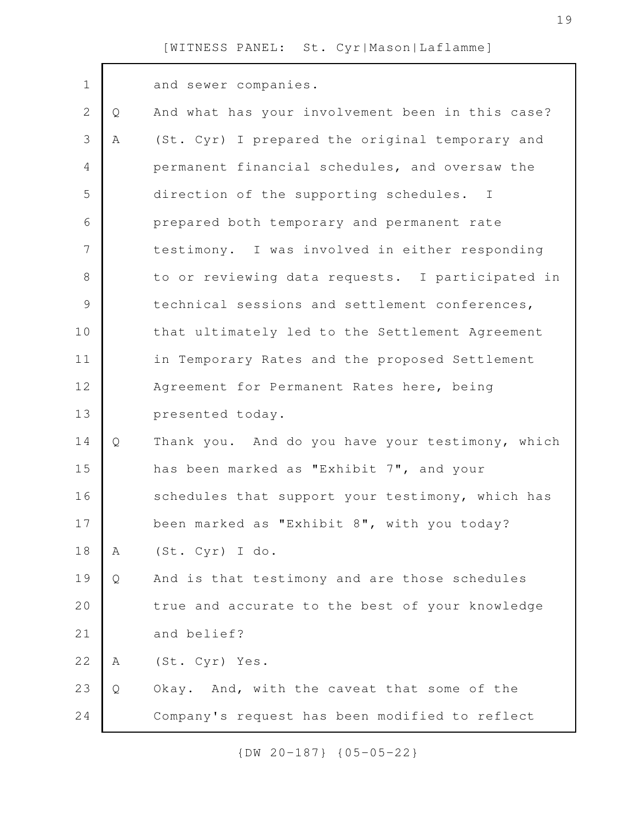| $\mathbf 1$    |   | and sewer companies.                             |
|----------------|---|--------------------------------------------------|
| $\overline{2}$ | Q | And what has your involvement been in this case? |
| 3              | Α | (St. Cyr) I prepared the original temporary and  |
| 4              |   | permanent financial schedules, and oversaw the   |
| 5              |   | direction of the supporting schedules. I         |
| 6              |   | prepared both temporary and permanent rate       |
| 7              |   | testimony. I was involved in either responding   |
| 8              |   | to or reviewing data requests. I participated in |
| $\mathcal{G}$  |   | technical sessions and settlement conferences,   |
| 10             |   | that ultimately led to the Settlement Agreement  |
| 11             |   | in Temporary Rates and the proposed Settlement   |
| 12             |   | Agreement for Permanent Rates here, being        |
| 13             |   | presented today.                                 |
| 14             | Q | Thank you. And do you have your testimony, which |
| 15             |   | has been marked as "Exhibit 7", and your         |
| 16             |   | schedules that support your testimony, which has |
| 17             |   | been marked as "Exhibit 8", with you today?      |
| 18             | Α | (St. Cyr) I do.                                  |
| 19             | Q | And is that testimony and are those schedules    |
| 20             |   | true and accurate to the best of your knowledge  |
| 21             |   | and belief?                                      |
| 22             | Α | (St. Cyr) Yes.                                   |
| 23             | Q | Okay. And, with the caveat that some of the      |
| 24             |   | Company's request has been modified to reflect   |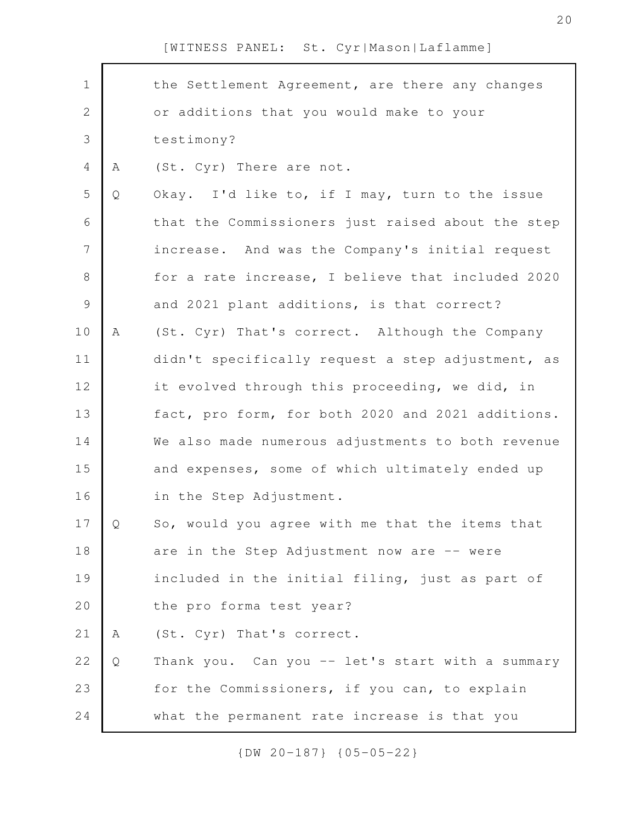| the Settlement Agreement, are there any changes   |
|---------------------------------------------------|
|                                                   |
| or additions that you would make to your          |
| testimony?                                        |
| (St. Cyr) There are not.                          |
| Okay. I'd like to, if I may, turn to the issue    |
| that the Commissioners just raised about the step |
| increase. And was the Company's initial request   |
| for a rate increase, I believe that included 2020 |
| and 2021 plant additions, is that correct?        |
| (St. Cyr) That's correct. Although the Company    |
| didn't specifically request a step adjustment, as |
| it evolved through this proceeding, we did, in    |
| fact, pro form, for both 2020 and 2021 additions. |
| We also made numerous adjustments to both revenue |
| and expenses, some of which ultimately ended up   |
| in the Step Adjustment.                           |
| So, would you agree with me that the items that   |
| are in the Step Adjustment now are -- were        |
| included in the initial filing, just as part of   |
| the pro forma test year?                          |
| (St. Cyr) That's correct.                         |
| Thank you. Can you -- let's start with a summary  |
| for the Commissioners, if you can, to explain     |
|                                                   |
|                                                   |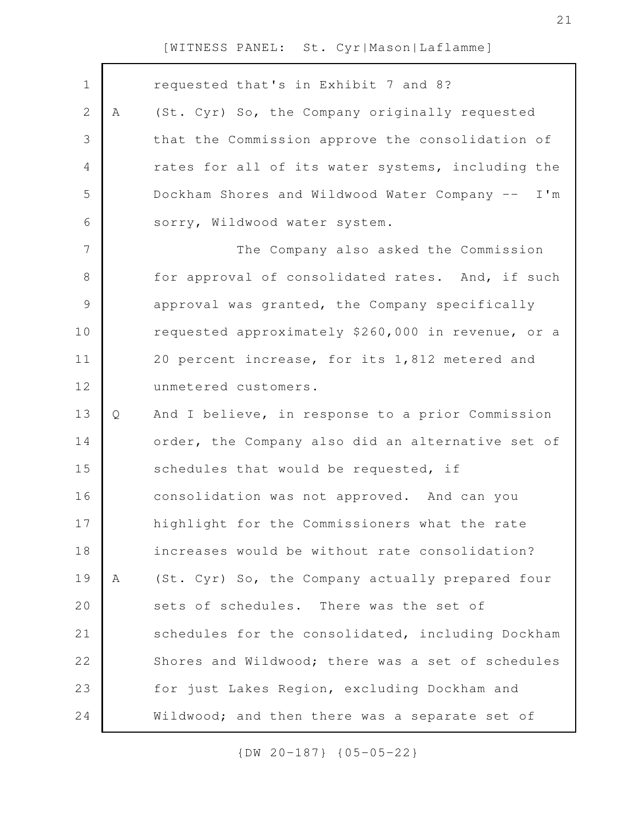| $\mathbf 1$    |   | requested that's in Exhibit 7 and 8?               |
|----------------|---|----------------------------------------------------|
| $\mathbf{2}$   | Α | (St. Cyr) So, the Company originally requested     |
| 3              |   | that the Commission approve the consolidation of   |
| $\overline{4}$ |   | rates for all of its water systems, including the  |
| 5              |   | Dockham Shores and Wildwood Water Company -- I'm   |
| 6              |   | sorry, Wildwood water system.                      |
| 7              |   | The Company also asked the Commission              |
| $\,8\,$        |   | for approval of consolidated rates. And, if such   |
| $\mathcal{G}$  |   | approval was granted, the Company specifically     |
| 10             |   | requested approximately \$260,000 in revenue, or a |
| 11             |   | 20 percent increase, for its 1,812 metered and     |
| 12             |   | unmetered customers.                               |
| 13             | Q | And I believe, in response to a prior Commission   |
| 14             |   | order, the Company also did an alternative set of  |
| 15             |   | schedules that would be requested, if              |
| 16             |   | consolidation was not approved. And can you        |
| 17             |   | highlight for the Commissioners what the rate      |
| 18             |   | increases would be without rate consolidation?     |
| 19             | Α | (St. Cyr) So, the Company actually prepared four   |
| 20             |   | sets of schedules. There was the set of            |
| 21             |   | schedules for the consolidated, including Dockham  |
| 22             |   | Shores and Wildwood; there was a set of schedules  |
| 23             |   | for just Lakes Region, excluding Dockham and       |
| 24             |   | Wildwood; and then there was a separate set of     |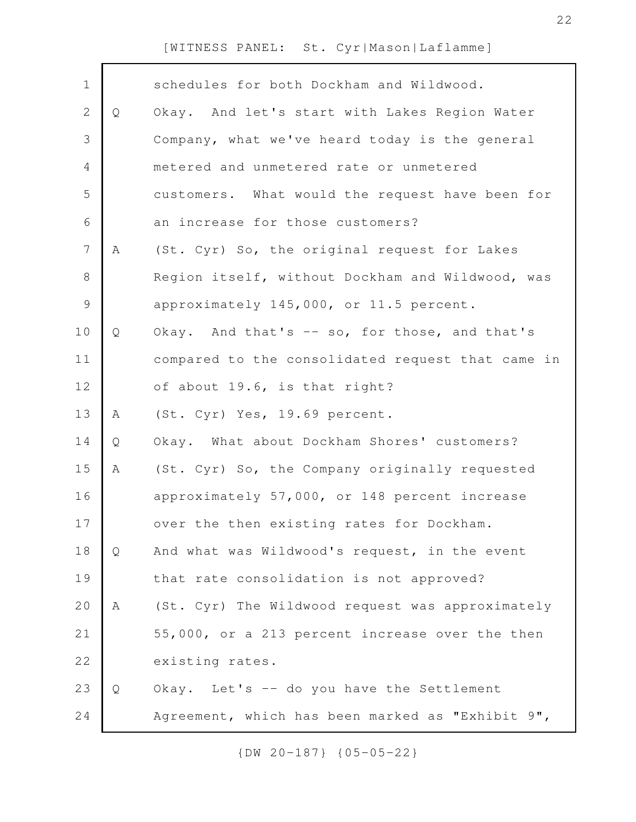| $\mathbf 1$    |   | schedules for both Dockham and Wildwood.          |
|----------------|---|---------------------------------------------------|
| $\mathbf{2}$   | Q | Okay. And let's start with Lakes Region Water     |
| 3              |   | Company, what we've heard today is the general    |
| $\overline{4}$ |   | metered and unmetered rate or unmetered           |
| 5              |   | customers. What would the request have been for   |
| 6              |   | an increase for those customers?                  |
| $\overline{7}$ | A | (St. Cyr) So, the original request for Lakes      |
| $\,8\,$        |   | Region itself, without Dockham and Wildwood, was  |
| $\mathcal{G}$  |   | approximately 145,000, or 11.5 percent.           |
| 10             | Q | Okay. And that's -- so, for those, and that's     |
| 11             |   | compared to the consolidated request that came in |
| 12             |   | of about 19.6, is that right?                     |
| 13             | Α | (St. Cyr) Yes, 19.69 percent.                     |
| 14             | Q | Okay. What about Dockham Shores' customers?       |
| 15             | Α | (St. Cyr) So, the Company originally requested    |
| 16             |   | approximately 57,000, or 148 percent increase     |
| 17             |   | over the then existing rates for Dockham.         |
| 18             | Q | And what was Wildwood's request, in the event     |
| 19             |   | that rate consolidation is not approved?          |
| 20             | Α | (St. Cyr) The Wildwood request was approximately  |
| 21             |   | 55,000, or a 213 percent increase over the then   |
| 22             |   | existing rates.                                   |
| 23             | Q | Okay. Let's -- do you have the Settlement         |
| 24             |   | Agreement, which has been marked as "Exhibit 9",  |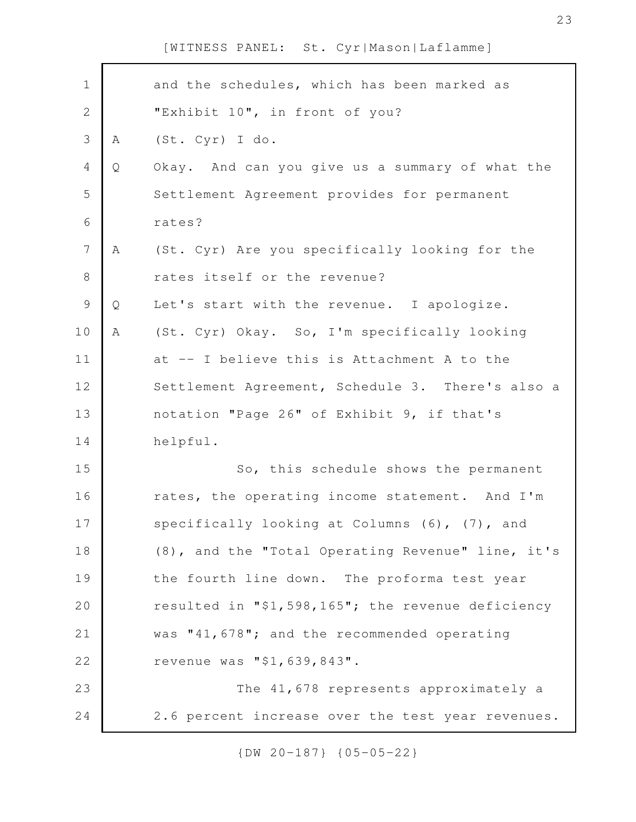| $\mathbf 1$    |   | and the schedules, which has been marked as       |
|----------------|---|---------------------------------------------------|
| $\mathbf{2}$   |   | "Exhibit 10", in front of you?                    |
| 3              | A | (St. Cyr) I do.                                   |
| $\overline{4}$ | Q | Okay. And can you give us a summary of what the   |
| 5              |   | Settlement Agreement provides for permanent       |
| 6              |   | rates?                                            |
| $\overline{7}$ | A | (St. Cyr) Are you specifically looking for the    |
| $\,8\,$        |   | rates itself or the revenue?                      |
| $\mathcal{G}$  | Q | Let's start with the revenue. I apologize.        |
| 10             | Α | (St. Cyr) Okay. So, I'm specifically looking      |
| 11             |   | at -- I believe this is Attachment A to the       |
| 12             |   | Settlement Agreement, Schedule 3. There's also a  |
| 13             |   | notation "Page 26" of Exhibit 9, if that's        |
| 14             |   | helpful.                                          |
| 15             |   | So, this schedule shows the permanent             |
| 16             |   | rates, the operating income statement. And I'm    |
| 17             |   | specifically looking at Columns (6), (7), and     |
| 18             |   | (8), and the "Total Operating Revenue" line, it's |
| 19             |   | the fourth line down. The proforma test year      |
| 20             |   | resulted in "\$1,598,165"; the revenue deficiency |
| 21             |   | was "41,678"; and the recommended operating       |
| 22             |   | revenue was "\$1,639,843".                        |
| 23             |   | The 41,678 represents approximately a             |
| 24             |   | 2.6 percent increase over the test year revenues. |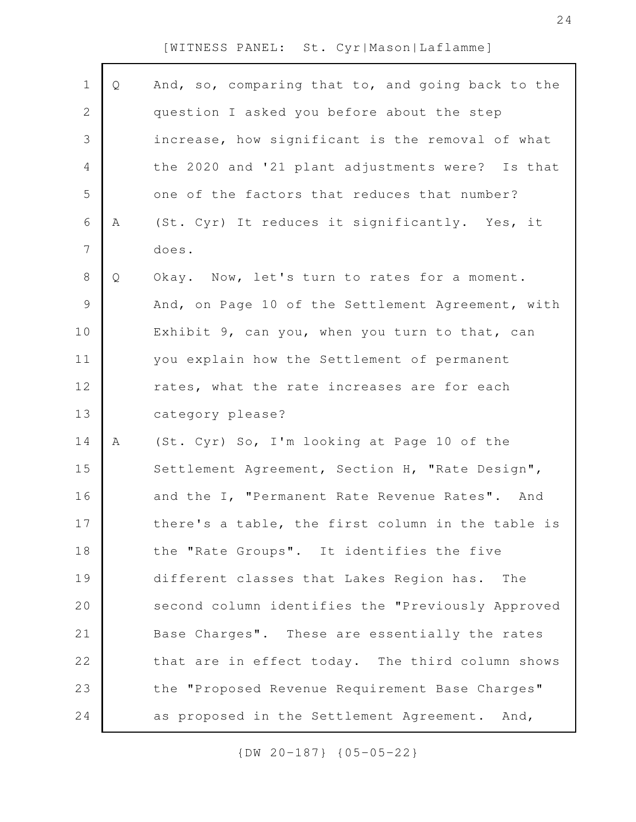| $\mathbf 1$    | Q | And, so, comparing that to, and going back to the |
|----------------|---|---------------------------------------------------|
| $\mathbf{2}$   |   | question I asked you before about the step        |
| 3              |   | increase, how significant is the removal of what  |
| 4              |   | the 2020 and '21 plant adjustments were? Is that  |
| 5              |   | one of the factors that reduces that number?      |
| 6              | Α | (St. Cyr) It reduces it significantly. Yes, it    |
| $\overline{7}$ |   | does.                                             |
| $\,8\,$        | Q | Okay. Now, let's turn to rates for a moment.      |
| $\mathsf 9$    |   | And, on Page 10 of the Settlement Agreement, with |
| 10             |   | Exhibit 9, can you, when you turn to that, can    |
| 11             |   | you explain how the Settlement of permanent       |
| 12             |   | rates, what the rate increases are for each       |
| 13             |   | category please?                                  |
| 14             | Α | (St. Cyr) So, I'm looking at Page 10 of the       |
| 15             |   | Settlement Agreement, Section H, "Rate Design",   |
| 16             |   | and the I, "Permanent Rate Revenue Rates". And    |
| 17             |   | there's a table, the first column in the table is |
| 18             |   | the "Rate Groups". It identifies the five         |
| 19             |   | different classes that Lakes Region has.<br>The   |
| 20             |   | second column identifies the "Previously Approved |
| 21             |   | Base Charges". These are essentially the rates    |
| 22             |   | that are in effect today. The third column shows  |
| 23             |   | the "Proposed Revenue Requirement Base Charges"   |
| 24             |   | as proposed in the Settlement Agreement. And,     |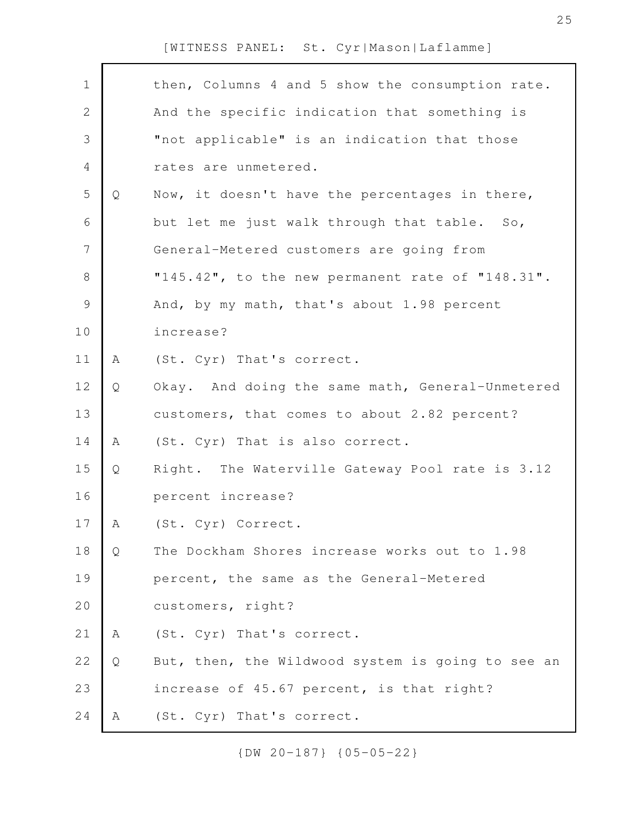| $\mathbf 1$  |   | then, Columns 4 and 5 show the consumption rate.  |
|--------------|---|---------------------------------------------------|
| $\mathbf{2}$ |   | And the specific indication that something is     |
| 3            |   | "not applicable" is an indication that those      |
| 4            |   | rates are unmetered.                              |
| 5            | Q | Now, it doesn't have the percentages in there,    |
| 6            |   | but let me just walk through that table. So,      |
| 7            |   | General-Metered customers are going from          |
| $8\,$        |   | "145.42", to the new permanent rate of "148.31".  |
| 9            |   | And, by my math, that's about 1.98 percent        |
| 10           |   | increase?                                         |
| 11           | Α | (St. Cyr) That's correct.                         |
| 12           | Q | Okay. And doing the same math, General-Unmetered  |
| 13           |   | customers, that comes to about 2.82 percent?      |
| 14           | A | (St. Cyr) That is also correct.                   |
| 15           | Q | Right. The Waterville Gateway Pool rate is 3.12   |
| 16           |   | percent increase?                                 |
| 17           | A | (St. Cyr) Correct.                                |
| 18           | Q | The Dockham Shores increase works out to 1.98     |
| 19           |   | percent, the same as the General-Metered          |
| 20           |   | customers, right?                                 |
| 21           | Α | (St. Cyr) That's correct.                         |
| 22           | Q | But, then, the Wildwood system is going to see an |
| 23           |   | increase of 45.67 percent, is that right?         |
| 24           | A | (St. Cyr) That's correct.                         |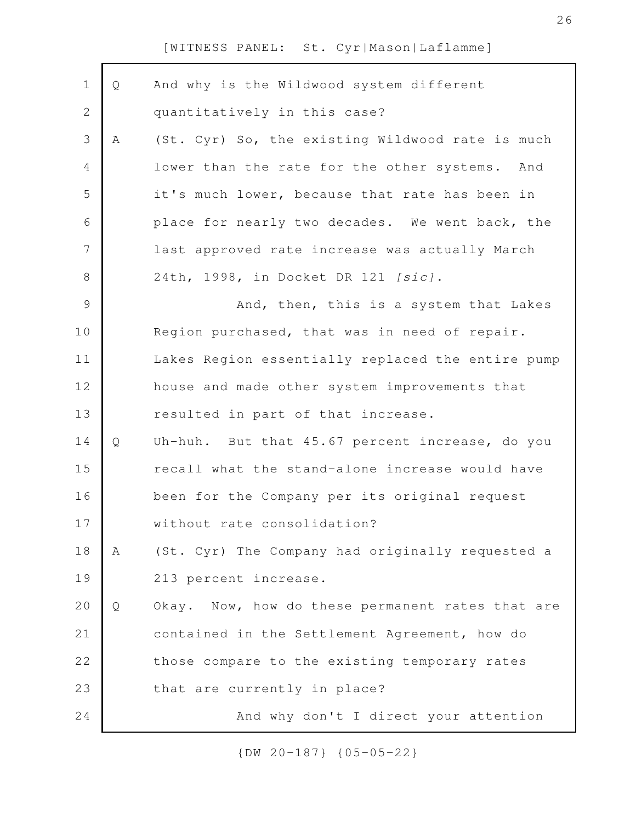| $\mathbf 1$    | Q | And why is the Wildwood system different          |
|----------------|---|---------------------------------------------------|
| $\sqrt{2}$     |   | quantitatively in this case?                      |
| $\mathfrak{Z}$ | A | (St. Cyr) So, the existing Wildwood rate is much  |
| $\overline{4}$ |   | lower than the rate for the other systems. And    |
| 5              |   | it's much lower, because that rate has been in    |
| 6              |   | place for nearly two decades. We went back, the   |
| 7              |   | last approved rate increase was actually March    |
| $8\,$          |   | 24th, 1998, in Docket DR 121 [sic].               |
| $\mathcal{G}$  |   | And, then, this is a system that Lakes            |
| 10             |   | Region purchased, that was in need of repair.     |
| 11             |   | Lakes Region essentially replaced the entire pump |
| 12             |   | house and made other system improvements that     |
| 13             |   | resulted in part of that increase.                |
| 14             | Q | Uh-huh. But that 45.67 percent increase, do you   |
| 15             |   | recall what the stand-alone increase would have   |
| 16             |   | been for the Company per its original request     |
| 17             |   | without rate consolidation?                       |
| 18             | Α | (St. Cyr) The Company had originally requested a  |
| 19             |   | 213 percent increase.                             |
| 20             | Q | Okay. Now, how do these permanent rates that are  |
| 21             |   | contained in the Settlement Agreement, how do     |
| 22             |   | those compare to the existing temporary rates     |
| 23             |   | that are currently in place?                      |
| 24             |   | And why don't I direct your attention             |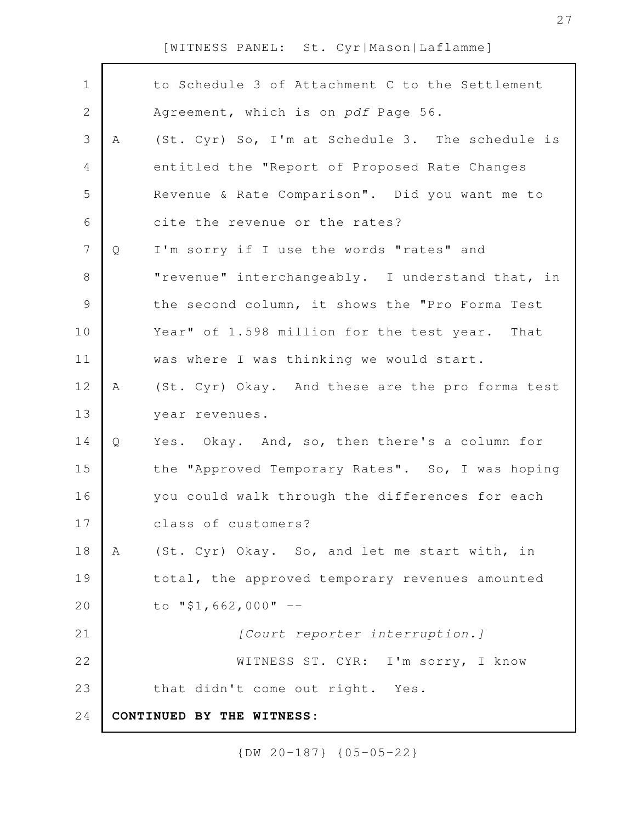| $\mathbf 1$    |   | to Schedule 3 of Attachment C to the Settlement  |
|----------------|---|--------------------------------------------------|
| $\mathbf{2}$   |   | Agreement, which is on pdf Page 56.              |
| 3              | A | (St. Cyr) So, I'm at Schedule 3. The schedule is |
| $\overline{4}$ |   | entitled the "Report of Proposed Rate Changes    |
| 5              |   | Revenue & Rate Comparison". Did you want me to   |
| 6              |   | cite the revenue or the rates?                   |
| $\overline{7}$ | Q | I'm sorry if I use the words "rates" and         |
| $8\,$          |   | "revenue" interchangeably. I understand that, in |
| $\mathsf 9$    |   | the second column, it shows the "Pro Forma Test  |
| 10             |   | Year" of 1.598 million for the test year. That   |
| 11             |   | was where I was thinking we would start.         |
| 12             | A | (St. Cyr) Okay. And these are the pro forma test |
| 13             |   | year revenues.                                   |
| 14             | Q | Yes. Okay. And, so, then there's a column for    |
| 15             |   | the "Approved Temporary Rates". So, I was hoping |
| 16             |   | you could walk through the differences for each  |
| 17             |   | class of customers?                              |
| 18             | A | (St. Cyr) Okay. So, and let me start with, in    |
| 19             |   | total, the approved temporary revenues amounted  |
| 20             |   | to "\$1,662,000" $-$                             |
| 21             |   | [Court reporter interruption.]                   |
| 22             |   | WITNESS ST. CYR: I'm sorry, I know               |
| 23             |   | that didn't come out right. Yes.                 |
| 24             |   | CONTINUED BY THE WITNESS:                        |
|                |   |                                                  |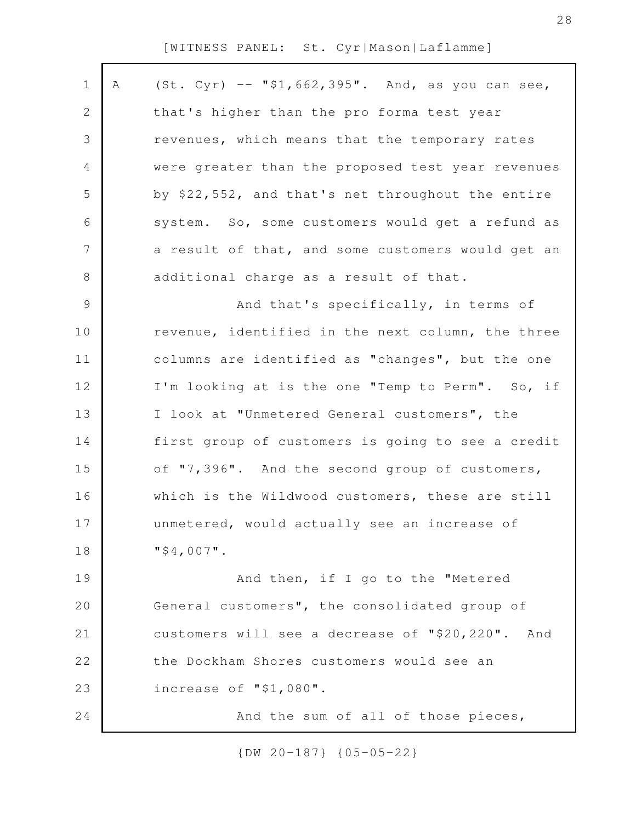| $\mathbf 1$    | Α | $(St. Cyr)$ -- "\$1,662,395". And, as you can see,  |
|----------------|---|-----------------------------------------------------|
| 2              |   | that's higher than the pro forma test year          |
|                |   |                                                     |
| 3              |   | revenues, which means that the temporary rates      |
| 4              |   | were greater than the proposed test year revenues   |
| 5              |   | by \$22,552, and that's net throughout the entire   |
| 6              |   | system. So, some customers would get a refund as    |
| $\overline{7}$ |   | a result of that, and some customers would get an   |
| $\,8\,$        |   | additional charge as a result of that.              |
| $\mathcal{G}$  |   | And that's specifically, in terms of                |
| 10             |   | revenue, identified in the next column, the three   |
| 11             |   | columns are identified as "changes", but the one    |
| 12             |   | I'm looking at is the one "Temp to Perm". So, if    |
| 13             |   | I look at "Unmetered General customers", the        |
| 14             |   | first group of customers is going to see a credit   |
| 15             |   | of "7,396". And the second group of customers,      |
| 16             |   | which is the Wildwood customers, these are still    |
| 17             |   | unmetered, would actually see an increase of        |
| 18             |   | $"$ \$4,007".                                       |
| 19             |   | And then, if I go to the "Metered                   |
| 20             |   | General customers", the consolidated group of       |
| 21             |   | customers will see a decrease of "\$20,220".<br>And |
| 22             |   | the Dockham Shores customers would see an           |
| 23             |   | increase of "\$1,080".                              |
| 24             |   | And the sum of all of those pieces,                 |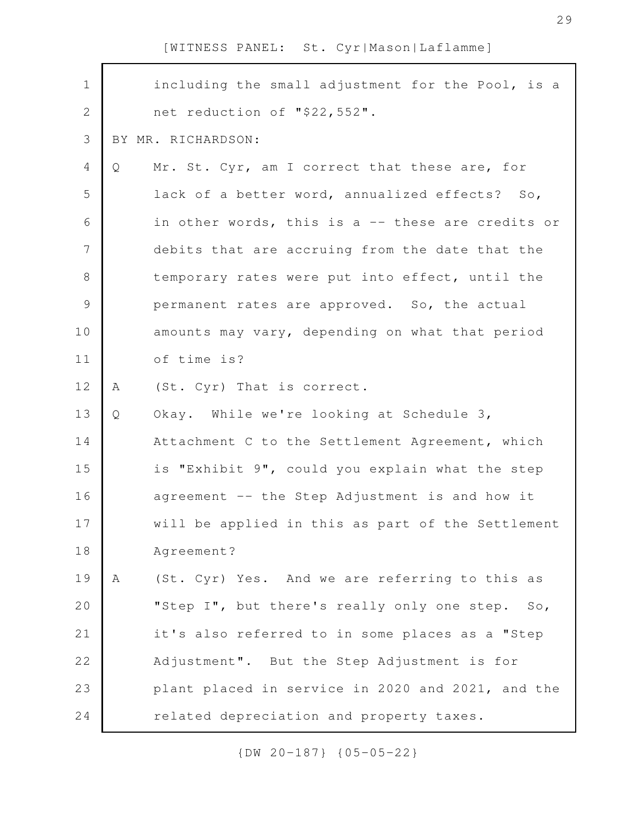| $\mathbf 1$    |   | including the small adjustment for the Pool, is a |
|----------------|---|---------------------------------------------------|
| $\overline{2}$ |   | net reduction of "\$22,552".                      |
| $\mathcal{S}$  |   | BY MR. RICHARDSON:                                |
| 4              | Q | Mr. St. Cyr, am I correct that these are, for     |
| 5              |   | lack of a better word, annualized effects? So,    |
| 6              |   | in other words, this is a -- these are credits or |
| 7              |   | debits that are accruing from the date that the   |
| $8\,$          |   | temporary rates were put into effect, until the   |
| $\mathcal{G}$  |   | permanent rates are approved. So, the actual      |
| 10             |   | amounts may vary, depending on what that period   |
| 11             |   | of time is?                                       |
| 12             | A | (St. Cyr) That is correct.                        |
| 13             | Q | Okay. While we're looking at Schedule 3,          |
| 14             |   | Attachment C to the Settlement Agreement, which   |
| 15             |   | is "Exhibit 9", could you explain what the step   |
| 16             |   | agreement -- the Step Adjustment is and how it    |
| 17             |   | will be applied in this as part of the Settlement |
| 18             |   | Agreement?                                        |
| 19             | A | (St. Cyr) Yes. And we are referring to this as    |
| 20             |   | "Step I", but there's really only one step. So,   |
| 21             |   | it's also referred to in some places as a "Step   |
| 22             |   | Adjustment". But the Step Adjustment is for       |
| 23             |   | plant placed in service in 2020 and 2021, and the |
| 24             |   | related depreciation and property taxes.          |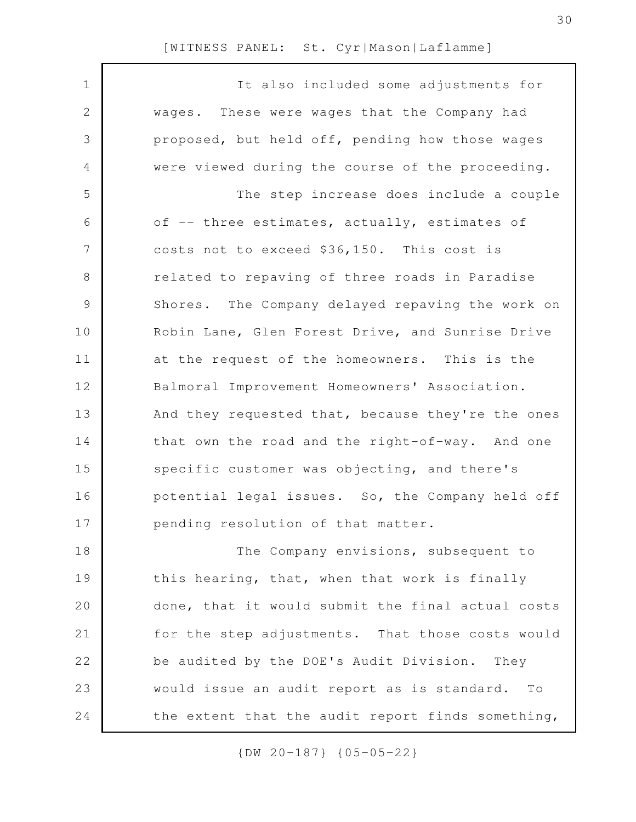| $\mathbf 1$ | It also included some adjustments for             |
|-------------|---------------------------------------------------|
| $\sqrt{2}$  | wages. These were wages that the Company had      |
| 3           | proposed, but held off, pending how those wages   |
| 4           | were viewed during the course of the proceeding.  |
| 5           | The step increase does include a couple           |
| 6           | of -- three estimates, actually, estimates of     |
| 7           | costs not to exceed \$36,150. This cost is        |
| 8           | related to repaving of three roads in Paradise    |
| 9           | Shores. The Company delayed repaving the work on  |
| 10          | Robin Lane, Glen Forest Drive, and Sunrise Drive  |
| 11          | at the request of the homeowners. This is the     |
| 12          | Balmoral Improvement Homeowners' Association.     |
| 13          | And they requested that, because they're the ones |
| 14          | that own the road and the right-of-way. And one   |
| 15          | specific customer was objecting, and there's      |
| 16          | potential legal issues. So, the Company held off  |
| 17          | pending resolution of that matter.                |
| 18          | The Company envisions, subsequent to              |
| 19          | this hearing, that, when that work is finally     |
| 20          | done, that it would submit the final actual costs |
| 21          | for the step adjustments. That those costs would  |
| 22          | be audited by the DOE's Audit Division.<br>They   |
| 23          | would issue an audit report as is standard. To    |
| 24          | the extent that the audit report finds something, |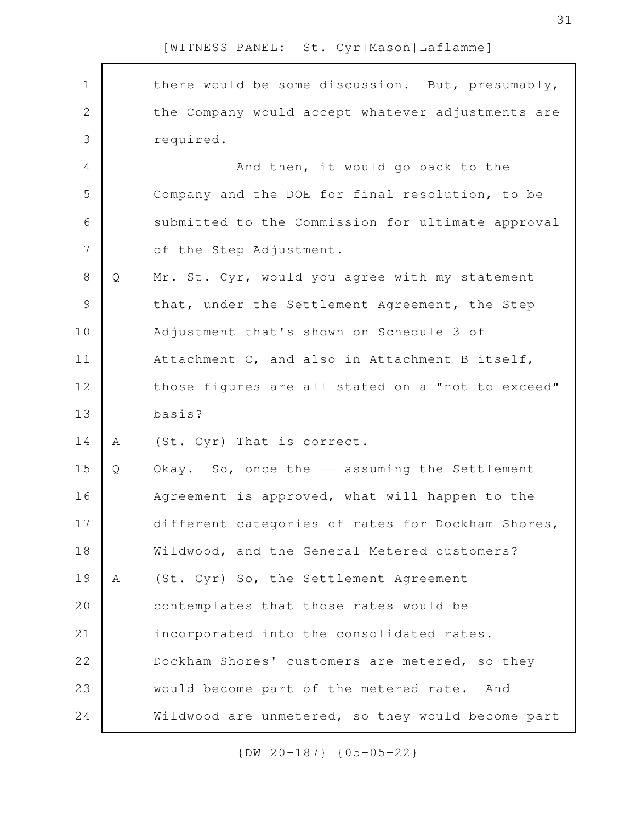there would be some discussion. But, presumably, the Company would accept whatever adjustments are required. And then, it would go back to the Company and the DOE for final resolution, to be submitted to the Commission for ultimate approval of the Step Adjustment. Q Mr. St. Cyr, would you agree with my statement that, under the Settlement Agreement, the Step Adjustment that's shown on Schedule 3 of Attachment C, and also in Attachment B itself, those figures are all stated on a "not to exceed" basis? A (St. Cyr) That is correct. Q Okay. So, once the -- assuming the Settlement Agreement is approved, what will happen to the different categories of rates for Dockham Shores, Wildwood, and the General-Metered customers? A (St. Cyr) So, the Settlement Agreement contemplates that those rates would be incorporated into the consolidated rates. Dockham Shores' customers are metered, so they would become part of the metered rate. And Wildwood are unmetered, so they would become part 1 2 3 4 5 6 7 8 9 10 11 12 13 14 15 16 17 18 19 20 21 22 23 24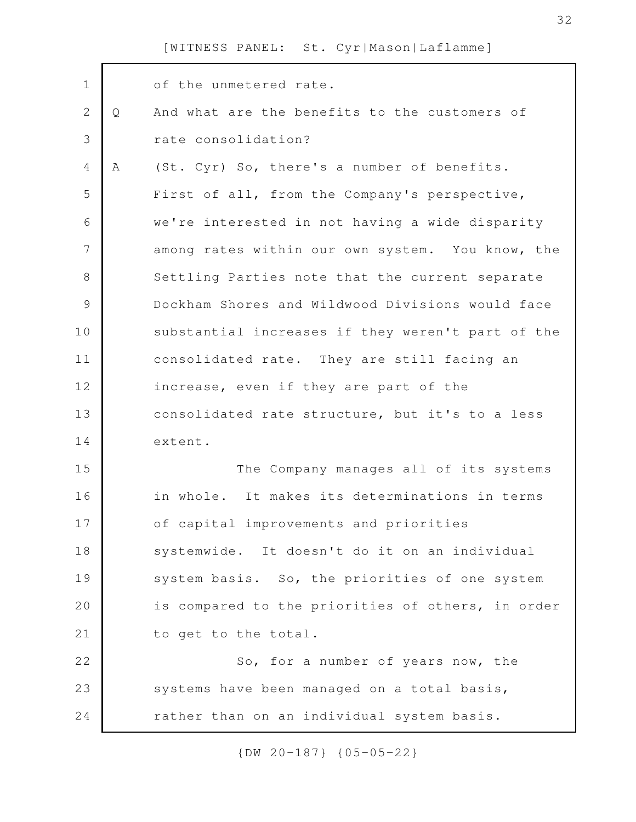| $\mathbf 1$    |   | of the unmetered rate.                            |
|----------------|---|---------------------------------------------------|
| $\overline{2}$ | Q | And what are the benefits to the customers of     |
| 3              |   | rate consolidation?                               |
| $\overline{4}$ | A | (St. Cyr) So, there's a number of benefits.       |
| 5              |   | First of all, from the Company's perspective,     |
| 6              |   | we're interested in not having a wide disparity   |
| 7              |   | among rates within our own system. You know, the  |
| 8              |   | Settling Parties note that the current separate   |
| $\mathcal{G}$  |   | Dockham Shores and Wildwood Divisions would face  |
| 10             |   | substantial increases if they weren't part of the |
| 11             |   | consolidated rate. They are still facing an       |
| 12             |   | increase, even if they are part of the            |
| 13             |   | consolidated rate structure, but it's to a less   |
| 14             |   | extent.                                           |
| 15             |   | The Company manages all of its systems            |
| 16             |   | in whole. It makes its determinations in terms    |
| 17             |   | of capital improvements and priorities            |
| 18             |   | systemwide. It doesn't do it on an individual     |
| 19             |   | system basis. So, the priorities of one system    |
| 20             |   | is compared to the priorities of others, in order |
| 21             |   | to get to the total.                              |
| 22             |   | So, for a number of years now, the                |
| 23             |   | systems have been managed on a total basis,       |
| 24             |   | rather than on an individual system basis.        |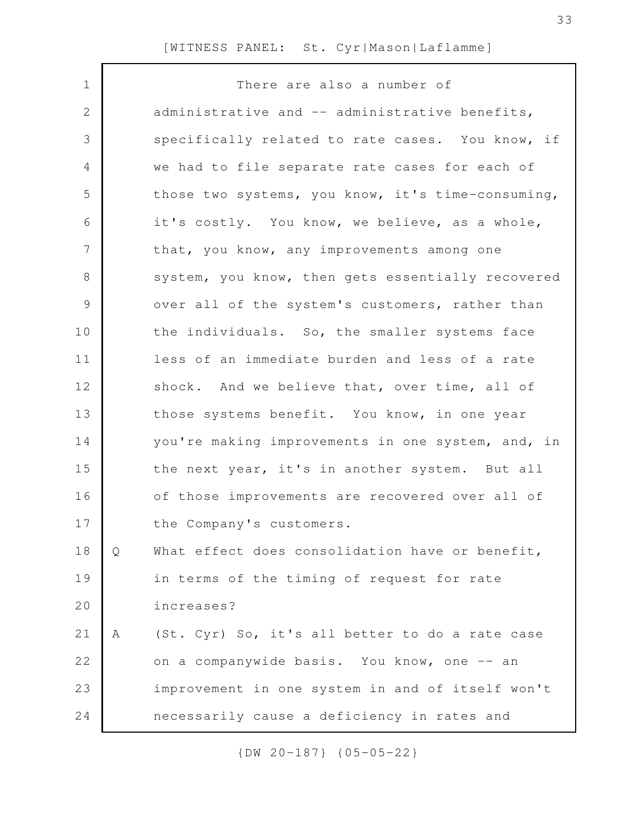| $\mathbf 1$    |   | There are also a number of                        |
|----------------|---|---------------------------------------------------|
| $\mathbf{2}$   |   | administrative and -- administrative benefits,    |
| 3              |   | specifically related to rate cases. You know, if  |
| $\overline{4}$ |   | we had to file separate rate cases for each of    |
| 5              |   | those two systems, you know, it's time-consuming, |
| 6              |   | it's costly. You know, we believe, as a whole,    |
| 7              |   | that, you know, any improvements among one        |
| 8              |   | system, you know, then gets essentially recovered |
| $\mathcal{G}$  |   | over all of the system's customers, rather than   |
| 10             |   | the individuals. So, the smaller systems face     |
| 11             |   | less of an immediate burden and less of a rate    |
| 12             |   | shock. And we believe that, over time, all of     |
| 13             |   | those systems benefit. You know, in one year      |
| 14             |   | you're making improvements in one system, and, in |
| 15             |   | the next year, it's in another system. But all    |
| 16             |   | of those improvements are recovered over all of   |
| 17             |   | the Company's customers.                          |
| 18             | Q | What effect does consolidation have or benefit,   |
| 19             |   | in terms of the timing of request for rate        |
| 20             |   | increases?                                        |
| 21             | Α | (St. Cyr) So, it's all better to do a rate case   |
| 22             |   | on a companywide basis. You know, one -- an       |
| 23             |   | improvement in one system in and of itself won't  |
| 24             |   | necessarily cause a deficiency in rates and       |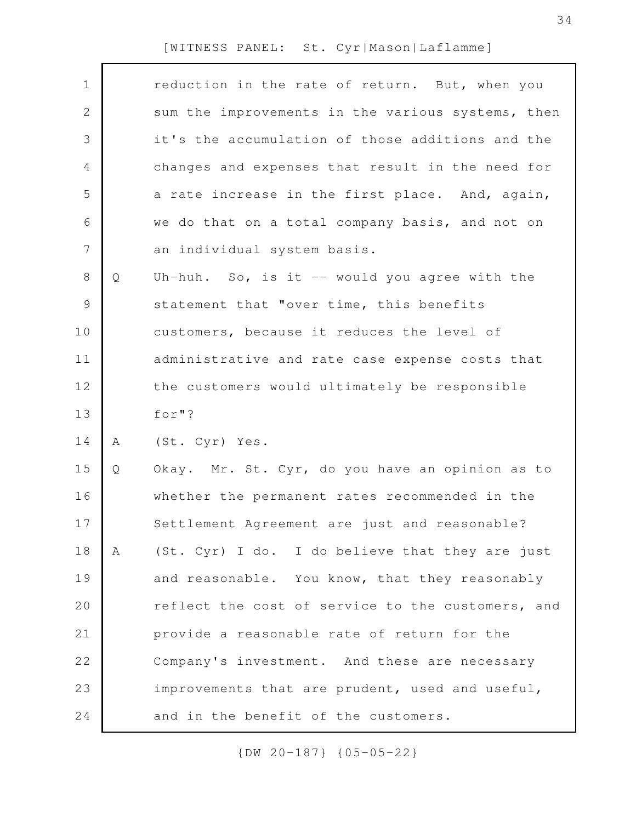|   | reduction in the rate of return. But, when you    |
|---|---------------------------------------------------|
|   | sum the improvements in the various systems, then |
|   | it's the accumulation of those additions and the  |
|   | changes and expenses that result in the need for  |
|   | a rate increase in the first place. And, again,   |
|   | we do that on a total company basis, and not on   |
|   | an individual system basis.                       |
| Q | Uh-huh. So, is it $-$ would you agree with the    |
|   | statement that "over time, this benefits          |
|   | customers, because it reduces the level of        |
|   | administrative and rate case expense costs that   |
|   | the customers would ultimately be responsible     |
|   | for "?                                            |
| Α | (St. Cyr) Yes.                                    |
| Q | Okay. Mr. St. Cyr, do you have an opinion as to   |
|   | whether the permanent rates recommended in the    |
|   | Settlement Agreement are just and reasonable?     |
| A | (St. Cyr) I do. I do believe that they are just   |
|   | and reasonable. You know, that they reasonably    |
|   | reflect the cost of service to the customers, and |
|   | provide a reasonable rate of return for the       |
|   | Company's investment. And these are necessary     |
|   | improvements that are prudent, used and useful,   |
|   | and in the benefit of the customers.              |
|   |                                                   |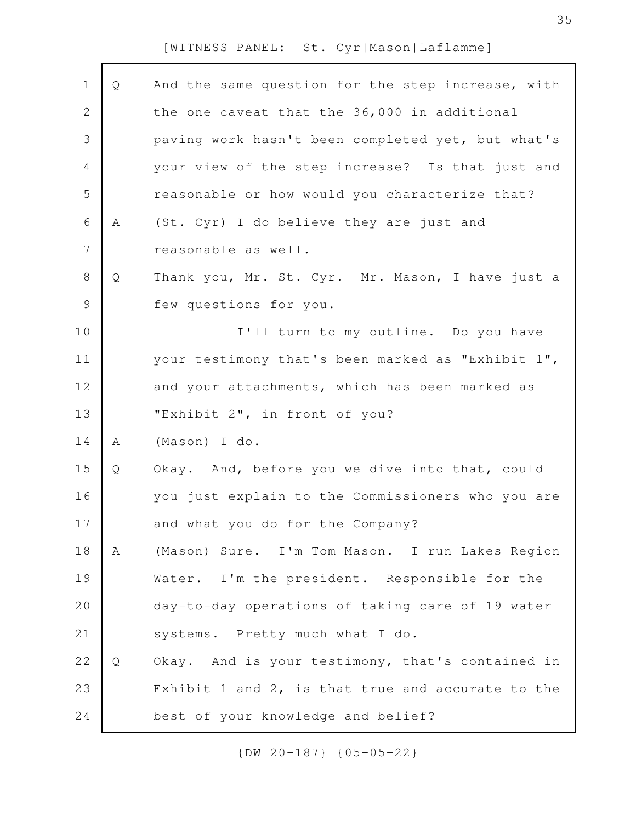| $\mathbf 1$    | Q | And the same question for the step increase, with |
|----------------|---|---------------------------------------------------|
| $\overline{2}$ |   | the one caveat that the 36,000 in additional      |
| 3              |   | paving work hasn't been completed yet, but what's |
| 4              |   | your view of the step increase? Is that just and  |
| 5              |   | reasonable or how would you characterize that?    |
| 6              | A | (St. Cyr) I do believe they are just and          |
| 7              |   | reasonable as well.                               |
| $8\,$          | Q | Thank you, Mr. St. Cyr. Mr. Mason, I have just a  |
| $\mathcal{G}$  |   | few questions for you.                            |
| 10             |   | I'll turn to my outline. Do you have              |
| 11             |   | your testimony that's been marked as "Exhibit 1", |
| 12             |   | and your attachments, which has been marked as    |
| 13             |   | "Exhibit 2", in front of you?                     |
| 14             | Α | (Mason) I do.                                     |
| 15             | Q | Okay. And, before you we dive into that, could    |
| 16             |   | you just explain to the Commissioners who you are |
| 17             |   | and what you do for the Company?                  |
| 18             | Α | (Mason) Sure. I'm Tom Mason. I run Lakes Region   |
| 19             |   | Water. I'm the president. Responsible for the     |
| 20             |   | day-to-day operations of taking care of 19 water  |
| 21             |   | systems. Pretty much what I do.                   |
| 22             | Q | Okay. And is your testimony, that's contained in  |
| 23             |   | Exhibit 1 and 2, is that true and accurate to the |
|                |   |                                                   |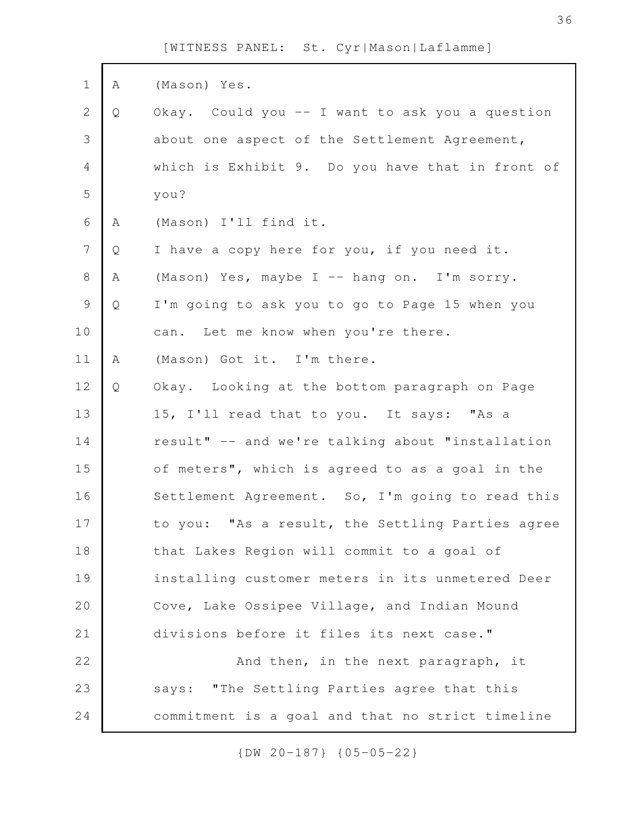| $\mathbf 1$    | Α | (Mason) Yes.                                     |
|----------------|---|--------------------------------------------------|
| $\mathbf{2}$   | Q | Okay. Could you -- I want to ask you a question  |
| 3              |   | about one aspect of the Settlement Agreement,    |
| 4              |   | which is Exhibit 9. Do you have that in front of |
| 5              |   | you?                                             |
| 6              | Α | (Mason) I'll find it.                            |
| $\overline{7}$ | Q | I have a copy here for you, if you need it.      |
| $8\,$          | Α | (Mason) Yes, maybe I -- hang on. I'm sorry.      |
| $\mathcal{G}$  | Q | I'm going to ask you to go to Page 15 when you   |
| 10             |   | can. Let me know when you're there.              |
| 11             | Α | (Mason) Got it. I'm there.                       |
| 12             | Q | Okay. Looking at the bottom paragraph on Page    |
| 13             |   | 15, I'll read that to you. It says: "As a        |
| 14             |   | result" -- and we're talking about "installation |
| 15             |   | of meters", which is agreed to as a goal in the  |
| 16             |   | Settlement Agreement. So, I'm going to read this |
| 17             |   | to you: "As a result, the Settling Parties agree |
| 18             |   | that Lakes Region will commit to a goal of       |
| 19             |   | installing customer meters in its unmetered Deer |
| 20             |   | Cove, Lake Ossipee Village, and Indian Mound     |
| 21             |   | divisions before it files its next case."        |
| 22             |   | And then, in the next paragraph, it              |
| 23             |   | says: "The Settling Parties agree that this      |
| 24             |   | commitment is a goal and that no strict timeline |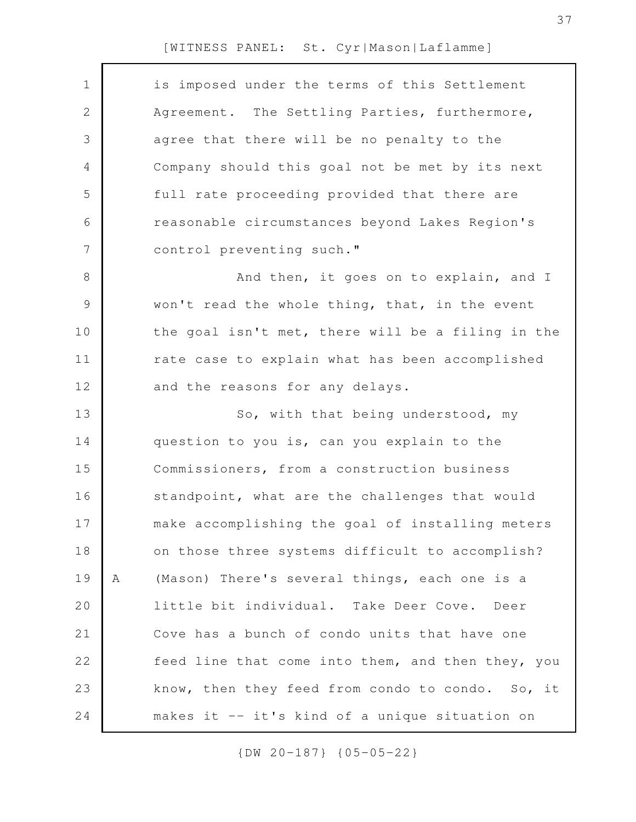| $\mathbf 1$ | is imposed under the terms of this Settlement      |
|-------------|----------------------------------------------------|
| 2           | Agreement. The Settling Parties, furthermore,      |
| 3           | agree that there will be no penalty to the         |
| 4           | Company should this goal not be met by its next    |
| 5           | full rate proceeding provided that there are       |
| 6           | reasonable circumstances beyond Lakes Region's     |
| 7           | control preventing such."                          |
| $8\,$       | And then, it goes on to explain, and I             |
| $\mathsf 9$ | won't read the whole thing, that, in the event     |
| 10          | the goal isn't met, there will be a filing in the  |
| 11          | rate case to explain what has been accomplished    |
| 12          | and the reasons for any delays.                    |
| 13          | So, with that being understood, my                 |
| 14          | question to you is, can you explain to the         |
| 15          | Commissioners, from a construction business        |
| 16          | standpoint, what are the challenges that would     |
| 17          | make accomplishing the goal of installing meters   |
| 18          | on those three systems difficult to accomplish?    |
| 19          | (Mason) There's several things, each one is a<br>Α |
| 20          | little bit individual. Take Deer Cove. Deer        |
| 21          | Cove has a bunch of condo units that have one      |
| 22          | feed line that come into them, and then they, you  |
| 23          | know, then they feed from condo to condo. So, it   |
| 24          | makes it -- it's kind of a unique situation on     |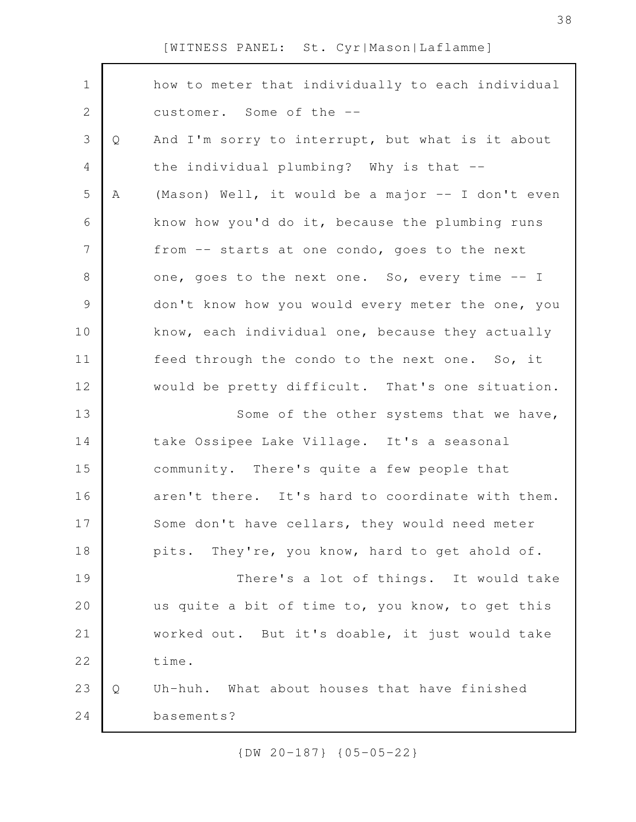| $\mathbf 1$    |   | how to meter that individually to each individual |
|----------------|---|---------------------------------------------------|
| $\mathbf{2}$   |   | customer. Some of the --                          |
| $\mathfrak{Z}$ | Q | And I'm sorry to interrupt, but what is it about  |
| $\overline{4}$ |   | the individual plumbing? Why is that --           |
| 5              | Α | (Mason) Well, it would be a major -- I don't even |
| 6              |   | know how you'd do it, because the plumbing runs   |
| $\overline{7}$ |   | from -- starts at one condo, goes to the next     |
| $8\,$          |   | one, goes to the next one. So, every time -- I    |
| $\mathsf 9$    |   | don't know how you would every meter the one, you |
| 10             |   | know, each individual one, because they actually  |
| 11             |   | feed through the condo to the next one. So, it    |
| 12             |   | would be pretty difficult. That's one situation.  |
| 13             |   | Some of the other systems that we have,           |
| 14             |   | take Ossipee Lake Village. It's a seasonal        |
| 15             |   | community. There's quite a few people that        |
| 16             |   | aren't there. It's hard to coordinate with them.  |
| 17             |   | Some don't have cellars, they would need meter    |
| 18             |   | pits. They're, you know, hard to get ahold of.    |
| 19             |   | There's a lot of things. It would take            |
| 20             |   | us quite a bit of time to, you know, to get this  |
| 21             |   | worked out. But it's doable, it just would take   |
| 22             |   | time.                                             |
| 23             | Q | Uh-huh. What about houses that have finished      |
| 24             |   | basements?                                        |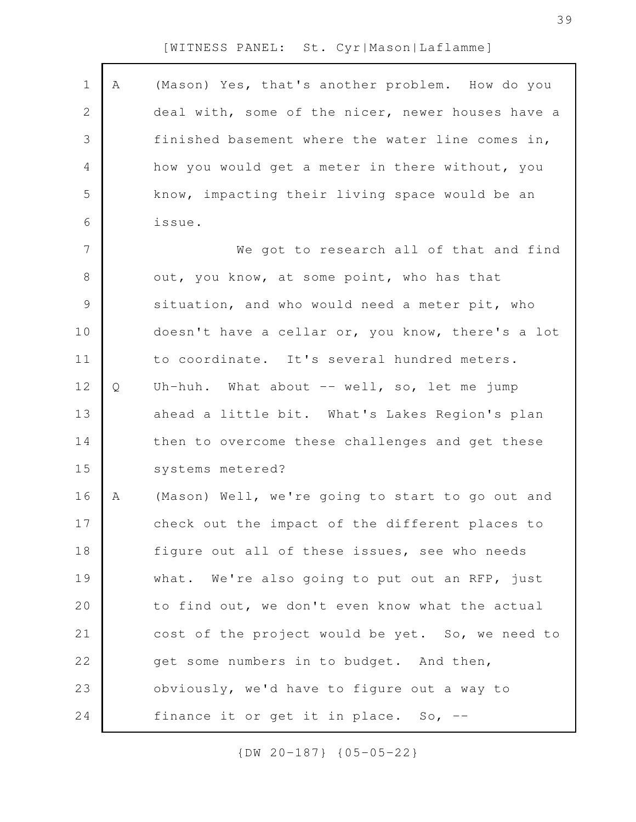| $\mathbf 1$    | A | (Mason) Yes, that's another problem. How do you   |
|----------------|---|---------------------------------------------------|
| $\mathbf{2}$   |   | deal with, some of the nicer, newer houses have a |
| $\mathfrak{Z}$ |   | finished basement where the water line comes in,  |
| 4              |   | how you would get a meter in there without, you   |
| 5              |   | know, impacting their living space would be an    |
| 6              |   | issue.                                            |
| $\overline{7}$ |   | We got to research all of that and find           |
| $8\,$          |   | out, you know, at some point, who has that        |
| $\mathsf 9$    |   | situation, and who would need a meter pit, who    |
| 10             |   | doesn't have a cellar or, you know, there's a lot |
| 11             |   | to coordinate. It's several hundred meters.       |
| 12             | Q | Uh-huh. What about -- well, so, let me jump       |
| 13             |   | ahead a little bit. What's Lakes Region's plan    |
| 14             |   | then to overcome these challenges and get these   |
| 15             |   | systems metered?                                  |
| 16             | А | (Mason) Well, we're going to start to go out and  |
| 17             |   | check out the impact of the different places to   |
| 18             |   | figure out all of these issues, see who needs     |
| 19             |   | what. We're also going to put out an RFP, just    |
| 20             |   | to find out, we don't even know what the actual   |
| 21             |   | cost of the project would be yet. So, we need to  |
| 22             |   | get some numbers in to budget. And then,          |
| 23             |   | obviously, we'd have to figure out a way to       |
| 24             |   | finance it or get it in place. So, --             |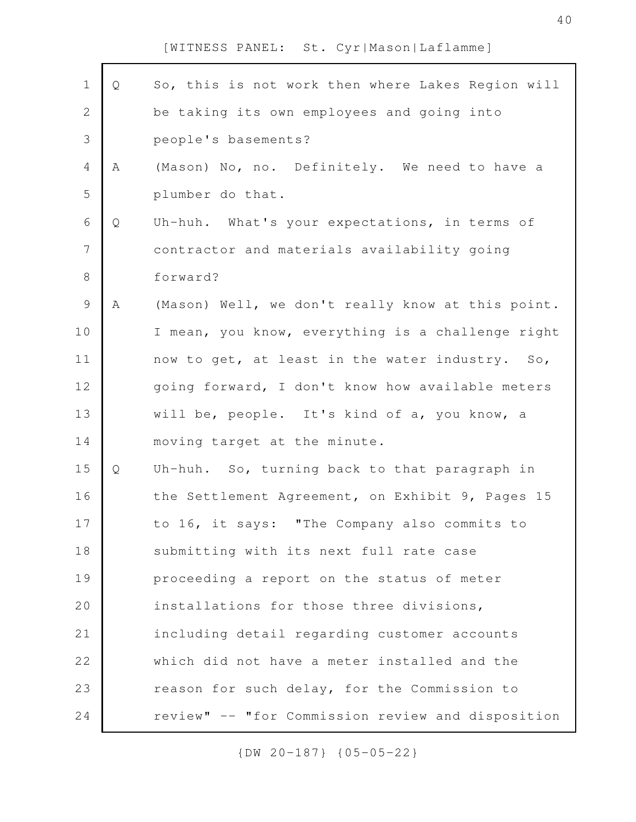| $\mathbf 1$    | Q | So, this is not work then where Lakes Region will |
|----------------|---|---------------------------------------------------|
| $\mathbf{2}$   |   | be taking its own employees and going into        |
| 3              |   | people's basements?                               |
| $\overline{4}$ | A | (Mason) No, no. Definitely. We need to have a     |
| 5              |   | plumber do that.                                  |
| 6              | Q | Uh-huh. What's your expectations, in terms of     |
| $\overline{7}$ |   | contractor and materials availability going       |
| $8\,$          |   | forward?                                          |
| $\mathsf 9$    | A | (Mason) Well, we don't really know at this point. |
| 10             |   | I mean, you know, everything is a challenge right |
| 11             |   | now to get, at least in the water industry. So,   |
| 12             |   | going forward, I don't know how available meters  |
| 13             |   | will be, people. It's kind of a, you know, a      |
| 14             |   | moving target at the minute.                      |
| 15             | Q | Uh-huh. So, turning back to that paragraph in     |
| 16             |   | the Settlement Agreement, on Exhibit 9, Pages 15  |
| 17             |   | to 16, it says: "The Company also commits to      |
| 18             |   | submitting with its next full rate case           |
| 19             |   | proceeding a report on the status of meter        |
| 20             |   | installations for those three divisions,          |
| 21             |   | including detail regarding customer accounts      |
| 22             |   | which did not have a meter installed and the      |
| 23             |   | reason for such delay, for the Commission to      |
| 24             |   | review" -- "for Commission review and disposition |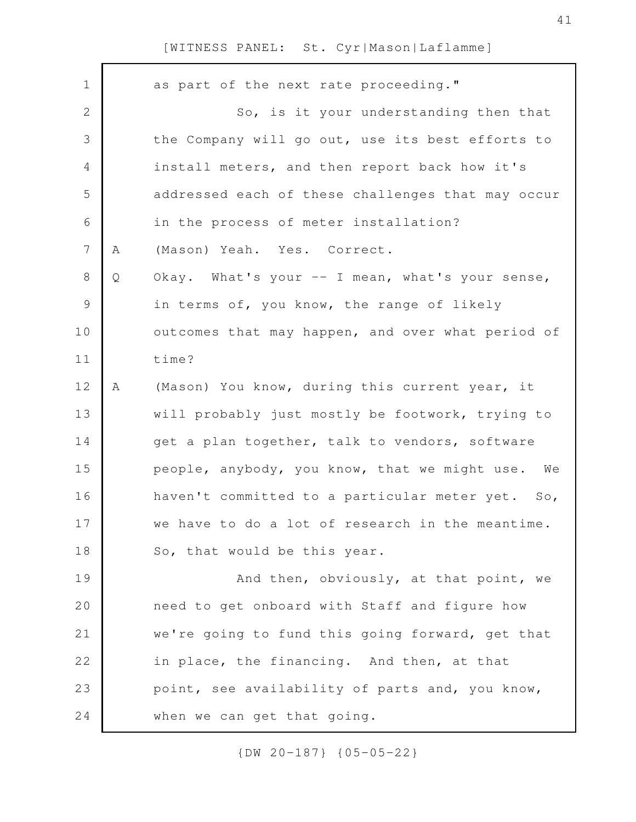| $\mathbf 1$     |   | as part of the next rate proceeding."               |
|-----------------|---|-----------------------------------------------------|
| 2               |   | So, is it your understanding then that              |
| 3               |   | the Company will go out, use its best efforts to    |
| 4               |   | install meters, and then report back how it's       |
| 5               |   | addressed each of these challenges that may occur   |
| 6               |   | in the process of meter installation?               |
| $7\phantom{.0}$ | Α | (Mason) Yeah. Yes. Correct.                         |
| 8               | Q | Okay. What's your -- I mean, what's your sense,     |
| $\mathsf 9$     |   | in terms of, you know, the range of likely          |
| 10              |   | outcomes that may happen, and over what period of   |
| 11              |   | time?                                               |
| 12              | Α | (Mason) You know, during this current year, it      |
| 13              |   | will probably just mostly be footwork, trying to    |
| 14              |   | get a plan together, talk to vendors, software      |
| 15              |   | people, anybody, you know, that we might use. We    |
| 16              |   | haven't committed to a particular meter yet.<br>So, |
| 17              |   | we have to do a lot of research in the meantime.    |
| 18              |   | So, that would be this year.                        |
| 19              |   | And then, obviously, at that point, we              |
| 20              |   | need to get onboard with Staff and figure how       |
| 21              |   | we're going to fund this going forward, get that    |
| 22              |   | in place, the financing. And then, at that          |
| 23              |   | point, see availability of parts and, you know,     |
| 24              |   | when we can get that going.                         |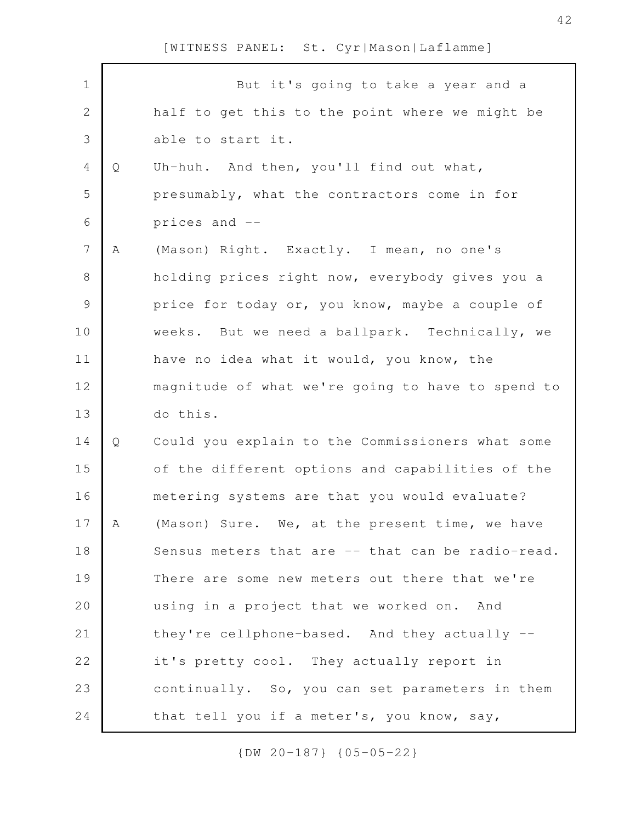| $\mathbf 1$    |   | But it's going to take a year and a               |
|----------------|---|---------------------------------------------------|
| $\sqrt{2}$     |   | half to get this to the point where we might be   |
| 3              |   | able to start it.                                 |
| $\overline{4}$ | Q | Uh-huh. And then, you'll find out what,           |
| 5              |   | presumably, what the contractors come in for      |
| 6              |   | prices and --                                     |
| $\overline{7}$ | Α | (Mason) Right. Exactly. I mean, no one's          |
| $8\,$          |   | holding prices right now, everybody gives you a   |
| $\mathcal{G}$  |   | price for today or, you know, maybe a couple of   |
| 10             |   | weeks. But we need a ballpark. Technically, we    |
| 11             |   | have no idea what it would, you know, the         |
| 12             |   | magnitude of what we're going to have to spend to |
| 13             |   | do this.                                          |
| 14             | Q | Could you explain to the Commissioners what some  |
| 15             |   | of the different options and capabilities of the  |
| 16             |   | metering systems are that you would evaluate?     |
| 17             | А | (Mason) Sure. We, at the present time, we have    |
| 18             |   | Sensus meters that are -- that can be radio-read. |
| 19             |   | There are some new meters out there that we're    |
| 20             |   | using in a project that we worked on. And         |
| 21             |   | they're cellphone-based. And they actually --     |
| 22             |   |                                                   |
|                |   | it's pretty cool. They actually report in         |
| 23             |   | continually. So, you can set parameters in them   |
| 24             |   | that tell you if a meter's, you know, say,        |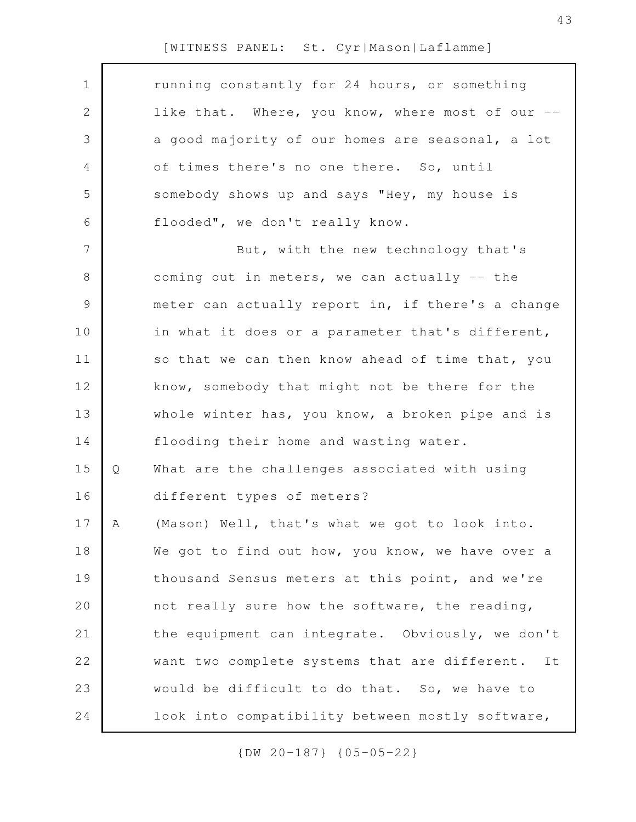| $\mathbf 1$  |   | running constantly for 24 hours, or something       |
|--------------|---|-----------------------------------------------------|
| $\mathbf{2}$ |   | like that. Where, you know, where most of our --    |
| 3            |   | a good majority of our homes are seasonal, a lot    |
| 4            |   | of times there's no one there. So, until            |
| 5            |   | somebody shows up and says "Hey, my house is        |
| 6            |   | flooded", we don't really know.                     |
| 7            |   | But, with the new technology that's                 |
| $\,8\,$      |   | coming out in meters, we can actually -- the        |
| $\mathsf 9$  |   | meter can actually report in, if there's a change   |
| 10           |   | in what it does or a parameter that's different,    |
| 11           |   | so that we can then know ahead of time that, you    |
| 12           |   | know, somebody that might not be there for the      |
| 13           |   | whole winter has, you know, a broken pipe and is    |
| 14           |   | flooding their home and wasting water.              |
| 15           | Q | What are the challenges associated with using       |
| 16           |   | different types of meters?                          |
| 17           | A | (Mason) Well, that's what we got to look into.      |
| 18           |   | We got to find out how, you know, we have over a    |
| 19           |   | thousand Sensus meters at this point, and we're     |
| 20           |   | not really sure how the software, the reading,      |
| 21           |   | the equipment can integrate. Obviously, we don't    |
| 22           |   | want two complete systems that are different.<br>It |
| 23           |   | would be difficult to do that. So, we have to       |
| 24           |   | look into compatibility between mostly software,    |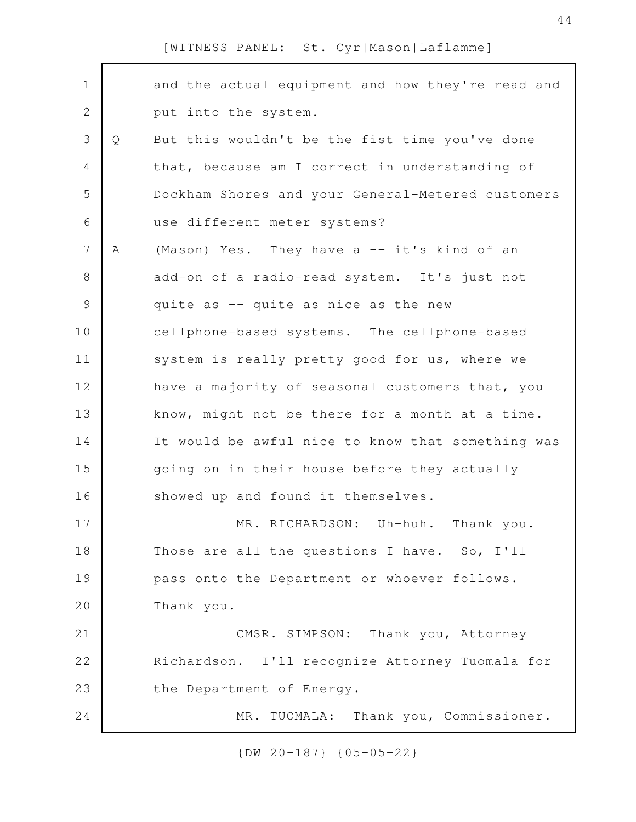| $\mathbf 1$    |   | and the actual equipment and how they're read and |
|----------------|---|---------------------------------------------------|
| $\mathbf 2$    |   | put into the system.                              |
| 3              | Q | But this wouldn't be the fist time you've done    |
| $\overline{4}$ |   | that, because am I correct in understanding of    |
| 5              |   | Dockham Shores and your General-Metered customers |
| 6              |   | use different meter systems?                      |
| $\overline{7}$ | Α | (Mason) Yes. They have a -- it's kind of an       |
| 8              |   | add-on of a radio-read system. It's just not      |
| $\mathsf 9$    |   | quite as -- quite as nice as the new              |
| 10             |   | cellphone-based systems. The cellphone-based      |
| 11             |   | system is really pretty good for us, where we     |
| 12             |   | have a majority of seasonal customers that, you   |
| 13             |   | know, might not be there for a month at a time.   |
| 14             |   | It would be awful nice to know that something was |
| 15             |   | going on in their house before they actually      |
| 16             |   | showed up and found it themselves.                |
| 17             |   | MR. RICHARDSON: Uh-huh. Thank you.                |
| 18             |   | Those are all the questions I have. So, I'll      |
| 19             |   | pass onto the Department or whoever follows.      |
| 20             |   | Thank you.                                        |
| 21             |   | CMSR. SIMPSON: Thank you, Attorney                |
| 22             |   | Richardson. I'll recognize Attorney Tuomala for   |
| 23             |   | the Department of Energy.                         |
| 24             |   | Thank you, Commissioner.<br>MR. TUOMALA:          |
|                |   |                                                   |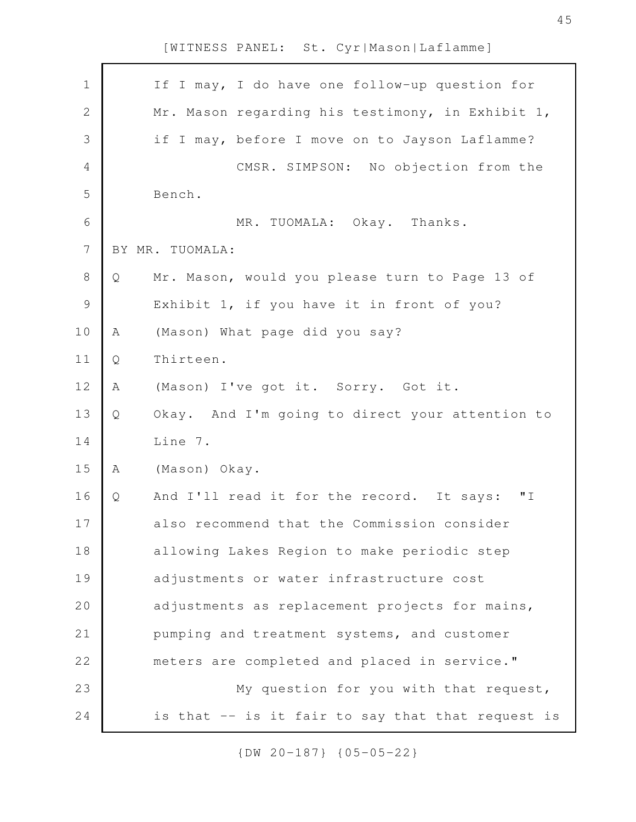| $\mathbf 1$    | If I may, I do have one follow-up question for        |
|----------------|-------------------------------------------------------|
| $\mathbf{2}$   | Mr. Mason regarding his testimony, in Exhibit 1,      |
| 3              | if I may, before I move on to Jayson Laflamme?        |
| $\overline{4}$ | CMSR. SIMPSON: No objection from the                  |
| 5              | Bench.                                                |
| $\sqrt{6}$     | MR. TUOMALA: Okay. Thanks.                            |
| $\overline{7}$ | BY MR. TUOMALA:                                       |
| $8\,$          | Mr. Mason, would you please turn to Page 13 of<br>Q   |
| $\mathcal{G}$  | Exhibit 1, if you have it in front of you?            |
| 10             | (Mason) What page did you say?<br>A                   |
| 11             | Thirteen.<br>Q                                        |
| 12             | (Mason) I've got it. Sorry. Got it.<br>A              |
| 13             | Okay. And I'm going to direct your attention to<br>Q  |
| 14             | Line 7.                                               |
| 15             | (Mason) Okay.<br>Α                                    |
| 16             | " I<br>Q<br>And I'll read it for the record. It says: |
| 17             | also recommend that the Commission consider           |
| 18             | allowing Lakes Region to make periodic step           |
| 19             | adjustments or water infrastructure cost              |
| 20             | adjustments as replacement projects for mains,        |
| 21             | pumping and treatment systems, and customer           |
| 22             | meters are completed and placed in service."          |
| 23             | My question for you with that request,                |
| 24             | is that -- is it fair to say that that request is     |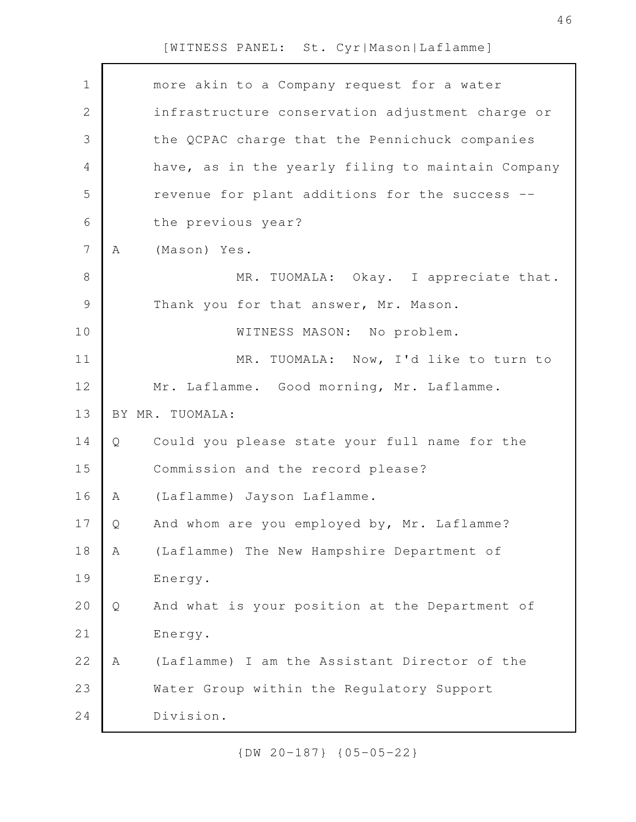| $\mathbf 1$    |   | more akin to a Company request for a water        |
|----------------|---|---------------------------------------------------|
| $\mathbf{2}$   |   | infrastructure conservation adjustment charge or  |
| 3              |   | the QCPAC charge that the Pennichuck companies    |
| $\overline{4}$ |   | have, as in the yearly filing to maintain Company |
| 5              |   | revenue for plant additions for the success       |
| 6              |   | the previous year?                                |
| $\overline{7}$ | Α | (Mason) Yes.                                      |
| $\,8\,$        |   | MR. TUOMALA: Okay. I appreciate that.             |
| $\mathcal{G}$  |   | Thank you for that answer, Mr. Mason.             |
| 10             |   | WITNESS MASON: No problem.                        |
| 11             |   | MR. TUOMALA: Now, I'd like to turn to             |
| 12             |   | Mr. Laflamme. Good morning, Mr. Laflamme.         |
| 13             |   | BY MR. TUOMALA:                                   |
| 14             | Q | Could you please state your full name for the     |
| 15             |   | Commission and the record please?                 |
| 16             | Α | (Laflamme) Jayson Laflamme.                       |
| 17             | Q | And whom are you employed by, Mr. Laflamme?       |
| 18             | Α | (Laflamme) The New Hampshire Department of        |
| 19             |   | Energy.                                           |
| 20             | Q | And what is your position at the Department of    |
| 21             |   | Energy.                                           |
| 22             | Α | (Laflamme) I am the Assistant Director of the     |
| 23             |   | Water Group within the Regulatory Support         |
| 24             |   | Division.                                         |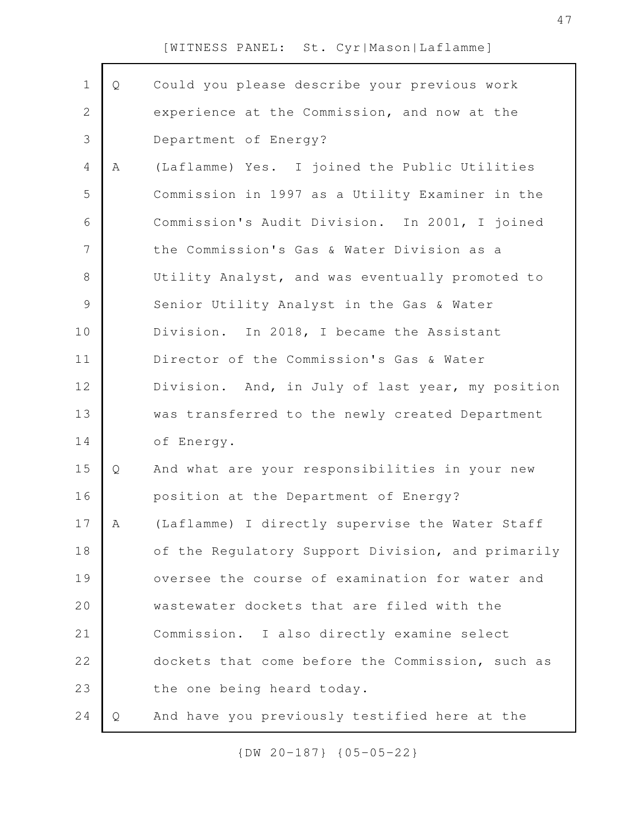| $\mathbf 1$    | Q | Could you please describe your previous work      |
|----------------|---|---------------------------------------------------|
| $\overline{2}$ |   | experience at the Commission, and now at the      |
| 3              |   | Department of Energy?                             |
| 4              | Α | (Laflamme) Yes. I joined the Public Utilities     |
| 5              |   | Commission in 1997 as a Utility Examiner in the   |
| $\sqrt{6}$     |   | Commission's Audit Division. In 2001, I joined    |
| 7              |   | the Commission's Gas & Water Division as a        |
| 8              |   | Utility Analyst, and was eventually promoted to   |
| $\mathcal{G}$  |   | Senior Utility Analyst in the Gas & Water         |
| 10             |   | Division. In 2018, I became the Assistant         |
| 11             |   | Director of the Commission's Gas & Water          |
| 12             |   | Division. And, in July of last year, my position  |
| 13             |   | was transferred to the newly created Department   |
| 14             |   | of Energy.                                        |
| 15             | Q | And what are your responsibilities in your new    |
| 16             |   | position at the Department of Energy?             |
| 17             | Α | (Laflamme) I directly supervise the Water Staff   |
| 18             |   | of the Regulatory Support Division, and primarily |
| 19             |   | oversee the course of examination for water and   |
| 20             |   | wastewater dockets that are filed with the        |
| 21             |   | Commission. I also directly examine select        |
| 22             |   | dockets that come before the Commission, such as  |
| 23             |   | the one being heard today.                        |
| 24             | Q | And have you previously testified here at the     |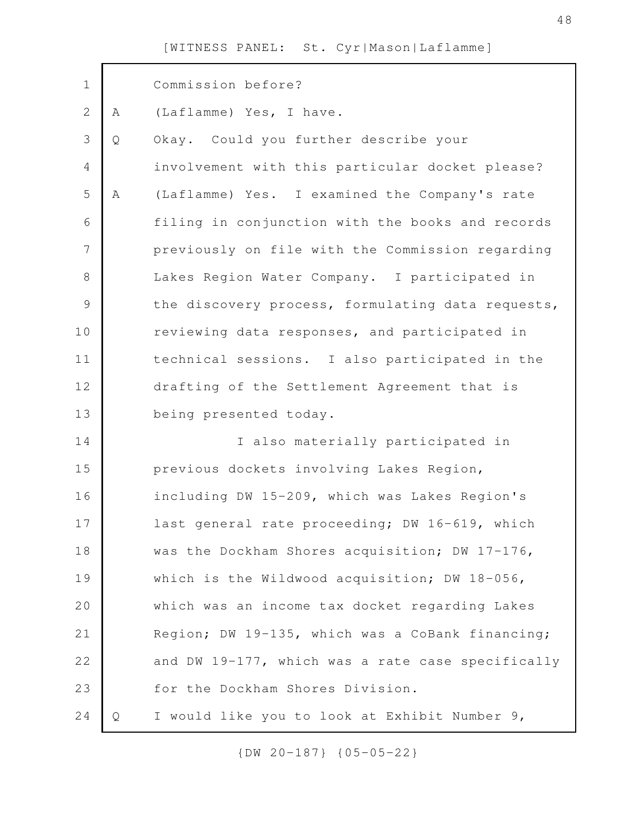| $\mathbf 1$    |   | Commission before?                                |
|----------------|---|---------------------------------------------------|
| $\mathbf{2}$   | Α | (Laflamme) Yes, I have.                           |
| 3              | Q | Okay. Could you further describe your             |
| $\overline{4}$ |   | involvement with this particular docket please?   |
| 5              | Α | (Laflamme) Yes. I examined the Company's rate     |
| 6              |   | filing in conjunction with the books and records  |
| $\overline{7}$ |   | previously on file with the Commission regarding  |
| $\,8\,$        |   | Lakes Region Water Company. I participated in     |
| $\mathcal{G}$  |   | the discovery process, formulating data requests, |
| 10             |   | reviewing data responses, and participated in     |
| 11             |   | technical sessions. I also participated in the    |
| 12             |   | drafting of the Settlement Agreement that is      |
| 13             |   | being presented today.                            |
| 14             |   | I also materially participated in                 |
| 15             |   | previous dockets involving Lakes Region,          |
| 16             |   | including DW 15-209, which was Lakes Region's     |
| 17             |   | last general rate proceeding; DW 16-619, which    |
| 18             |   | was the Dockham Shores acquisition; DW 17-176,    |
| 19             |   | which is the Wildwood acquisition; DW 18-056,     |
| 20             |   | which was an income tax docket regarding Lakes    |
| 21             |   | Region; DW 19-135, which was a CoBank financing;  |
| 22             |   | and DW 19-177, which was a rate case specifically |
| 23             |   | for the Dockham Shores Division.                  |
| 24             | Q | I would like you to look at Exhibit Number 9,     |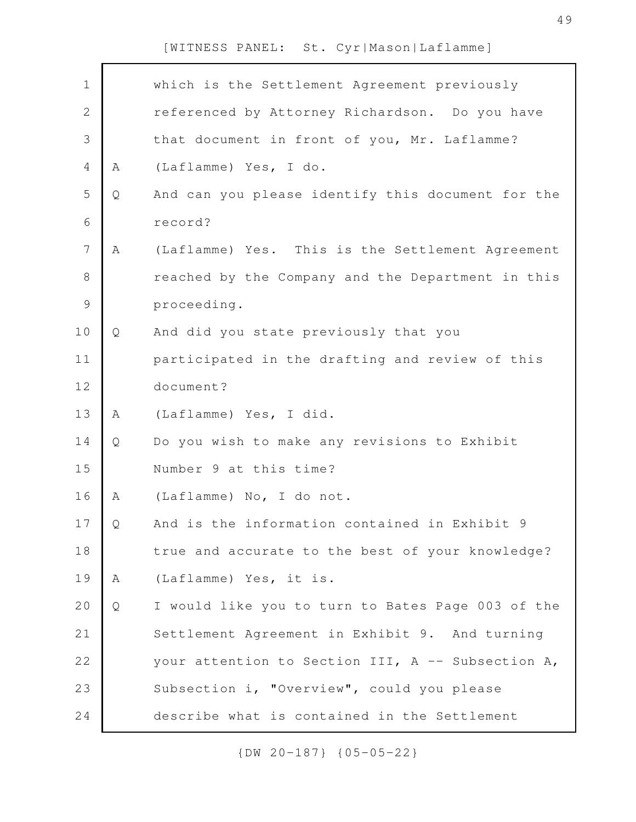| $\mathbf 1$    |   | which is the Settlement Agreement previously        |
|----------------|---|-----------------------------------------------------|
| $\overline{2}$ |   | referenced by Attorney Richardson. Do you have      |
| 3              |   | that document in front of you, Mr. Laflamme?        |
| $\overline{4}$ | A | (Laflamme) Yes, I do.                               |
| 5              | Q | And can you please identify this document for the   |
| 6              |   | record?                                             |
| 7              | A | (Laflamme) Yes. This is the Settlement Agreement    |
| $\,8\,$        |   | reached by the Company and the Department in this   |
| $\mathsf 9$    |   | proceeding.                                         |
| 10             | Q | And did you state previously that you               |
| 11             |   | participated in the drafting and review of this     |
| 12             |   | document?                                           |
| 13             | Α | (Laflamme) Yes, I did.                              |
| 14             | Q | Do you wish to make any revisions to Exhibit        |
| 15             |   | Number 9 at this time?                              |
| 16             | Α | (Laflamme) No, I do not.                            |
| 17             | Q | And is the information contained in Exhibit 9       |
| 18             |   | true and accurate to the best of your knowledge?    |
| 19             | A | (Laflamme) Yes, it is.                              |
| 20             | Q | I would like you to turn to Bates Page 003 of the   |
| 21             |   | Settlement Agreement in Exhibit 9. And turning      |
| 22             |   | your attention to Section III, $A$ -- Subsection A, |
| 23             |   | Subsection i, "Overview", could you please          |
| 24             |   | describe what is contained in the Settlement        |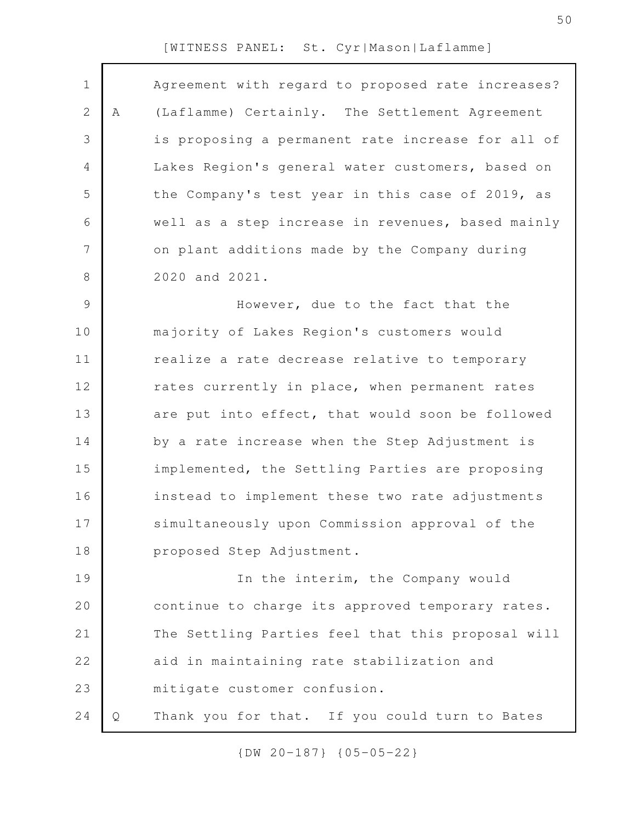| $\mathbf 1$    |   | Agreement with regard to proposed rate increases? |
|----------------|---|---------------------------------------------------|
| 2              | Α | (Laflamme) Certainly. The Settlement Agreement    |
| 3              |   | is proposing a permanent rate increase for all of |
| 4              |   | Lakes Region's general water customers, based on  |
| 5              |   | the Company's test year in this case of 2019, as  |
| 6              |   | well as a step increase in revenues, based mainly |
| $\overline{7}$ |   | on plant additions made by the Company during     |
| 8              |   | 2020 and 2021.                                    |
| 9              |   | However, due to the fact that the                 |
| 10             |   | majority of Lakes Region's customers would        |
| 11             |   | realize a rate decrease relative to temporary     |
| 12             |   | rates currently in place, when permanent rates    |
| 13             |   | are put into effect, that would soon be followed  |
| 14             |   | by a rate increase when the Step Adjustment is    |
| 15             |   | implemented, the Settling Parties are proposing   |
| 16             |   | instead to implement these two rate adjustments   |
| 17             |   | simultaneously upon Commission approval of the    |
| 18             |   | proposed Step Adjustment.                         |
| 19             |   | In the interim, the Company would                 |
| 20             |   | continue to charge its approved temporary rates.  |
| 21             |   | The Settling Parties feel that this proposal will |
| 22             |   | aid in maintaining rate stabilization and         |
| 23             |   | mitigate customer confusion.                      |
| 24             | Q | Thank you for that. If you could turn to Bates    |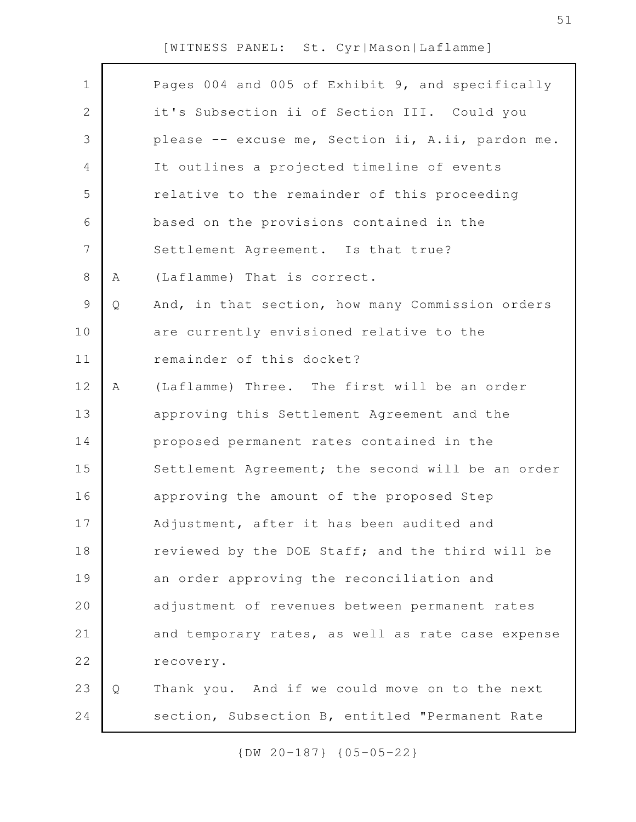| $\mathbf 1$   |   | Pages 004 and 005 of Exhibit 9, and specifically  |
|---------------|---|---------------------------------------------------|
| $\mathbf{2}$  |   | it's Subsection ii of Section III. Could you      |
| 3             |   | please -- excuse me, Section ii, A.ii, pardon me. |
| 4             |   | It outlines a projected timeline of events        |
| 5             |   | relative to the remainder of this proceeding      |
| 6             |   | based on the provisions contained in the          |
| 7             |   | Settlement Agreement. Is that true?               |
| 8             | Α | (Laflamme) That is correct.                       |
| $\mathcal{G}$ | Q | And, in that section, how many Commission orders  |
| 10            |   | are currently envisioned relative to the          |
| 11            |   | remainder of this docket?                         |
| 12            | Α | (Laflamme) Three. The first will be an order      |
| 13            |   | approving this Settlement Agreement and the       |
| 14            |   | proposed permanent rates contained in the         |
| 15            |   | Settlement Agreement; the second will be an order |
| 16            |   | approving the amount of the proposed Step         |
| 17            |   | Adjustment, after it has been audited and         |
| 18            |   | reviewed by the DOE Staff; and the third will be  |
| 19            |   | an order approving the reconciliation and         |
| 20            |   | adjustment of revenues between permanent rates    |
| 21            |   | and temporary rates, as well as rate case expense |
| 22            |   | recovery.                                         |
| 23            | Q | Thank you. And if we could move on to the next    |
| 24            |   | section, Subsection B, entitled "Permanent Rate   |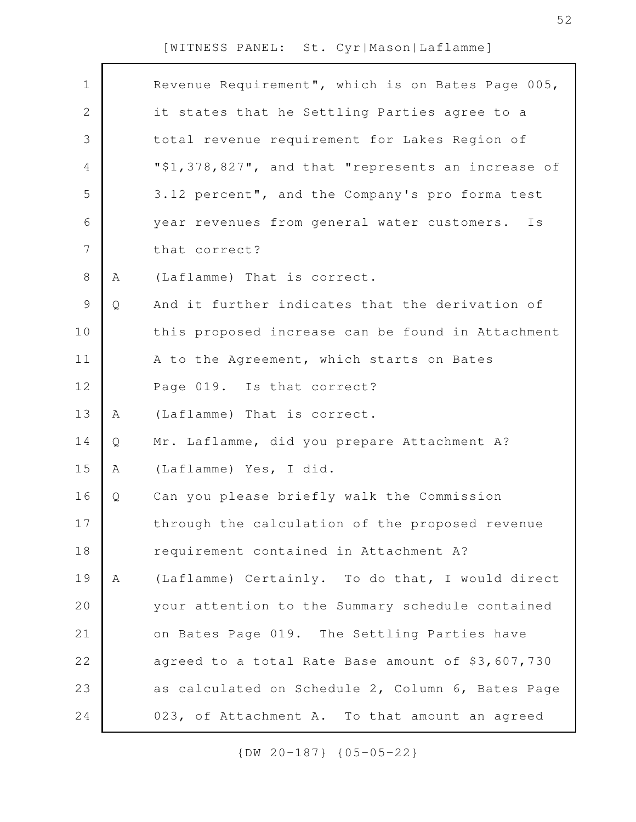| $\mathbf 1$    |   | Revenue Requirement", which is on Bates Page 005,  |
|----------------|---|----------------------------------------------------|
| $\overline{2}$ |   | it states that he Settling Parties agree to a      |
| 3              |   | total revenue requirement for Lakes Region of      |
| 4              |   | "\$1,378,827", and that "represents an increase of |
| 5              |   | 3.12 percent", and the Company's pro forma test    |
| 6              |   | year revenues from general water customers. Is     |
| 7              |   | that correct?                                      |
| $8\,$          | Α | (Laflamme) That is correct.                        |
| $\mathcal{G}$  | Q | And it further indicates that the derivation of    |
| 10             |   | this proposed increase can be found in Attachment  |
| 11             |   | A to the Agreement, which starts on Bates          |
| 12             |   | Page 019. Is that correct?                         |
| 13             | A | (Laflamme) That is correct.                        |
| 14             | Q | Mr. Laflamme, did you prepare Attachment A?        |
| 15             | Α | (Laflamme) Yes, I did.                             |
| 16             | Q | Can you please briefly walk the Commission         |
| 17             |   | through the calculation of the proposed revenue    |
| 18             |   | requirement contained in Attachment A?             |
| 19             | Α | (Laflamme) Certainly. To do that, I would direct   |
| 20             |   | your attention to the Summary schedule contained   |
| 21             |   | on Bates Page 019. The Settling Parties have       |
| 22             |   | agreed to a total Rate Base amount of \$3,607,730  |
| 23             |   | as calculated on Schedule 2, Column 6, Bates Page  |
| 24             |   | 023, of Attachment A. To that amount an agreed     |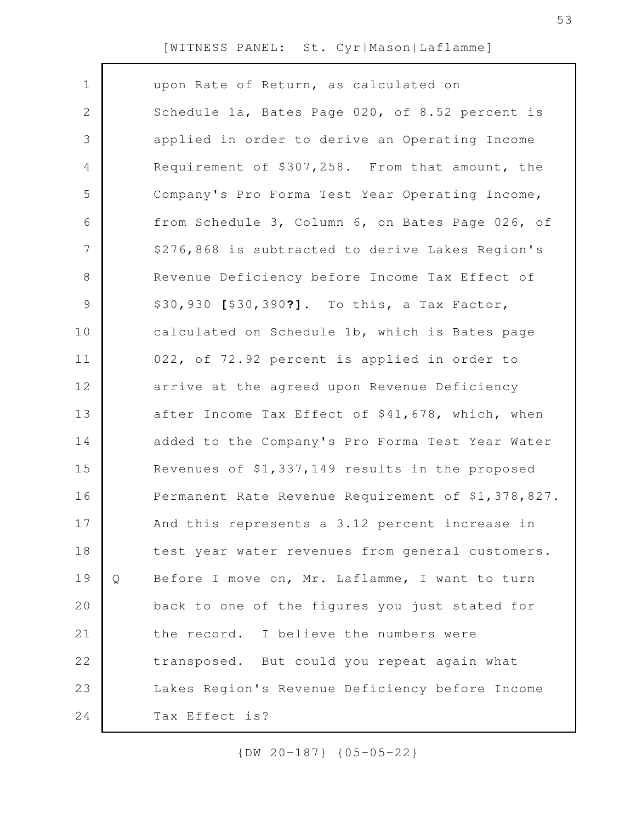| $\mathbf 1$    |   | upon Rate of Return, as calculated on              |
|----------------|---|----------------------------------------------------|
| $\mathbf{2}$   |   | Schedule 1a, Bates Page 020, of 8.52 percent is    |
| 3              |   | applied in order to derive an Operating Income     |
| 4              |   | Requirement of \$307,258. From that amount, the    |
| 5              |   | Company's Pro Forma Test Year Operating Income,    |
| 6              |   | from Schedule 3, Column 6, on Bates Page 026, of   |
| $\overline{7}$ |   | \$276,868 is subtracted to derive Lakes Region's   |
| $8\,$          |   | Revenue Deficiency before Income Tax Effect of     |
| $\mathsf 9$    |   | \$30,930 [\$30,390?]. To this, a Tax Factor,       |
| 10             |   | calculated on Schedule 1b, which is Bates page     |
| 11             |   | 022, of 72.92 percent is applied in order to       |
| 12             |   | arrive at the agreed upon Revenue Deficiency       |
| 13             |   | after Income Tax Effect of \$41,678, which, when   |
| 14             |   | added to the Company's Pro Forma Test Year Water   |
| 15             |   | Revenues of \$1,337,149 results in the proposed    |
| 16             |   | Permanent Rate Revenue Requirement of \$1,378,827. |
| 17             |   | And this represents a 3.12 percent increase in     |
| 18             |   | test year water revenues from general customers.   |
| 19             | Q | Before I move on, Mr. Laflamme, I want to turn     |
| 20             |   | back to one of the figures you just stated for     |
| 21             |   | the record. I believe the numbers were             |
| 22             |   | transposed. But could you repeat again what        |
| 23             |   | Lakes Region's Revenue Deficiency before Income    |
| 24             |   | Tax Effect is?                                     |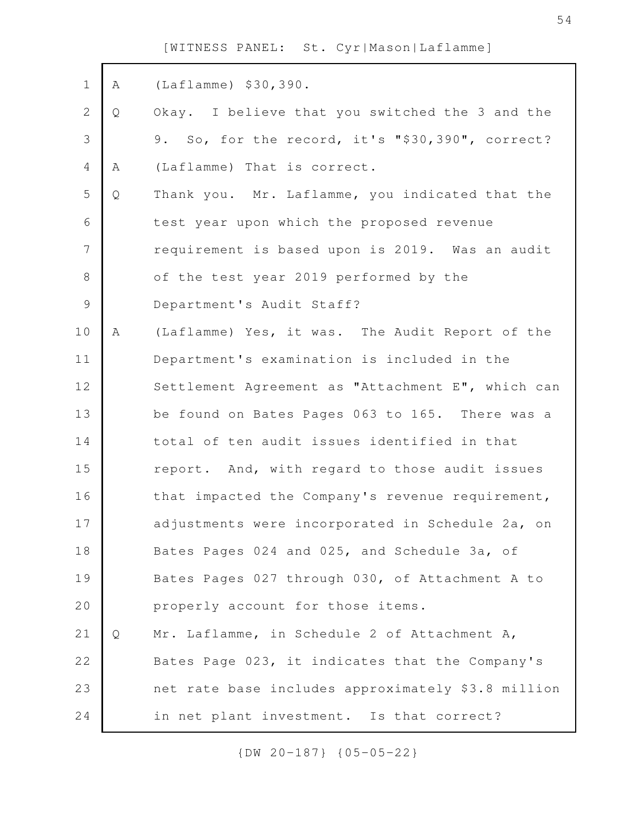| $\mathbf 1$    | Α | $(Lafflamme)$ \$30,390.                            |
|----------------|---|----------------------------------------------------|
| 2              | Q | Okay. I believe that you switched the 3 and the    |
| 3              |   | 9. So, for the record, it's "\$30,390", correct?   |
| 4              | Α | (Laflamme) That is correct.                        |
| 5              | Q | Thank you. Mr. Laflamme, you indicated that the    |
| 6              |   | test year upon which the proposed revenue          |
| $\overline{7}$ |   | requirement is based upon is 2019. Was an audit    |
| $8\,$          |   | of the test year 2019 performed by the             |
| $\mathsf 9$    |   | Department's Audit Staff?                          |
| 10             | Α | (Laflamme) Yes, it was. The Audit Report of the    |
| 11             |   | Department's examination is included in the        |
| 12             |   | Settlement Agreement as "Attachment E", which can  |
| 13             |   | be found on Bates Pages 063 to 165. There was a    |
| 14             |   | total of ten audit issues identified in that       |
| 15             |   | report. And, with regard to those audit issues     |
| 16             |   | that impacted the Company's revenue requirement,   |
| 17             |   | adjustments were incorporated in Schedule 2a, on   |
| 18             |   | Bates Pages 024 and 025, and Schedule 3a, of       |
| 19             |   | Bates Pages 027 through 030, of Attachment A to    |
| 20             |   | properly account for those items.                  |
| 21             | Q | Mr. Laflamme, in Schedule 2 of Attachment A,       |
| 22             |   | Bates Page 023, it indicates that the Company's    |
| 23             |   | net rate base includes approximately \$3.8 million |
| 24             |   | in net plant investment. Is that correct?          |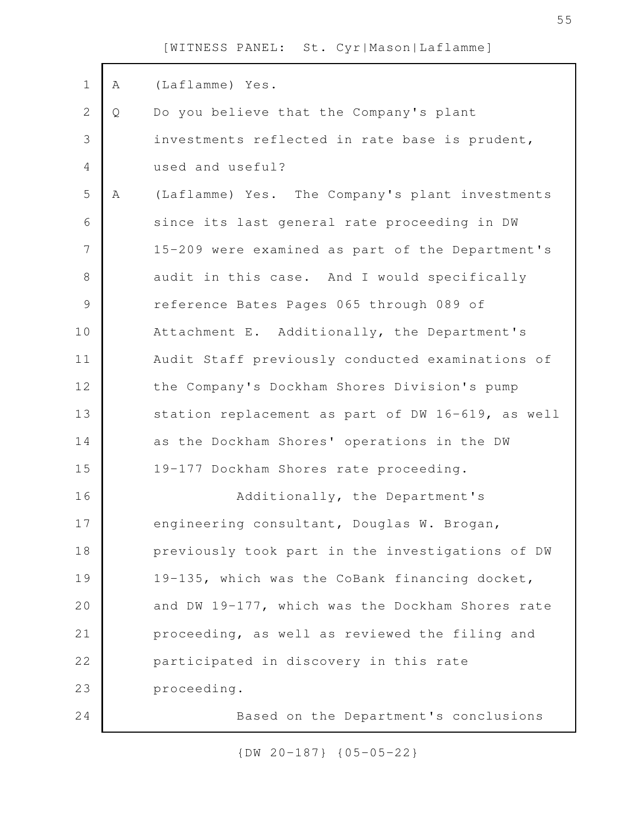| $\mathbf 1$   | Α | (Laflamme) Yes.                                   |
|---------------|---|---------------------------------------------------|
| $\mathbf 2$   | Q | Do you believe that the Company's plant           |
| 3             |   | investments reflected in rate base is prudent,    |
| 4             |   | used and useful?                                  |
| 5             | Α | (Laflamme) Yes. The Company's plant investments   |
| 6             |   | since its last general rate proceeding in DW      |
| 7             |   | 15-209 were examined as part of the Department's  |
| $\,8\,$       |   | audit in this case. And I would specifically      |
| $\mathcal{G}$ |   | reference Bates Pages 065 through 089 of          |
| 10            |   | Attachment E. Additionally, the Department's      |
| 11            |   | Audit Staff previously conducted examinations of  |
| 12            |   | the Company's Dockham Shores Division's pump      |
| 13            |   | station replacement as part of DW 16-619, as well |
| 14            |   | as the Dockham Shores' operations in the DW       |
| 15            |   | 19-177 Dockham Shores rate proceeding.            |
| 16            |   | Additionally, the Department's                    |
| 17            |   | engineering consultant, Douglas W. Brogan,        |
| 18            |   | previously took part in the investigations of DW  |
| 19            |   | 19-135, which was the CoBank financing docket,    |
| 20            |   | and DW 19-177, which was the Dockham Shores rate  |
| 21            |   | proceeding, as well as reviewed the filing and    |
| 22            |   | participated in discovery in this rate            |
| 23            |   | proceeding.                                       |
| 24            |   | Based on the Department's conclusions             |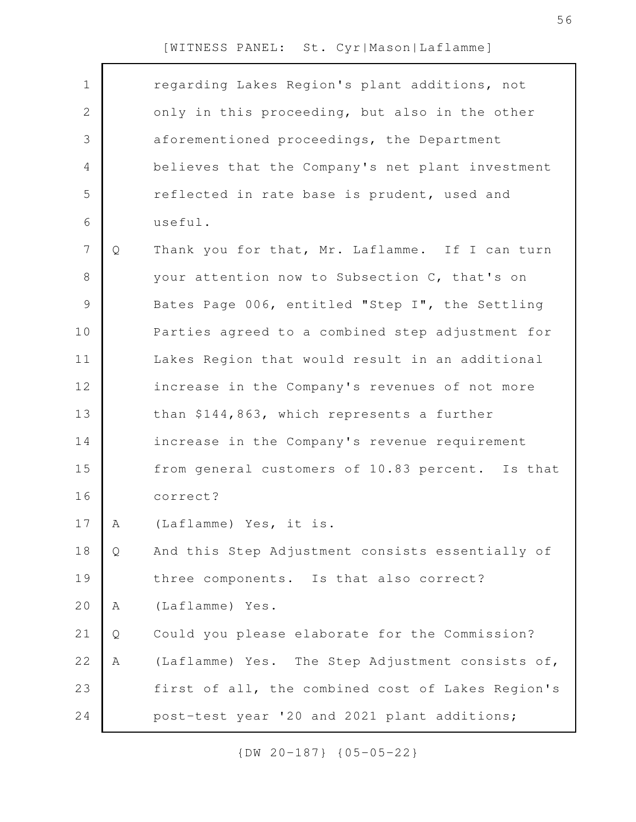| $\mathbf 1$    |   | regarding Lakes Region's plant additions, not     |
|----------------|---|---------------------------------------------------|
| $\mathbf{2}$   |   | only in this proceeding, but also in the other    |
| 3              |   | aforementioned proceedings, the Department        |
| $\overline{4}$ |   | believes that the Company's net plant investment  |
| 5              |   | reflected in rate base is prudent, used and       |
| 6              |   | useful.                                           |
| $\overline{7}$ | Q | Thank you for that, Mr. Laflamme. If I can turn   |
| 8              |   | your attention now to Subsection C, that's on     |
| $\mathcal{G}$  |   | Bates Page 006, entitled "Step I", the Settling   |
| 10             |   | Parties agreed to a combined step adjustment for  |
| 11             |   | Lakes Region that would result in an additional   |
| 12             |   | increase in the Company's revenues of not more    |
| 13             |   | than \$144,863, which represents a further        |
| 14             |   | increase in the Company's revenue requirement     |
| 15             |   | from general customers of 10.83 percent. Is that  |
| 16             |   | correct?                                          |
| 17             | A | (Laflamme) Yes, it is.                            |
| 18             | Q | And this Step Adjustment consists essentially of  |
| 19             |   | three components. Is that also correct?           |
| 20             | Α | (Laflamme) Yes.                                   |
| 21             | Q | Could you please elaborate for the Commission?    |
| 22             | Α | (Laflamme) Yes. The Step Adjustment consists of,  |
| 23             |   | first of all, the combined cost of Lakes Region's |
| 24             |   | post-test year '20 and 2021 plant additions;      |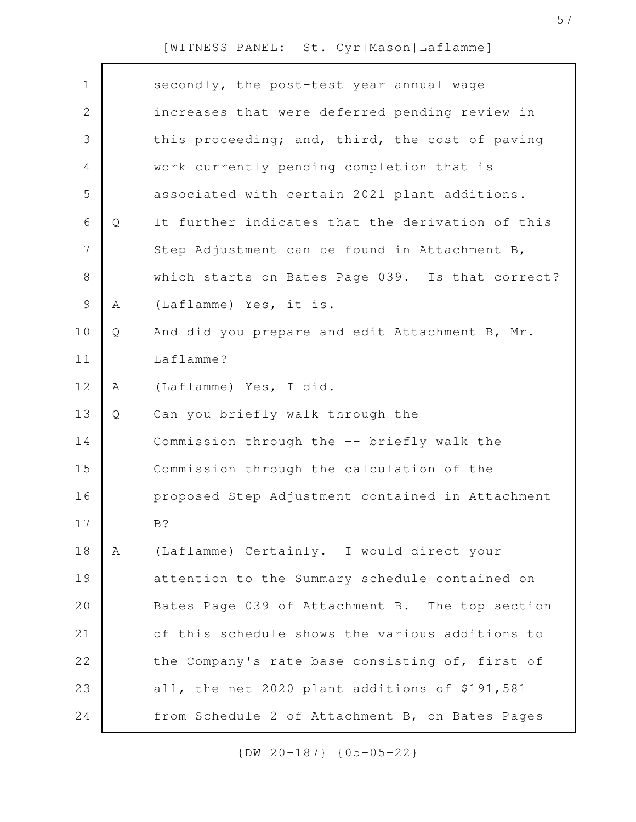| $\mathbf 1$    |   | secondly, the post-test year annual wage         |
|----------------|---|--------------------------------------------------|
| $\mathbf{2}$   |   | increases that were deferred pending review in   |
| $\mathfrak{Z}$ |   | this proceeding; and, third, the cost of paving  |
| 4              |   | work currently pending completion that is        |
| 5              |   | associated with certain 2021 plant additions.    |
| 6              | Q | It further indicates that the derivation of this |
| $\overline{7}$ |   | Step Adjustment can be found in Attachment B,    |
| $8\,$          |   | which starts on Bates Page 039. Is that correct? |
| $\mathsf 9$    | Α | (Laflamme) Yes, it is.                           |
| 10             | Q | And did you prepare and edit Attachment B, Mr.   |
| 11             |   | Laflamme?                                        |
| 12             | Α | (Laflamme) Yes, I did.                           |
| 13             | Q | Can you briefly walk through the                 |
| 14             |   | Commission through the -- briefly walk the       |
| 15             |   | Commission through the calculation of the        |
| 16             |   | proposed Step Adjustment contained in Attachment |
| 17             |   | B?                                               |
| 18             | A | (Laflamme) Certainly. I would direct your        |
| 19             |   | attention to the Summary schedule contained on   |
| 20             |   | Bates Page 039 of Attachment B. The top section  |
| 21             |   | of this schedule shows the various additions to  |
| 22             |   | the Company's rate base consisting of, first of  |
| 23             |   | all, the net 2020 plant additions of \$191,581   |
| 24             |   | from Schedule 2 of Attachment B, on Bates Pages  |
|                |   |                                                  |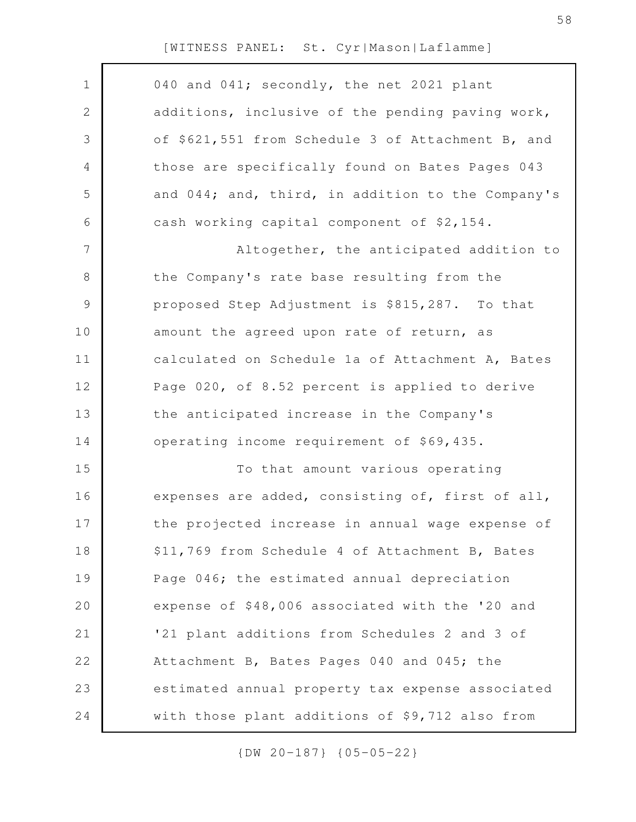| $\mathbf 1$    | 040 and 041; secondly, the net 2021 plant         |
|----------------|---------------------------------------------------|
| $\mathbf{2}$   | additions, inclusive of the pending paving work,  |
| 3              | of \$621,551 from Schedule 3 of Attachment B, and |
| 4              | those are specifically found on Bates Pages 043   |
| 5              | and 044; and, third, in addition to the Company's |
| 6              | cash working capital component of \$2,154.        |
| $\overline{7}$ | Altogether, the anticipated addition to           |
| $8\,$          | the Company's rate base resulting from the        |
| 9              | proposed Step Adjustment is \$815,287. To that    |
| 10             | amount the agreed upon rate of return, as         |
| 11             | calculated on Schedule 1a of Attachment A, Bates  |
| 12             | Page 020, of 8.52 percent is applied to derive    |
| 13             | the anticipated increase in the Company's         |
| 14             | operating income requirement of \$69,435.         |
| 15             | To that amount various operating                  |
| 16             | expenses are added, consisting of, first of all,  |
| 17             | the projected increase in annual wage expense of  |
| 18             | \$11,769 from Schedule 4 of Attachment B, Bates   |
| 19             | Page 046; the estimated annual depreciation       |
| 20             | expense of \$48,006 associated with the '20 and   |
| 21             | '21 plant additions from Schedules 2 and 3 of     |
| 22             | Attachment B, Bates Pages 040 and 045; the        |
| 23             | estimated annual property tax expense associated  |
| 24             | with those plant additions of \$9,712 also from   |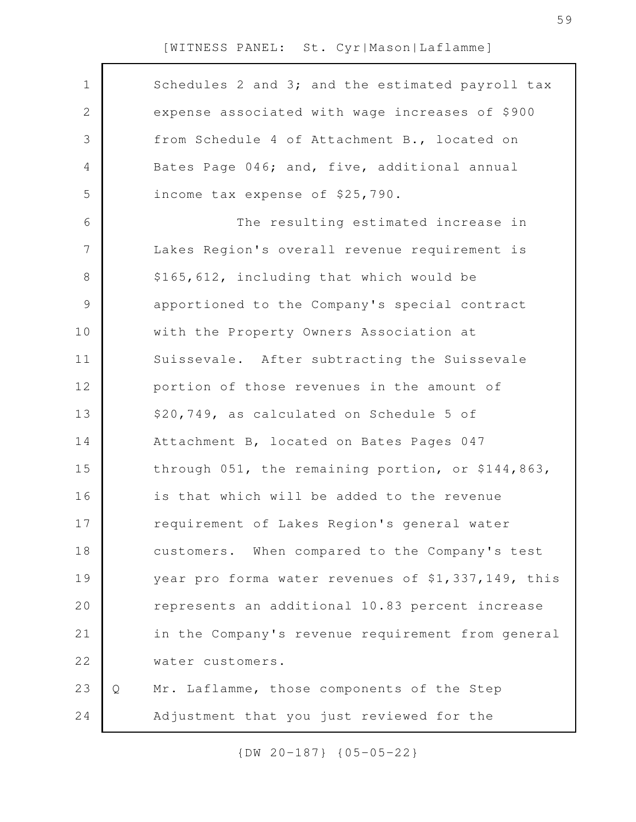| $\mathbf 1$   |   | Schedules 2 and 3; and the estimated payroll tax   |
|---------------|---|----------------------------------------------------|
| $\mathbf{2}$  |   | expense associated with wage increases of \$900    |
| 3             |   | from Schedule 4 of Attachment B., located on       |
| 4             |   | Bates Page 046; and, five, additional annual       |
| 5             |   | income tax expense of \$25,790.                    |
| 6             |   | The resulting estimated increase in                |
| 7             |   | Lakes Region's overall revenue requirement is      |
| 8             |   | \$165,612, including that which would be           |
| $\mathcal{G}$ |   | apportioned to the Company's special contract      |
| 10            |   | with the Property Owners Association at            |
| 11            |   | Suissevale. After subtracting the Suissevale       |
| 12            |   | portion of those revenues in the amount of         |
| 13            |   | \$20,749, as calculated on Schedule 5 of           |
| 14            |   | Attachment B, located on Bates Pages 047           |
| 15            |   | through 051, the remaining portion, or \$144,863,  |
| 16            |   | is that which will be added to the revenue         |
| 17            |   | requirement of Lakes Region's general water        |
| 18            |   | customers. When compared to the Company's test     |
| 19            |   | year pro forma water revenues of \$1,337,149, this |
| 20            |   | represents an additional 10.83 percent increase    |
| 21            |   | in the Company's revenue requirement from general  |
| 22            |   | water customers.                                   |
| 23            | Q | Mr. Laflamme, those components of the Step         |
| 24            |   | Adjustment that you just reviewed for the          |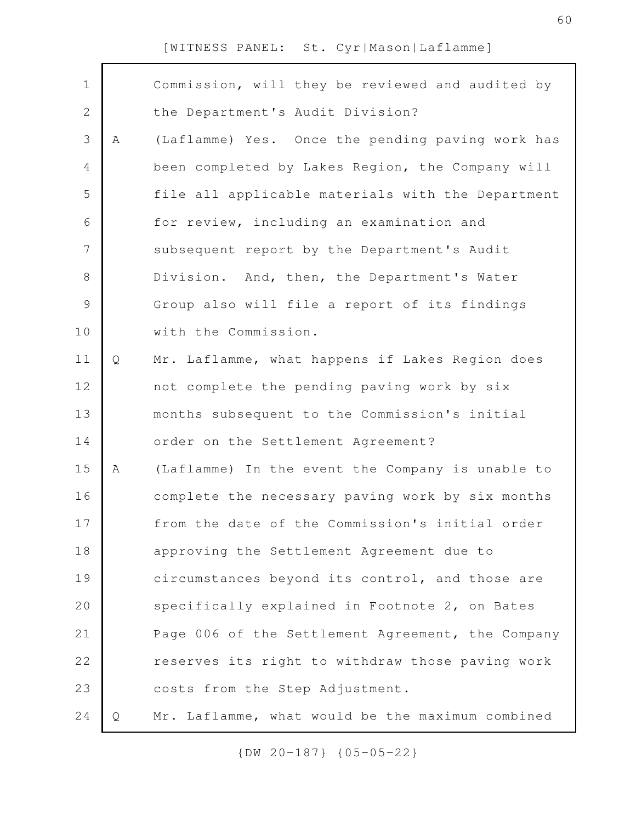| $\mathbf 1$    |   | Commission, will they be reviewed and audited by  |
|----------------|---|---------------------------------------------------|
| $\sqrt{2}$     |   | the Department's Audit Division?                  |
| $\mathcal{S}$  | Α | (Laflamme) Yes. Once the pending paving work has  |
| $\overline{4}$ |   | been completed by Lakes Region, the Company will  |
| 5              |   | file all applicable materials with the Department |
| 6              |   | for review, including an examination and          |
| $\overline{7}$ |   | subsequent report by the Department's Audit       |
| $8\,$          |   | Division. And, then, the Department's Water       |
| $\mathcal{G}$  |   | Group also will file a report of its findings     |
| 10             |   | with the Commission.                              |
| 11             | Q | Mr. Laflamme, what happens if Lakes Region does   |
| 12             |   | not complete the pending paving work by six       |
| 13             |   | months subsequent to the Commission's initial     |
| 14             |   | order on the Settlement Agreement?                |
| 15             | Α | (Laflamme) In the event the Company is unable to  |
| 16             |   | complete the necessary paving work by six months  |
| 17             |   | from the date of the Commission's initial order   |
| 18             |   | approving the Settlement Agreement due to         |
| 19             |   | circumstances beyond its control, and those are   |
| 20             |   | specifically explained in Footnote 2, on Bates    |
| 21             |   | Page 006 of the Settlement Agreement, the Company |
| 22             |   | reserves its right to withdraw those paving work  |
| 23             |   | costs from the Step Adjustment.                   |
| 24             | Q | Mr. Laflamme, what would be the maximum combined  |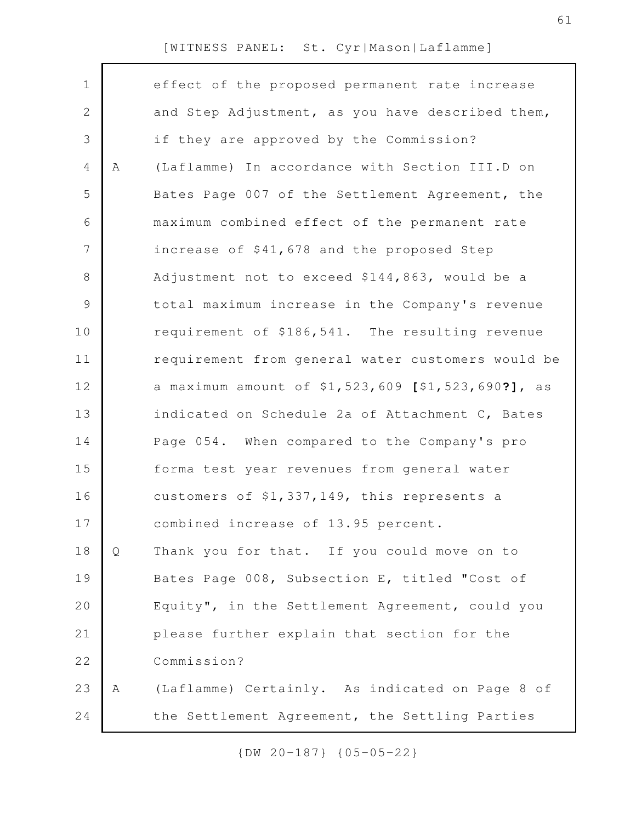| $\mathbf 1$  |   | effect of the proposed permanent rate increase     |
|--------------|---|----------------------------------------------------|
| $\mathbf{2}$ |   | and Step Adjustment, as you have described them,   |
| 3            |   | if they are approved by the Commission?            |
| 4            | A | (Laflamme) In accordance with Section III.D on     |
| 5            |   | Bates Page 007 of the Settlement Agreement, the    |
| 6            |   | maximum combined effect of the permanent rate      |
| 7            |   | increase of \$41,678 and the proposed Step         |
| $8\,$        |   | Adjustment not to exceed \$144,863, would be a     |
| 9            |   | total maximum increase in the Company's revenue    |
| 10           |   | requirement of \$186,541. The resulting revenue    |
| 11           |   | requirement from general water customers would be  |
| 12           |   | a maximum amount of \$1,523,609 [\$1,523,690?], as |
| 13           |   | indicated on Schedule 2a of Attachment C, Bates    |
| 14           |   | Page 054. When compared to the Company's pro       |
| 15           |   | forma test year revenues from general water        |
| 16           |   | customers of \$1,337,149, this represents a        |
| 17           |   | combined increase of 13.95 percent.                |
| 18           | Q | Thank you for that. If you could move on to        |
| 19           |   | Bates Page 008, Subsection E, titled "Cost of      |
| 20           |   | Equity", in the Settlement Agreement, could you    |
| 21           |   | please further explain that section for the        |
| 22           |   | Commission?                                        |
| 23           | Α | (Laflamme) Certainly. As indicated on Page 8 of    |
| 24           |   | the Settlement Agreement, the Settling Parties     |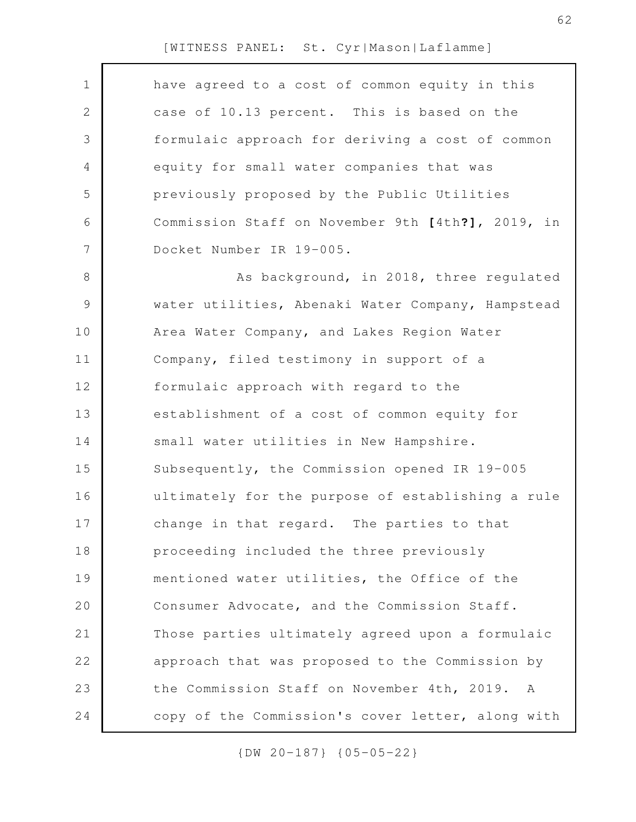| 1            | have agreed to a cost of common equity in this    |
|--------------|---------------------------------------------------|
| $\mathbf{2}$ | case of 10.13 percent. This is based on the       |
| 3            | formulaic approach for deriving a cost of common  |
| 4            | equity for small water companies that was         |
| 5            | previously proposed by the Public Utilities       |
| 6            | Commission Staff on November 9th [4th?], 2019, in |
| 7            | Docket Number IR 19-005.                          |
| 8            | As background, in 2018, three regulated           |
| 9            | water utilities, Abenaki Water Company, Hampstead |
| 10           | Area Water Company, and Lakes Region Water        |
| 11           | Company, filed testimony in support of a          |
| 12           | formulaic approach with regard to the             |
| 13           | establishment of a cost of common equity for      |
| 14           | small water utilities in New Hampshire.           |
| 15           | Subsequently, the Commission opened IR 19-005     |
| 16           | ultimately for the purpose of establishing a rule |
| 17           | change in that regard. The parties to that        |
| 18           | proceeding included the three previously          |
| 19           | mentioned water utilities, the Office of the      |
| 20           | Consumer Advocate, and the Commission Staff.      |
| 21           | Those parties ultimately agreed upon a formulaic  |
| 22           | approach that was proposed to the Commission by   |
| 23           | the Commission Staff on November 4th, 2019. A     |
| 24           | copy of the Commission's cover letter, along with |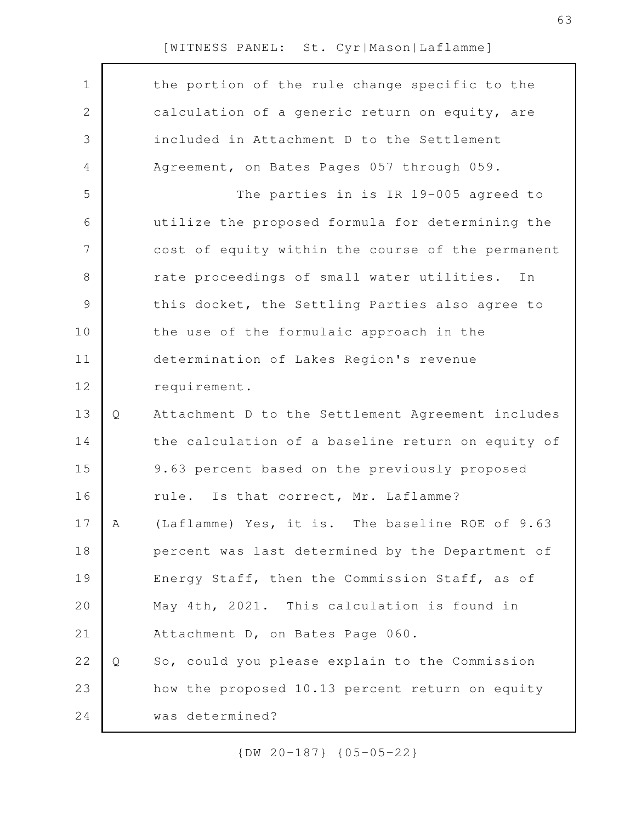| $\mathbf 1$  |   | the portion of the rule change specific to the    |
|--------------|---|---------------------------------------------------|
| $\mathbf{2}$ |   | calculation of a generic return on equity, are    |
| 3            |   | included in Attachment D to the Settlement        |
| 4            |   | Agreement, on Bates Pages 057 through 059.        |
| 5            |   | The parties in is IR 19-005 agreed to             |
| 6            |   | utilize the proposed formula for determining the  |
| 7            |   | cost of equity within the course of the permanent |
| 8            |   | rate proceedings of small water utilities.<br>In  |
| 9            |   | this docket, the Settling Parties also agree to   |
| 10           |   | the use of the formulaic approach in the          |
| 11           |   | determination of Lakes Region's revenue           |
| 12           |   | requirement.                                      |
| 13           | Q | Attachment D to the Settlement Agreement includes |
| 14           |   | the calculation of a baseline return on equity of |
| 15           |   | 9.63 percent based on the previously proposed     |
| 16           |   | rule. Is that correct, Mr. Laflamme?              |
| 17           | A | (Laflamme) Yes, it is. The baseline ROE of 9.63   |
| 18           |   | percent was last determined by the Department of  |
| 19           |   | Energy Staff, then the Commission Staff, as of    |
| 20           |   | May 4th, 2021. This calculation is found in       |
| 21           |   | Attachment D, on Bates Page 060.                  |
| 22           | Q | So, could you please explain to the Commission    |
| 23           |   | how the proposed 10.13 percent return on equity   |
| 24           |   | was determined?                                   |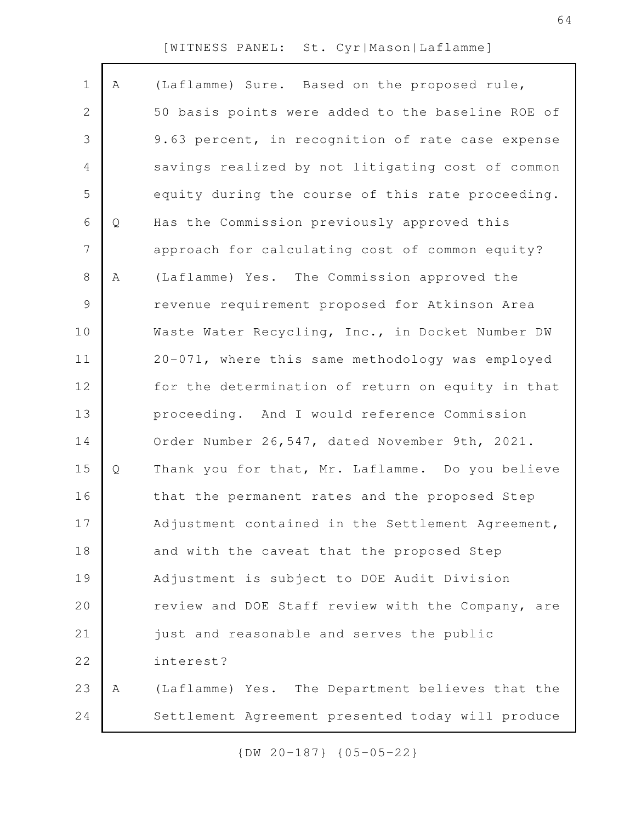| $\mathbf 1$    | Α | (Laflamme) Sure. Based on the proposed rule,      |
|----------------|---|---------------------------------------------------|
| $\mathbf{2}$   |   | 50 basis points were added to the baseline ROE of |
| 3              |   | 9.63 percent, in recognition of rate case expense |
| $\overline{4}$ |   | savings realized by not litigating cost of common |
| 5              |   | equity during the course of this rate proceeding. |
| 6              | Q | Has the Commission previously approved this       |
| $\overline{7}$ |   | approach for calculating cost of common equity?   |
| 8              | Α | (Laflamme) Yes. The Commission approved the       |
| $\mathsf 9$    |   | revenue requirement proposed for Atkinson Area    |
| 10             |   | Waste Water Recycling, Inc., in Docket Number DW  |
| 11             |   | 20-071, where this same methodology was employed  |
| 12             |   | for the determination of return on equity in that |
| 13             |   | proceeding. And I would reference Commission      |
| 14             |   | Order Number 26,547, dated November 9th, 2021.    |
| 15             | Q | Thank you for that, Mr. Laflamme. Do you believe  |
| 16             |   | that the permanent rates and the proposed Step    |
| 17             |   | Adjustment contained in the Settlement Agreement, |
| 18             |   | and with the caveat that the proposed Step        |
| 19             |   | Adjustment is subject to DOE Audit Division       |
| 20             |   | review and DOE Staff review with the Company, are |
| 21             |   | just and reasonable and serves the public         |
| 22             |   | interest?                                         |
| 23             | Α | (Laflamme) Yes. The Department believes that the  |
| 24             |   | Settlement Agreement presented today will produce |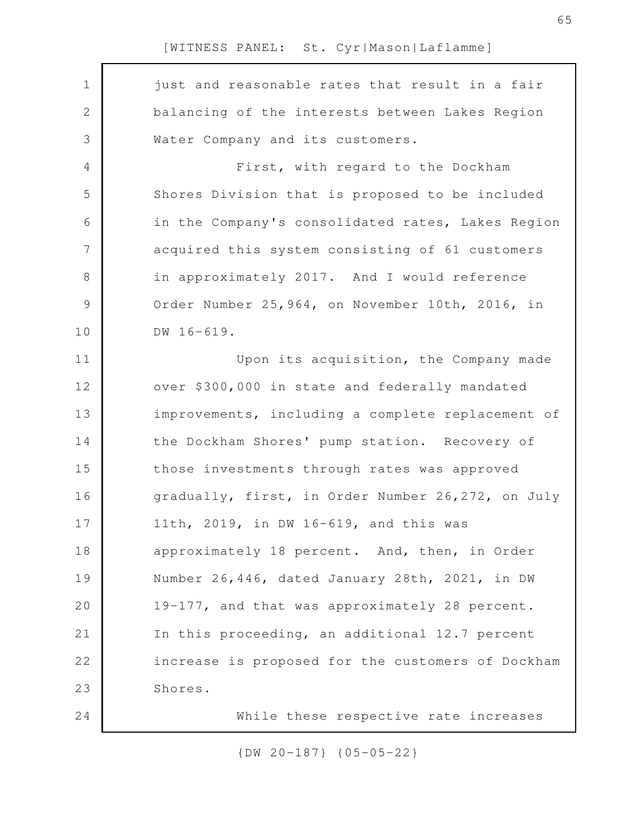| $\mathbf 1$    | just and reasonable rates that result in a fair   |
|----------------|---------------------------------------------------|
| $\overline{2}$ | balancing of the interests between Lakes Region   |
| 3              | Water Company and its customers.                  |
| 4              | First, with regard to the Dockham                 |
| 5              | Shores Division that is proposed to be included   |
| $\sqrt{6}$     | in the Company's consolidated rates, Lakes Region |
| 7              | acquired this system consisting of 61 customers   |
| $8\,$          | in approximately 2017. And I would reference      |
| $\mathcal{G}$  | Order Number 25, 964, on November 10th, 2016, in  |
| 10             | DW 16-619.                                        |
| 11             | Upon its acquisition, the Company made            |
| 12             | over \$300,000 in state and federally mandated    |
| 13             | improvements, including a complete replacement of |
| 14             | the Dockham Shores' pump station. Recovery of     |
| 15             | those investments through rates was approved      |
| 16             | gradually, first, in Order Number 26,272, on July |
| 17             | 11th, 2019, in DW 16-619, and this was            |
| 18             | approximately 18 percent. And, then, in Order     |
| 19             | Number 26,446, dated January 28th, 2021, in DW    |
| 20             | 19-177, and that was approximately 28 percent.    |
| 21             | In this proceeding, an additional 12.7 percent    |
| 22             | increase is proposed for the customers of Dockham |
| 23             | Shores.                                           |
| 24             | While these respective rate increases             |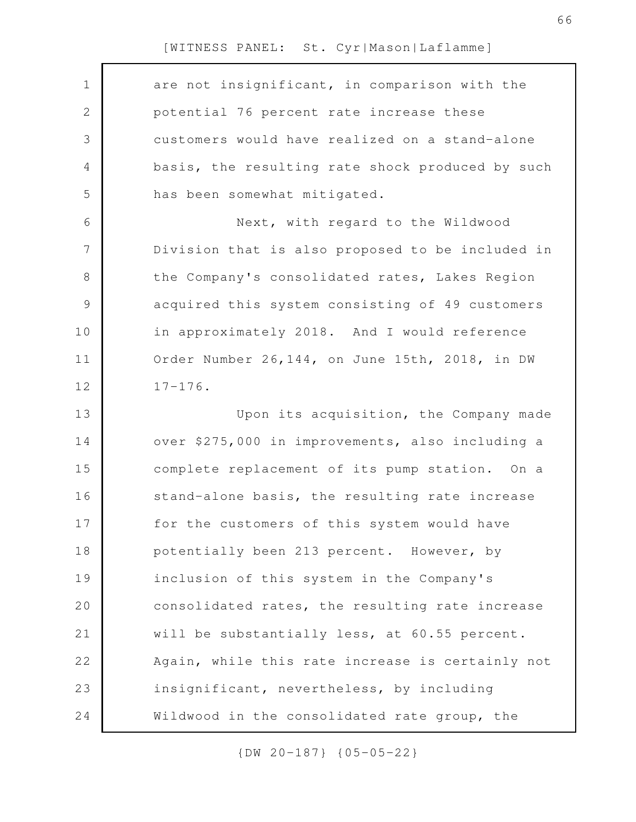| $\mathbf 1$    | are not insignificant, in comparison with the    |
|----------------|--------------------------------------------------|
| $\mathbf 2$    | potential 76 percent rate increase these         |
| 3              | customers would have realized on a stand-alone   |
| $\overline{4}$ | basis, the resulting rate shock produced by such |
| 5              | has been somewhat mitigated.                     |
| 6              | Next, with regard to the Wildwood                |
| 7              | Division that is also proposed to be included in |
| $\,8\,$        | the Company's consolidated rates, Lakes Region   |
| $\mathcal{G}$  | acquired this system consisting of 49 customers  |
| 10             | in approximately 2018. And I would reference     |
| 11             | Order Number 26, 144, on June 15th, 2018, in DW  |
| 12             | $17 - 176$ .                                     |
| 13             | Upon its acquisition, the Company made           |
| 14             | over \$275,000 in improvements, also including a |
| 15             | complete replacement of its pump station. On a   |
| 16             | stand-alone basis, the resulting rate increase   |
| 17             | for the customers of this system would have      |
| 18             | potentially been 213 percent. However, by        |
| 19             | inclusion of this system in the Company's        |
| 20             | consolidated rates, the resulting rate increase  |
| 21             | will be substantially less, at 60.55 percent.    |
| 22             | Again, while this rate increase is certainly not |
| 23             | insignificant, nevertheless, by including        |
| 24             | Wildwood in the consolidated rate group, the     |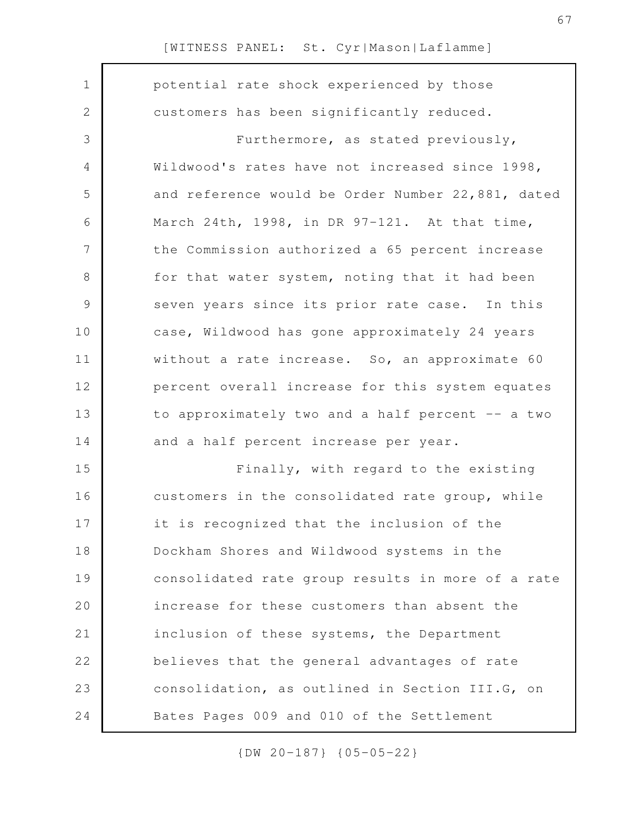| $\mathbf 1$   | potential rate shock experienced by those         |
|---------------|---------------------------------------------------|
| $\mathbf{2}$  | customers has been significantly reduced.         |
| 3             | Furthermore, as stated previously,                |
| 4             | Wildwood's rates have not increased since 1998,   |
| 5             | and reference would be Order Number 22,881, dated |
| 6             | March 24th, 1998, in DR 97-121. At that time,     |
| 7             | the Commission authorized a 65 percent increase   |
| $\,8\,$       | for that water system, noting that it had been    |
| $\mathcal{G}$ | seven years since its prior rate case. In this    |
| 10            | case, Wildwood has gone approximately 24 years    |
| 11            | without a rate increase. So, an approximate 60    |
| 12            | percent overall increase for this system equates  |
| 13            | to approximately two and a half percent -- a two  |
| 14            | and a half percent increase per year.             |
| 15            | Finally, with regard to the existing              |
| 16            | customers in the consolidated rate group, while   |
| 17            | it is recognized that the inclusion of the        |
| 18            | Dockham Shores and Wildwood systems in the        |
| 19            | consolidated rate group results in more of a rate |
| 20            | increase for these customers than absent the      |
| 21            | inclusion of these systems, the Department        |
| 22            | believes that the general advantages of rate      |
| 23            | consolidation, as outlined in Section III.G, on   |
| 24            | Bates Pages 009 and 010 of the Settlement         |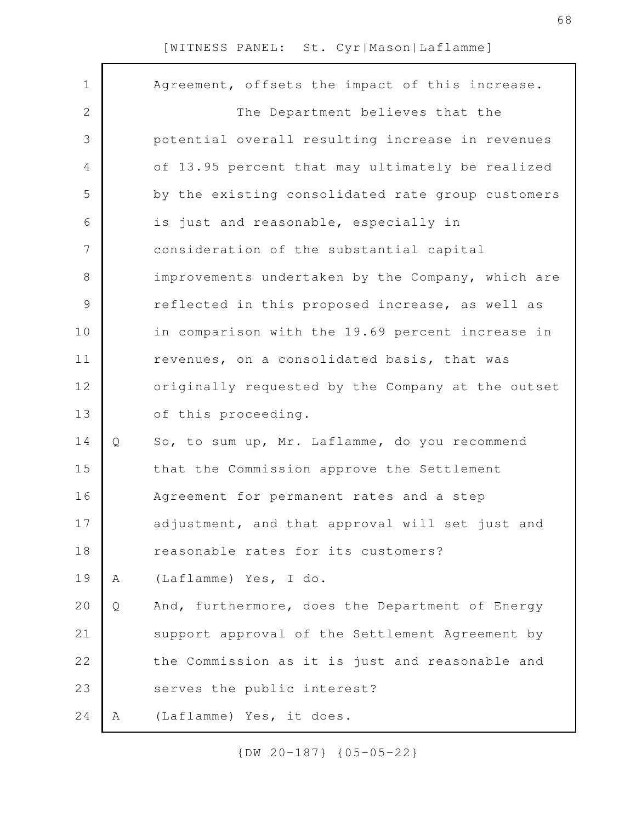| $\mathbf 1$   |   | Agreement, offsets the impact of this increase.   |
|---------------|---|---------------------------------------------------|
| $\mathbf{2}$  |   | The Department believes that the                  |
| 3             |   | potential overall resulting increase in revenues  |
| 4             |   | of 13.95 percent that may ultimately be realized  |
| 5             |   | by the existing consolidated rate group customers |
| 6             |   | is just and reasonable, especially in             |
| 7             |   | consideration of the substantial capital          |
| $\,8\,$       |   | improvements undertaken by the Company, which are |
| $\mathcal{G}$ |   | reflected in this proposed increase, as well as   |
| 10            |   | in comparison with the 19.69 percent increase in  |
| 11            |   | revenues, on a consolidated basis, that was       |
| 12            |   | originally requested by the Company at the outset |
| 13            |   | of this proceeding.                               |
| 14            | Q | So, to sum up, Mr. Laflamme, do you recommend     |
| 15            |   | that the Commission approve the Settlement        |
| 16            |   | Agreement for permanent rates and a step          |
| 17            |   | adjustment, and that approval will set just and   |
| 18            |   | reasonable rates for its customers?               |
| 19            | A | (Laflamme) Yes, I do.                             |
| 20            | Q | And, furthermore, does the Department of Energy   |
| 21            |   | support approval of the Settlement Agreement by   |
| 22            |   | the Commission as it is just and reasonable and   |
| 23            |   | serves the public interest?                       |
| 24            | Α | (Laflamme) Yes, it does.                          |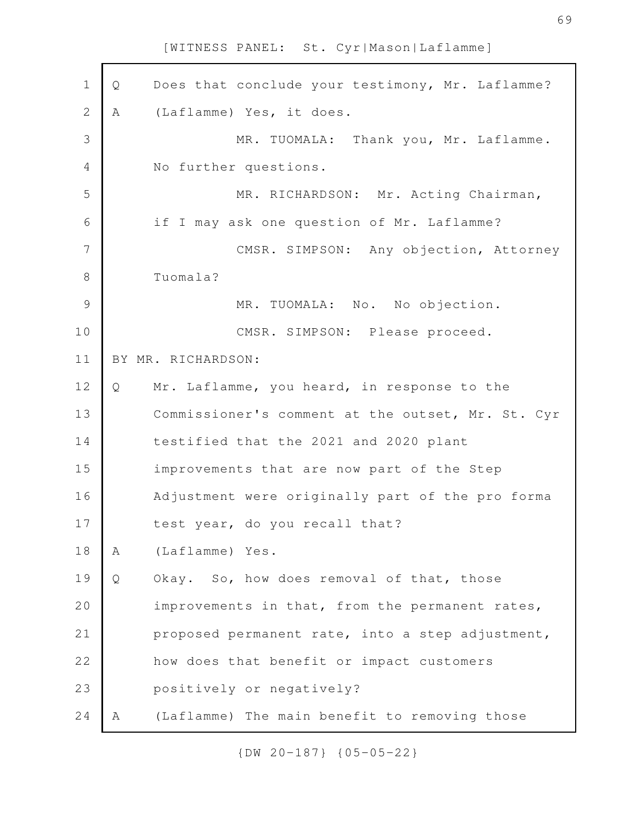| $\mathbf 1$    | Q | Does that conclude your testimony, Mr. Laflamme?  |
|----------------|---|---------------------------------------------------|
| $\mathbf{2}$   | Α | (Laflamme) Yes, it does.                          |
| 3              |   | MR. TUOMALA: Thank you, Mr. Laflamme.             |
| $\overline{4}$ |   | No further questions.                             |
| 5              |   | MR. RICHARDSON: Mr. Acting Chairman,              |
| 6              |   | if I may ask one question of Mr. Laflamme?        |
| 7              |   | CMSR. SIMPSON: Any objection, Attorney            |
| 8              |   | Tuomala?                                          |
| $\mathcal{G}$  |   | MR. TUOMALA: No. No objection.                    |
| 10             |   | CMSR. SIMPSON: Please proceed.                    |
| 11             |   | BY MR. RICHARDSON:                                |
| 12             | Q | Mr. Laflamme, you heard, in response to the       |
| 13             |   | Commissioner's comment at the outset, Mr. St. Cyr |
| 14             |   | testified that the 2021 and 2020 plant            |
| 15             |   | improvements that are now part of the Step        |
| 16             |   | Adjustment were originally part of the pro forma  |
| 17             |   | test year, do you recall that?                    |
| 18             | Α | (Laflamme) Yes.                                   |
| 19             | Q | Okay. So, how does removal of that, those         |
| 20             |   | improvements in that, from the permanent rates,   |
| 21             |   | proposed permanent rate, into a step adjustment,  |
| 22             |   | how does that benefit or impact customers         |
| 23             |   | positively or negatively?                         |
| 24             | Α | (Laflamme) The main benefit to removing those     |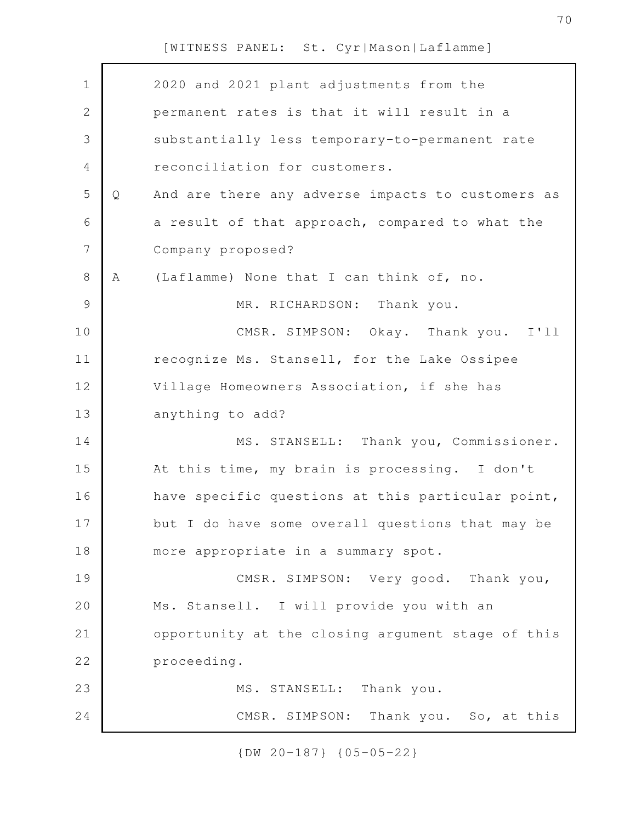| $\mathbf 1$    |   | 2020 and 2021 plant adjustments from the          |
|----------------|---|---------------------------------------------------|
| 2              |   | permanent rates is that it will result in a       |
| 3              |   | substantially less temporary-to-permanent rate    |
| 4              |   | reconciliation for customers.                     |
| 5              | Q | And are there any adverse impacts to customers as |
| 6              |   | a result of that approach, compared to what the   |
| $\overline{7}$ |   | Company proposed?                                 |
| 8              | Α | (Laflamme) None that I can think of, no.          |
| $\mathsf 9$    |   | MR. RICHARDSON: Thank you.                        |
| 10             |   | CMSR. SIMPSON: Okay. Thank you. I'll              |
| 11             |   | recognize Ms. Stansell, for the Lake Ossipee      |
| 12             |   | Village Homeowners Association, if she has        |
| 13             |   | anything to add?                                  |
| 14             |   | MS. STANSELL: Thank you, Commissioner.            |
| 15             |   | At this time, my brain is processing. I don't     |
| 16             |   | have specific questions at this particular point, |
| 17             |   | but I do have some overall questions that may be  |
| 18             |   | more appropriate in a summary spot.               |
| 19             |   | CMSR. SIMPSON: Very good. Thank you,              |
| 20             |   | Ms. Stansell. I will provide you with an          |
| 21             |   | opportunity at the closing argument stage of this |
| 22             |   | proceeding.                                       |
| 23             |   | MS. STANSELL: Thank you.                          |
| 24             |   | CMSR. SIMPSON: Thank you. So, at this             |
|                |   |                                                   |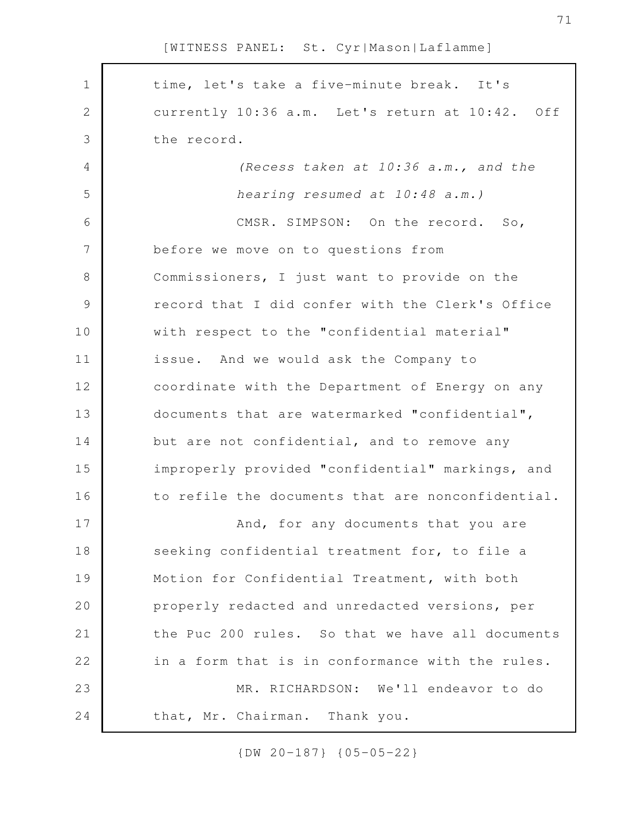| $\mathbf 1$   | time, let's take a five-minute break. It's        |
|---------------|---------------------------------------------------|
| $\mathbf{2}$  | currently 10:36 a.m. Let's return at 10:42. Off   |
| 3             | the record.                                       |
| 4             | (Recess taken at 10:36 a.m., and the              |
| 5             | hearing resumed at 10:48 a.m.)                    |
| 6             | CMSR. SIMPSON: On the record. So,                 |
| 7             | before we move on to questions from               |
| $8\,$         | Commissioners, I just want to provide on the      |
| $\mathcal{G}$ | record that I did confer with the Clerk's Office  |
| 10            | with respect to the "confidential material"       |
| 11            | issue. And we would ask the Company to            |
| 12            | coordinate with the Department of Energy on any   |
| 13            | documents that are watermarked "confidential",    |
| 14            | but are not confidential, and to remove any       |
| 15            | improperly provided "confidential" markings, and  |
| 16            | to refile the documents that are nonconfidential. |
| 17            | And, for any documents that you are               |
| 18            | seeking confidential treatment for, to file a     |
| 19            | Motion for Confidential Treatment, with both      |
| 20            | properly redacted and unredacted versions, per    |
| 21            | the Puc 200 rules. So that we have all documents  |
| 22            | in a form that is in conformance with the rules.  |
| 23            | MR. RICHARDSON: We'll endeavor to do              |
| 24            | that, Mr. Chairman. Thank you.                    |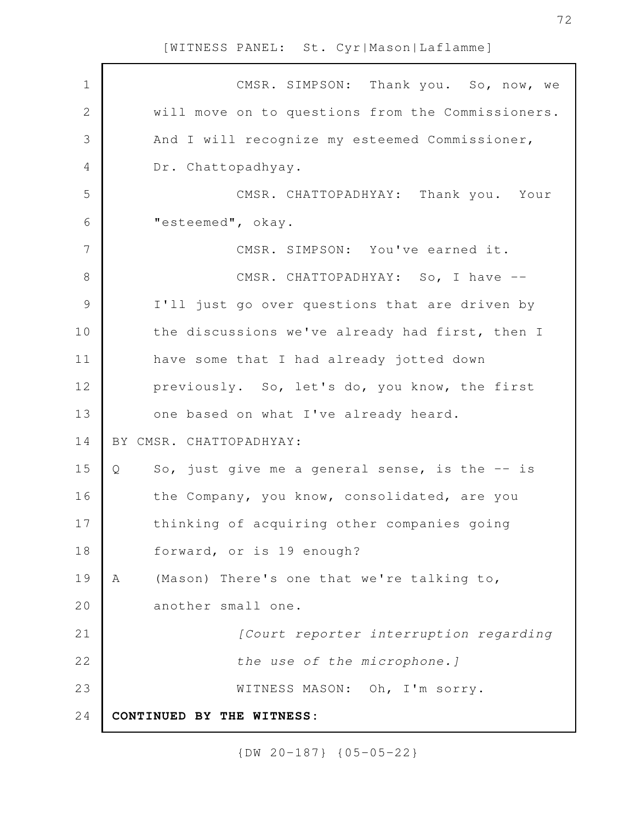| $\mathbf 1$   | CMSR. SIMPSON: Thank you. So, now, we               |
|---------------|-----------------------------------------------------|
| $\mathbf{2}$  | will move on to questions from the Commissioners.   |
| 3             | And I will recognize my esteemed Commissioner,      |
| 4             | Dr. Chattopadhyay.                                  |
| 5             | CMSR. CHATTOPADHYAY: Thank you. Your                |
| 6             | "esteemed", okay.                                   |
| 7             | CMSR. SIMPSON: You've earned it.                    |
| $8\,$         | CMSR. CHATTOPADHYAY: So, I have --                  |
| $\mathcal{G}$ | I'll just go over questions that are driven by      |
| 10            | the discussions we've already had first, then I     |
| 11            | have some that I had already jotted down            |
| 12            | previously. So, let's do, you know, the first       |
| 13            | one based on what I've already heard.               |
| 14            | BY CMSR. CHATTOPADHYAY:                             |
| 15            | So, just give me a general sense, is the -- is<br>Q |
| 16            | the Company, you know, consolidated, are you        |
| 17            | thinking of acquiring other companies going         |
| 18            | forward, or is 19 enough?                           |
| 19            | (Mason) There's one that we're talking to,<br>A     |
| 20            | another small one.                                  |
| 21            | [Court reporter interruption regarding              |
| 22            | the use of the microphone.]                         |
| 23            | WITNESS MASON: Oh, I'm sorry.                       |
| 24            | CONTINUED BY THE WITNESS:                           |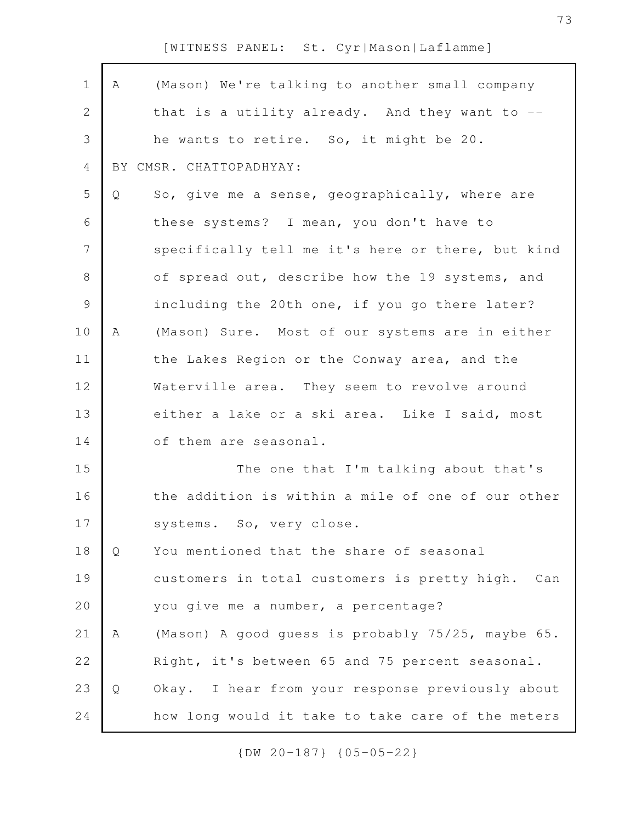| $\mathbf 1$    | Α | (Mason) We're talking to another small company      |
|----------------|---|-----------------------------------------------------|
| 2              |   | that is a utility already. And they want to $--$    |
| $\mathcal{S}$  |   | he wants to retire. So, it might be 20.             |
| $\overline{4}$ |   | BY CMSR. CHATTOPADHYAY:                             |
| 5              | Q | So, give me a sense, geographically, where are      |
| 6              |   | these systems? I mean, you don't have to            |
| $\overline{7}$ |   | specifically tell me it's here or there, but kind   |
| $\,8\,$        |   | of spread out, describe how the 19 systems, and     |
| $\mathcal{G}$  |   | including the 20th one, if you go there later?      |
| 10             | Α | (Mason) Sure. Most of our systems are in either     |
| 11             |   | the Lakes Region or the Conway area, and the        |
| 12             |   | Waterville area. They seem to revolve around        |
| 13             |   | either a lake or a ski area. Like I said, most      |
| 14             |   | of them are seasonal.                               |
| 15             |   | The one that I'm talking about that's               |
| 16             |   | the addition is within a mile of one of our other   |
| 17             |   | systems. So, very close.                            |
| 18             | Q | You mentioned that the share of seasonal            |
| 19             |   | customers in total customers is pretty high.<br>Can |
| 20             |   | you give me a number, a percentage?                 |
| 21             | Α | (Mason) A good guess is probably 75/25, maybe 65.   |
| 22             |   | Right, it's between 65 and 75 percent seasonal.     |
| 23             | Q | Okay. I hear from your response previously about    |
| 24             |   | how long would it take to take care of the meters   |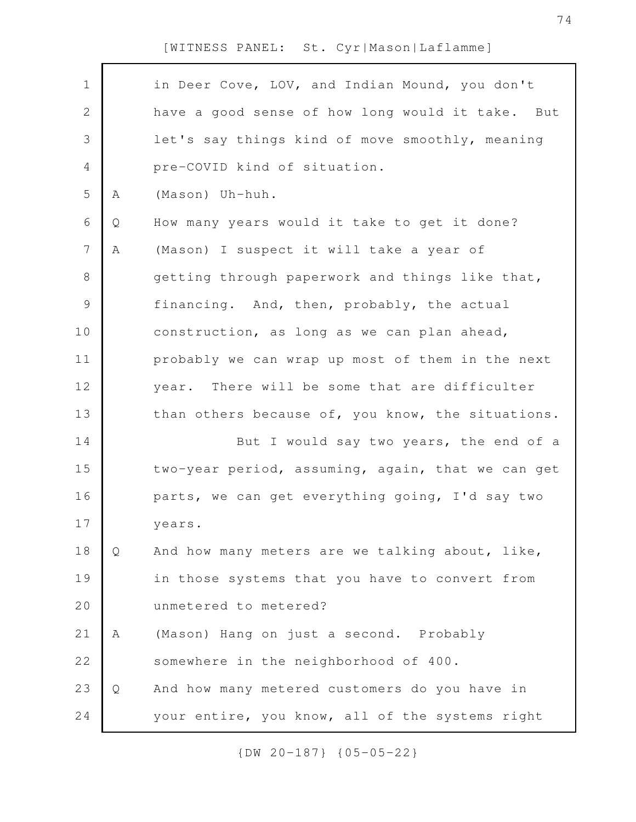| $\mathbf 1$    |   | in Deer Cove, LOV, and Indian Mound, you don't    |
|----------------|---|---------------------------------------------------|
| 2              |   | have a good sense of how long would it take. But  |
| 3              |   | let's say things kind of move smoothly, meaning   |
| 4              |   | pre-COVID kind of situation.                      |
| 5              | Α | (Mason) Uh-huh.                                   |
| 6              | Q | How many years would it take to get it done?      |
| $\overline{7}$ | Α | (Mason) I suspect it will take a year of          |
| $8\,$          |   | getting through paperwork and things like that,   |
| $\mathsf 9$    |   | financing. And, then, probably, the actual        |
| 10             |   | construction, as long as we can plan ahead,       |
| 11             |   | probably we can wrap up most of them in the next  |
| 12             |   | year. There will be some that are difficulter     |
| 13             |   | than others because of, you know, the situations. |
| 14             |   | But I would say two years, the end of a           |
| 15             |   | two-year period, assuming, again, that we can get |
| 16             |   | parts, we can get everything going, I'd say two   |
| 17             |   | years.                                            |
| 18             | Q | And how many meters are we talking about, like,   |
| 19             |   | in those systems that you have to convert from    |
| 20             |   | unmetered to metered?                             |
| 21             | Α | (Mason) Hang on just a second. Probably           |
| 22             |   | somewhere in the neighborhood of 400.             |
| 23             | Q | And how many metered customers do you have in     |
| 24             |   | your entire, you know, all of the systems right   |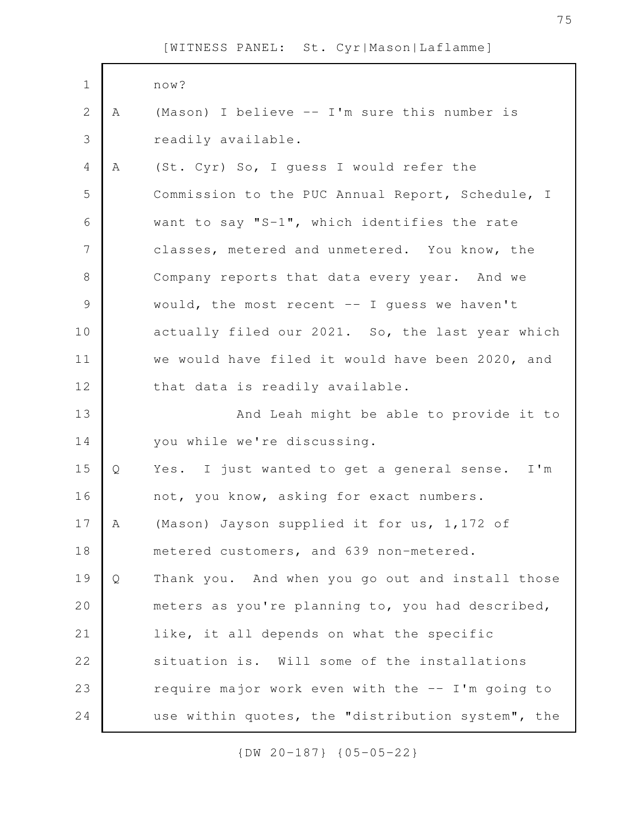| $\mathbf 1$    |   | now?                                             |
|----------------|---|--------------------------------------------------|
| $\overline{2}$ | A | (Mason) I believe -- I'm sure this number is     |
| 3              |   | readily available.                               |
| 4              | A | (St. Cyr) So, I guess I would refer the          |
| 5              |   | Commission to the PUC Annual Report, Schedule, I |
| 6              |   | want to say "S-1", which identifies the rate     |
| 7              |   | classes, metered and unmetered. You know, the    |
| $8\,$          |   | Company reports that data every year. And we     |
| $\mathcal{G}$  |   | would, the most recent $-$ I guess we haven't    |
| 10             |   | actually filed our 2021. So, the last year which |
| 11             |   | we would have filed it would have been 2020, and |
| 12             |   | that data is readily available.                  |
| 13             |   | And Leah might be able to provide it to          |
| 14             |   | you while we're discussing.                      |
| 15             |   |                                                  |
|                | Q | Yes. I just wanted to get a general sense. I'm   |
| 16             |   | not, you know, asking for exact numbers.         |
| 17             | Α | (Mason) Jayson supplied it for us, 1,172 of      |
| 18             |   | metered customers, and 639 non-metered.          |
| 19             | Q | Thank you. And when you go out and install those |
| 20             |   | meters as you're planning to, you had described, |
| 21             |   | like, it all depends on what the specific        |
| 22             |   | situation is. Will some of the installations     |
| 23             |   | require major work even with the -- I'm going to |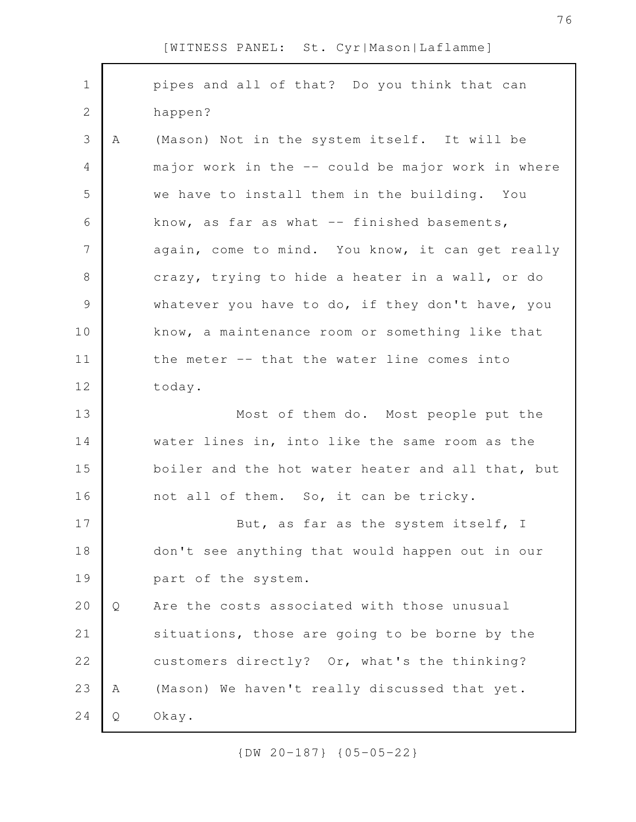| $\mathbf 1$     |   | pipes and all of that? Do you think that can      |
|-----------------|---|---------------------------------------------------|
| $\mathbf{2}$    |   | happen?                                           |
| 3               | Α | (Mason) Not in the system itself. It will be      |
| 4               |   | major work in the -- could be major work in where |
| 5               |   | we have to install them in the building. You      |
| 6               |   | know, as far as what $--$ finished basements,     |
| $7\phantom{.0}$ |   | again, come to mind. You know, it can get really  |
| $8\,$           |   | crazy, trying to hide a heater in a wall, or do   |
| $\mathcal{G}$   |   | whatever you have to do, if they don't have, you  |
| 10              |   | know, a maintenance room or something like that   |
| 11              |   | the meter -- that the water line comes into       |
| 12              |   | today.                                            |
|                 |   |                                                   |
| 13              |   | Most of them do. Most people put the              |
| 14              |   | water lines in, into like the same room as the    |
| 15              |   | boiler and the hot water heater and all that, but |
| 16              |   | not all of them. So, it can be tricky.            |
| 17              |   | But, as far as the system itself, I               |
| 18              |   | don't see anything that would happen out in our   |
| 19              |   | part of the system.                               |
| 20              | Q | Are the costs associated with those unusual       |
| 21              |   | situations, those are going to be borne by the    |
| 22              |   | customers directly? Or, what's the thinking?      |
| 23              | Α | (Mason) We haven't really discussed that yet.     |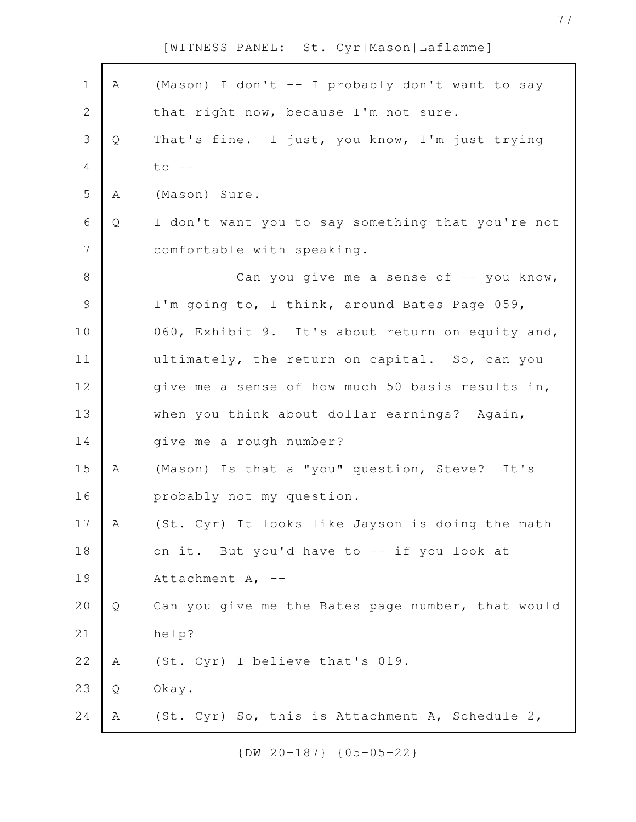| $\mathbf 1$    | Α | (Mason) I don't -- I probably don't want to say   |
|----------------|---|---------------------------------------------------|
| $\overline{2}$ |   | that right now, because I'm not sure.             |
| 3              | Q | That's fine. I just, you know, I'm just trying    |
| $\overline{4}$ |   | $to \ -$                                          |
| 5              | Α | (Mason) Sure.                                     |
| $\sqrt{6}$     | Q | I don't want you to say something that you're not |
| 7              |   | comfortable with speaking.                        |
| $\,8\,$        |   | Can you give me a sense of $-$ you know,          |
| $\mathcal{G}$  |   | I'm going to, I think, around Bates Page 059,     |
| 10             |   | 060, Exhibit 9. It's about return on equity and,  |
| 11             |   | ultimately, the return on capital. So, can you    |
| 12             |   | give me a sense of how much 50 basis results in,  |
| 13             |   | when you think about dollar earnings? Again,      |
| 14             |   | give me a rough number?                           |
| 15             | Α | (Mason) Is that a "you" question, Steve? It's     |
| 16             |   | probably not my question.                         |
| 17             | A | (St. Cyr) It looks like Jayson is doing the math  |
| 18             |   | on it. But you'd have to -- if you look at        |
| 19             |   | Attachment A, --                                  |
| 20             | Q | Can you give me the Bates page number, that would |
| 21             |   | help?                                             |
| 22             | A | (St. Cyr) I believe that's 019.                   |
| 23             | Q | Okay.                                             |
| 24             | A | (St. Cyr) So, this is Attachment A, Schedule 2,   |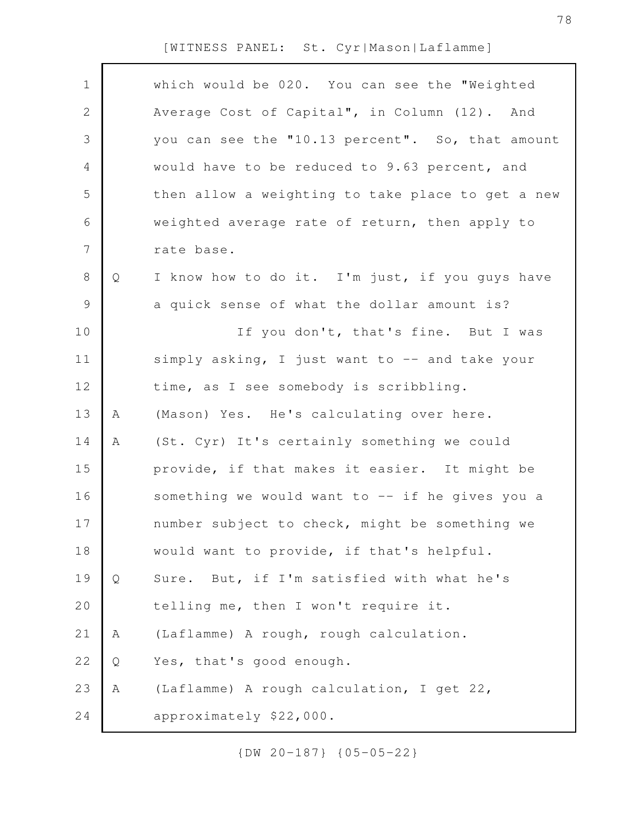|   | which would be 020. You can see the "Weighted     |
|---|---------------------------------------------------|
|   | Average Cost of Capital", in Column (12). And     |
|   | you can see the "10.13 percent". So, that amount  |
|   | would have to be reduced to 9.63 percent, and     |
|   | then allow a weighting to take place to get a new |
|   | weighted average rate of return, then apply to    |
|   | rate base.                                        |
| Q | I know how to do it. I'm just, if you guys have   |
|   | a quick sense of what the dollar amount is?       |
|   | If you don't, that's fine. But I was              |
|   | simply asking, I just want to -- and take your    |
|   | time, as I see somebody is scribbling.            |
| Α | (Mason) Yes. He's calculating over here.          |
| Α | (St. Cyr) It's certainly something we could       |
|   | provide, if that makes it easier. It might be     |
|   | something we would want to -- if he gives you a   |
|   | number subject to check, might be something we    |
|   | would want to provide, if that's helpful.         |
| Q | Sure. But, if I'm satisfied with what he's        |
|   | telling me, then I won't require it.              |
| Α | (Laflamme) A rough, rough calculation.            |
| Q | Yes, that's good enough.                          |
| Α | (Laflamme) A rough calculation, I get 22,         |
|   | approximately \$22,000.                           |
|   |                                                   |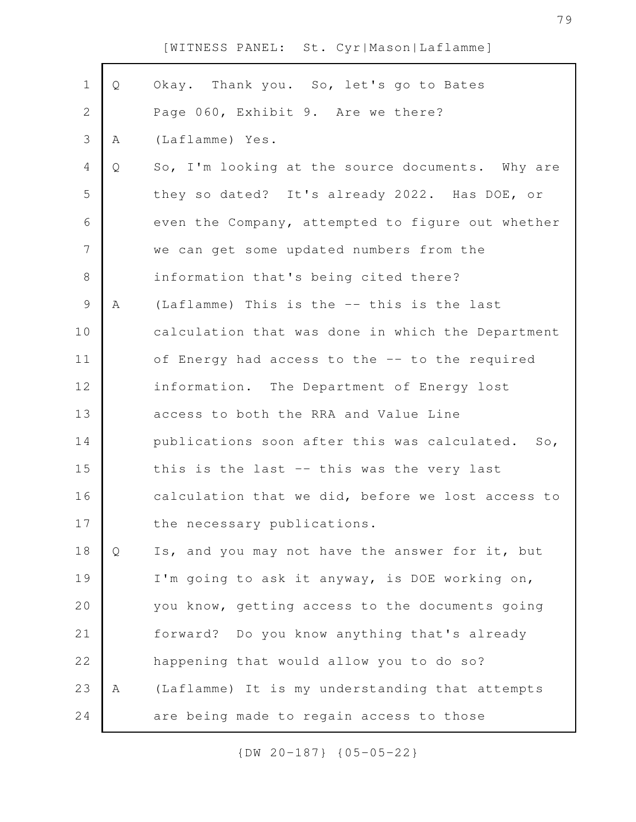| $\mathbf 1$    | Q | Okay. Thank you. So, let's go to Bates            |
|----------------|---|---------------------------------------------------|
| $\overline{2}$ |   | Page 060, Exhibit 9. Are we there?                |
| 3              | Α | (Laflamme) Yes.                                   |
| 4              | Q | So, I'm looking at the source documents. Why are  |
| 5              |   | they so dated? It's already 2022. Has DOE, or     |
| 6              |   | even the Company, attempted to figure out whether |
| $\overline{7}$ |   | we can get some updated numbers from the          |
| $8\,$          |   | information that's being cited there?             |
| 9              | Α | (Laflamme) This is the -- this is the last        |
| 10             |   | calculation that was done in which the Department |
| 11             |   | of Energy had access to the -- to the required    |
| 12             |   | information. The Department of Energy lost        |
| 13             |   | access to both the RRA and Value Line             |
| 14             |   | publications soon after this was calculated. So,  |
| 15             |   | this is the last -- this was the very last        |
| 16             |   | calculation that we did, before we lost access to |
| 17             |   | the necessary publications.                       |
| 18             | Q | Is, and you may not have the answer for it, but   |
| 19             |   | I'm going to ask it anyway, is DOE working on,    |
| 20             |   | you know, getting access to the documents going   |
| 21             |   | forward? Do you know anything that's already      |
| 22             |   | happening that would allow you to do so?          |
| 23             | Α | (Laflamme) It is my understanding that attempts   |
| 24             |   | are being made to regain access to those          |
|                |   |                                                   |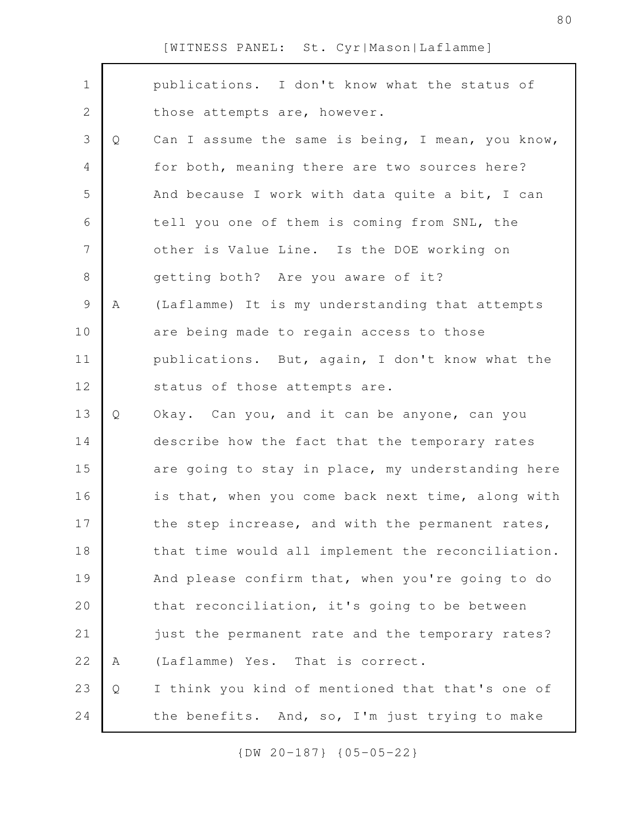| $\mathbf 1$ |   | publications. I don't know what the status of     |
|-------------|---|---------------------------------------------------|
| $\mathbf 2$ |   | those attempts are, however.                      |
| 3           | Q | Can I assume the same is being, I mean, you know, |
| 4           |   | for both, meaning there are two sources here?     |
| 5           |   | And because I work with data quite a bit, I can   |
| 6           |   | tell you one of them is coming from SNL, the      |
| 7           |   | other is Value Line. Is the DOE working on        |
| 8           |   | getting both? Are you aware of it?                |
| $\mathsf 9$ | Α | (Laflamme) It is my understanding that attempts   |
| 10          |   | are being made to regain access to those          |
| 11          |   | publications. But, again, I don't know what the   |
| 12          |   | status of those attempts are.                     |
| 13          | Q | Okay. Can you, and it can be anyone, can you      |
| 14          |   | describe how the fact that the temporary rates    |
| 15          |   | are going to stay in place, my understanding here |
| 16          |   | is that, when you come back next time, along with |
| 17          |   | the step increase, and with the permanent rates,  |
| 18          |   | that time would all implement the reconciliation. |
| 19          |   | And please confirm that, when you're going to do  |
| 20          |   | that reconciliation, it's going to be between     |
| 21          |   | just the permanent rate and the temporary rates?  |
| 22          | Α | (Laflamme) Yes. That is correct.                  |
| 23          | Q | I think you kind of mentioned that that's one of  |
| 24          |   | the benefits. And, so, I'm just trying to make    |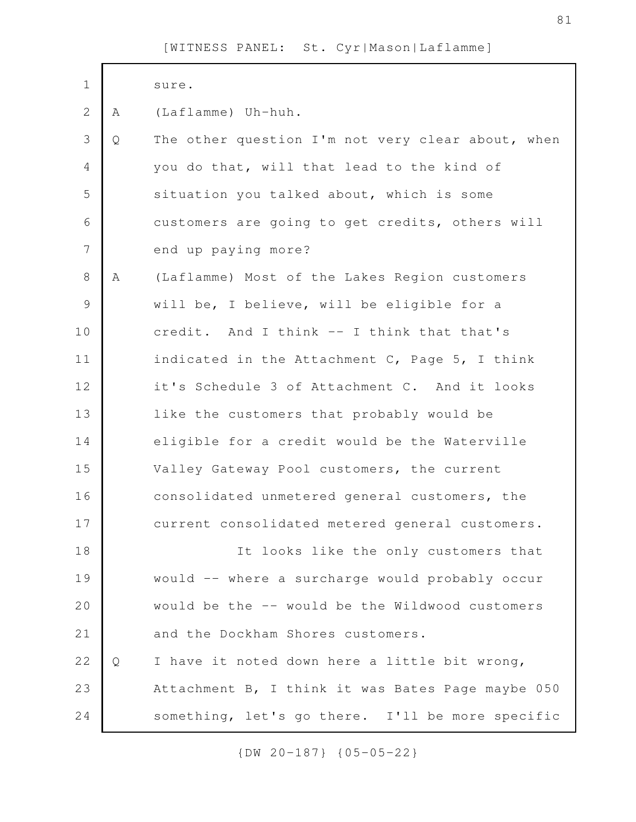| $\mathbf 1$    |   | sure.                                             |
|----------------|---|---------------------------------------------------|
| $\mathbf{2}$   | A | (Laflamme) Uh-huh.                                |
| 3              | Q | The other question I'm not very clear about, when |
| 4              |   | you do that, will that lead to the kind of        |
| 5              |   | situation you talked about, which is some         |
| 6              |   | customers are going to get credits, others will   |
| $\overline{7}$ |   | end up paying more?                               |
| 8              | Α | (Laflamme) Most of the Lakes Region customers     |
| 9              |   | will be, I believe, will be eligible for a        |
| 10             |   | credit. And I think -- I think that that's        |
| 11             |   | indicated in the Attachment C, Page 5, I think    |
| 12             |   | it's Schedule 3 of Attachment C. And it looks     |
| 13             |   | like the customers that probably would be         |
| 14             |   | eligible for a credit would be the Waterville     |
| 15             |   | Valley Gateway Pool customers, the current        |
| 16             |   | consolidated unmetered general customers, the     |
| 17             |   | current consolidated metered general customers.   |
| 18             |   | It looks like the only customers that             |
| 19             |   | would -- where a surcharge would probably occur   |
| 20             |   | would be the -- would be the Wildwood customers   |
| 21             |   | and the Dockham Shores customers.                 |
| 22             | Q | I have it noted down here a little bit wrong,     |
| 23             |   | Attachment B, I think it was Bates Page maybe 050 |
| 24             |   | something, let's go there. I'll be more specific  |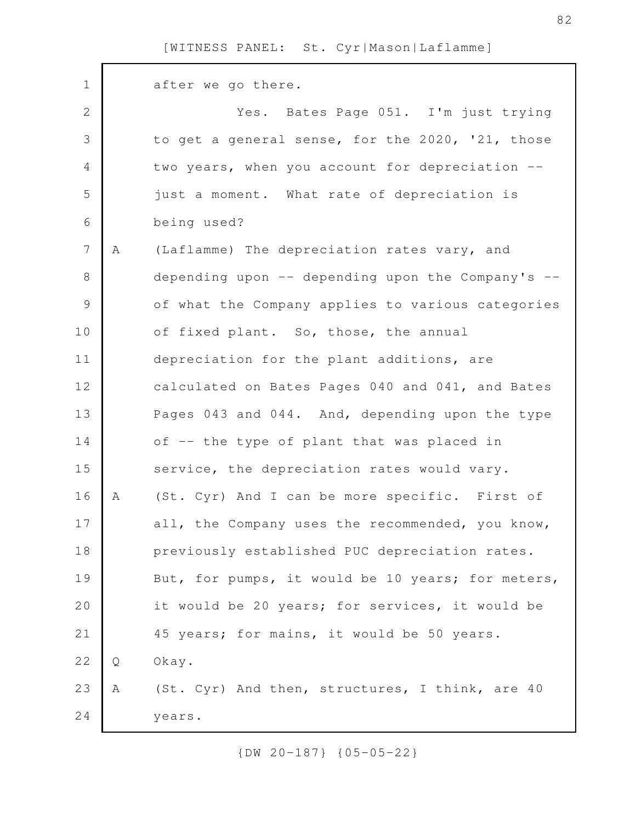| $\mathbf 1$    |   | after we go there.                                  |
|----------------|---|-----------------------------------------------------|
| $\mathbf{2}$   |   | Yes. Bates Page 051. I'm just trying                |
| 3              |   | to get a general sense, for the 2020, '21, those    |
| 4              |   | two years, when you account for depreciation --     |
| 5              |   | just a moment. What rate of depreciation is         |
| 6              |   | being used?                                         |
| $\overline{7}$ | A | (Laflamme) The depreciation rates vary, and         |
| $8\,$          |   | depending upon $-$ depending upon the Company's $-$ |
| $\mathcal{G}$  |   | of what the Company applies to various categories   |
| 10             |   | of fixed plant. So, those, the annual               |
| 11             |   | depreciation for the plant additions, are           |
| 12             |   | calculated on Bates Pages 040 and 041, and Bates    |
| 13             |   | Pages 043 and 044. And, depending upon the type     |
| 14             |   | of -- the type of plant that was placed in          |
| 15             |   | service, the depreciation rates would vary.         |
| 16             | Α | (St. Cyr) And I can be more specific. First of      |
| 17             |   | all, the Company uses the recommended, you know,    |
| 18             |   | previously established PUC depreciation rates.      |
| 19             |   | But, for pumps, it would be 10 years; for meters,   |
| 20             |   | it would be 20 years; for services, it would be     |
| 21             |   | 45 years; for mains, it would be 50 years.          |
| 22             | Q | Okay.                                               |
| 23             | Α | (St. Cyr) And then, structures, I think, are 40     |
| 24             |   | years.                                              |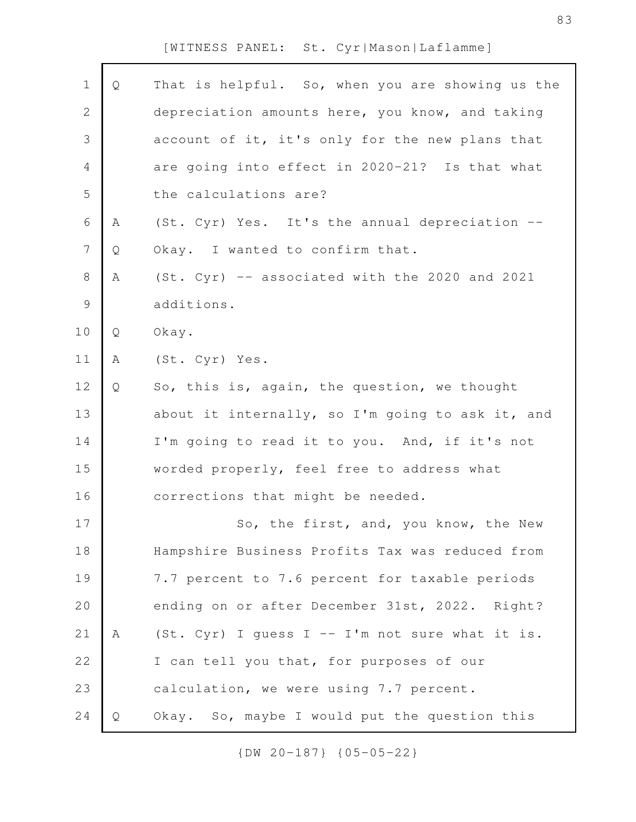| $\mathbf 1$    | Q | That is helpful. So, when you are showing us the   |
|----------------|---|----------------------------------------------------|
| $\mathbf{2}$   |   | depreciation amounts here, you know, and taking    |
| $\mathcal{S}$  |   | account of it, it's only for the new plans that    |
| $\overline{4}$ |   | are going into effect in 2020-21? Is that what     |
| 5              |   | the calculations are?                              |
| $\sqrt{6}$     | A | (St. Cyr) Yes. It's the annual depreciation --     |
| $\overline{7}$ | Q | Okay. I wanted to confirm that.                    |
| $\,8\,$        | Α | (St. Cyr) -- associated with the 2020 and 2021     |
| $\mathcal{G}$  |   | additions.                                         |
| 10             | Q | Okay.                                              |
| 11             | Α | (St. Cyr) Yes.                                     |
| 12             | Q | So, this is, again, the question, we thought       |
| 13             |   | about it internally, so I'm going to ask it, and   |
| 14             |   | I'm going to read it to you. And, if it's not      |
| 15             |   | worded properly, feel free to address what         |
| 16             |   | corrections that might be needed.                  |
| 17             |   | So, the first, and, you know, the New              |
| 18             |   | Hampshire Business Profits Tax was reduced from    |
| 19             |   | 7.7 percent to 7.6 percent for taxable periods     |
| 20             |   | ending on or after December 31st, 2022. Right?     |
| 21             | Α | (St. Cyr) I quess $I - - I'm$ not sure what it is. |
| 22             |   | I can tell you that, for purposes of our           |
| 23             |   | calculation, we were using 7.7 percent.            |
| 24             | Q | Okay. So, maybe I would put the question this      |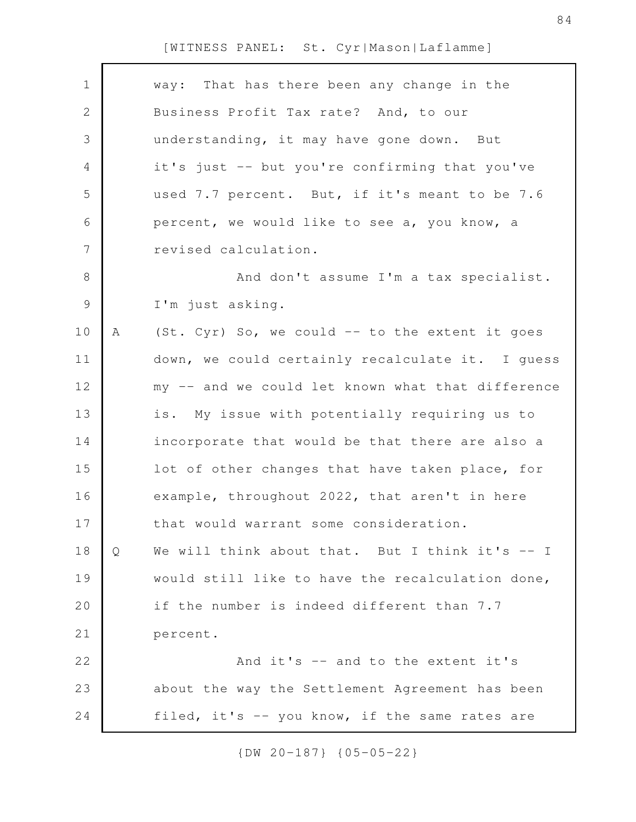| $\mathbf 1$   |   | way: That has there been any change in the        |
|---------------|---|---------------------------------------------------|
| $\mathbf{2}$  |   | Business Profit Tax rate? And, to our             |
| 3             |   | understanding, it may have gone down. But         |
| 4             |   | it's just -- but you're confirming that you've    |
| 5             |   | used 7.7 percent. But, if it's meant to be 7.6    |
| 6             |   | percent, we would like to see a, you know, a      |
| 7             |   | revised calculation.                              |
| $\,8\,$       |   | And don't assume I'm a tax specialist.            |
| $\mathcal{G}$ |   | I'm just asking.                                  |
| 10            | Α | (St. Cyr) So, we could -- to the extent it goes   |
| 11            |   | down, we could certainly recalculate it. I quess  |
| 12            |   | my -- and we could let known what that difference |
| 13            |   | is. My issue with potentially requiring us to     |
| 14            |   | incorporate that would be that there are also a   |
| 15            |   | lot of other changes that have taken place, for   |
| 16            |   | example, throughout 2022, that aren't in here     |
| 17            |   | that would warrant some consideration.            |
| 18            | Q | We will think about that. But I think it's -- I   |
| 19            |   | would still like to have the recalculation done,  |
| 20            |   | if the number is indeed different than 7.7        |
| 21            |   | percent.                                          |
| 22            |   | And it's -- and to the extent it's                |
| 23            |   | about the way the Settlement Agreement has been   |
| 24            |   | filed, it's -- you know, if the same rates are    |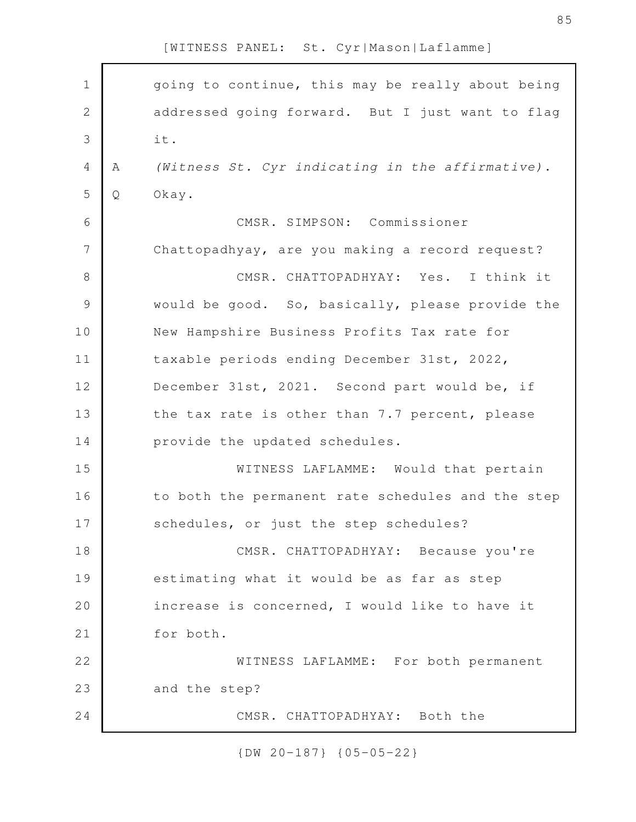| $\mathbf 1$    |   | going to continue, this may be really about being |
|----------------|---|---------------------------------------------------|
| $\sqrt{2}$     |   | addressed going forward. But I just want to flag  |
| 3              |   | it.                                               |
| $\overline{4}$ | A | (Witness St. Cyr indicating in the affirmative).  |
| 5              | Q | Okay.                                             |
| 6              |   | CMSR. SIMPSON: Commissioner                       |
| $\overline{7}$ |   | Chattopadhyay, are you making a record request?   |
| $8\,$          |   | CMSR. CHATTOPADHYAY: Yes. I think it              |
| $\mathcal{G}$  |   | would be good. So, basically, please provide the  |
| 10             |   | New Hampshire Business Profits Tax rate for       |
| 11             |   | taxable periods ending December 31st, 2022,       |
| 12             |   | December 31st, 2021. Second part would be, if     |
| 13             |   | the tax rate is other than 7.7 percent, please    |
| 14             |   | provide the updated schedules.                    |
| 15             |   | WITNESS LAFLAMME: Would that pertain              |
| 16             |   | to both the permanent rate schedules and the step |
| 17             |   | schedules, or just the step schedules?            |
| 18             |   | CMSR. CHATTOPADHYAY: Because you're               |
| 19             |   | estimating what it would be as far as step        |
| 20             |   | increase is concerned, I would like to have it    |
| 21             |   | for both.                                         |
| 22             |   | WITNESS LAFLAMME: For both permanent              |
| 23             |   | and the step?                                     |
| 24             |   | CMSR. CHATTOPADHYAY: Both the                     |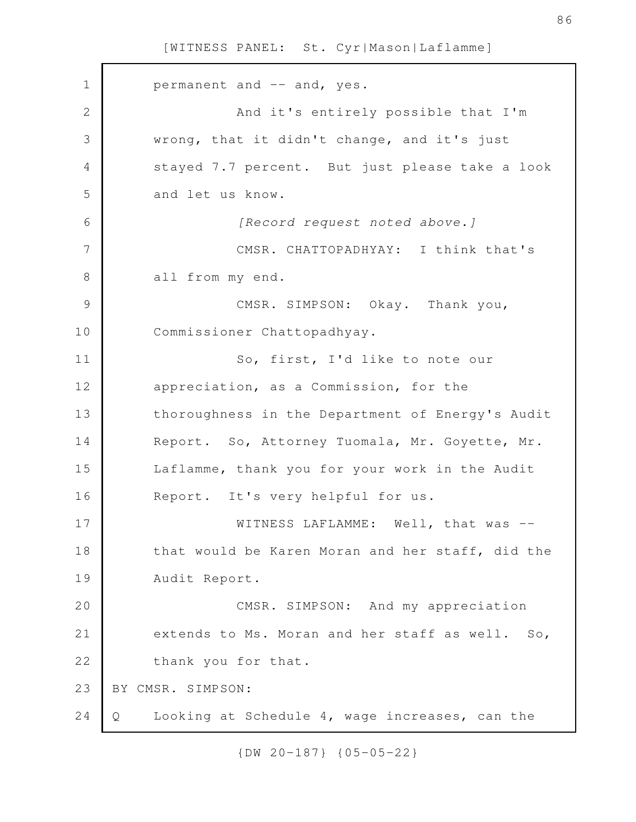permanent and -- and, yes. And it's entirely possible that I'm wrong, that it didn't change, and it's just stayed 7.7 percent. But just please take a look and let us know. *[Record request noted above.]* CMSR. CHATTOPADHYAY: I think that's all from my end. CMSR. SIMPSON: Okay. Thank you, Commissioner Chattopadhyay. So, first, I'd like to note our appreciation, as a Commission, for the thoroughness in the Department of Energy's Audit Report. So, Attorney Tuomala, Mr. Goyette, Mr. Laflamme, thank you for your work in the Audit Report. It's very helpful for us. WITNESS LAFLAMME: Well, that was - that would be Karen Moran and her staff, did the Audit Report. CMSR. SIMPSON: And my appreciation extends to Ms. Moran and her staff as well. So, thank you for that. BY CMSR. SIMPSON: Q Looking at Schedule 4, wage increases, can the 1 2 3 4 5 6 7 8 9 10 11 12 13 14 15 16 17 18 19 20 21 22 23 24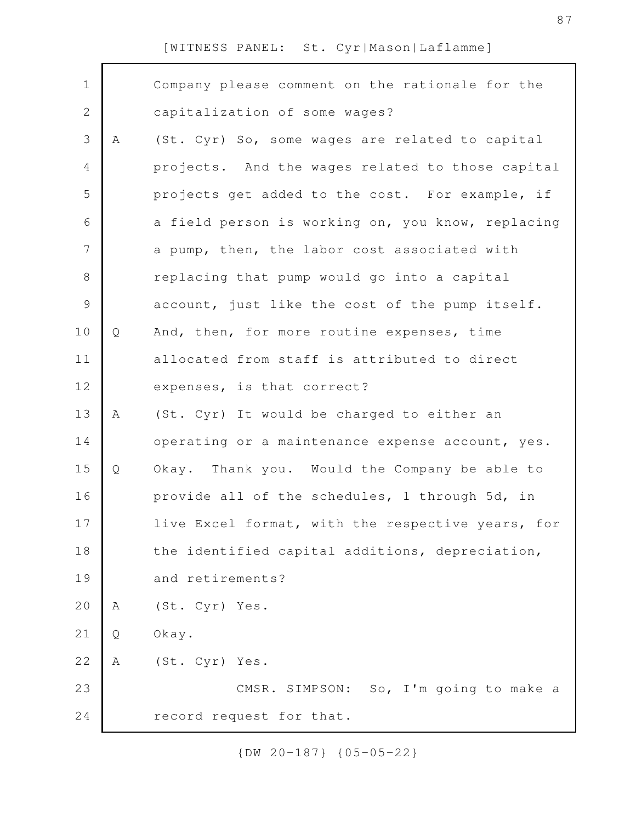| $\mathbf 1$    |   | Company please comment on the rationale for the   |
|----------------|---|---------------------------------------------------|
| $\mathbf{2}$   |   | capitalization of some wages?                     |
| 3              | A | (St. Cyr) So, some wages are related to capital   |
| $\overline{4}$ |   | projects. And the wages related to those capital  |
| 5              |   | projects get added to the cost. For example, if   |
| 6              |   | a field person is working on, you know, replacing |
| $\overline{7}$ |   | a pump, then, the labor cost associated with      |
| $\,8\,$        |   | replacing that pump would go into a capital       |
| $\mathcal{G}$  |   | account, just like the cost of the pump itself.   |
| 10             | Q | And, then, for more routine expenses, time        |
| 11             |   | allocated from staff is attributed to direct      |
| 12             |   | expenses, is that correct?                        |
| 13             | A | (St. Cyr) It would be charged to either an        |
| 14             |   | operating or a maintenance expense account, yes.  |
| 15             | Q | Okay. Thank you. Would the Company be able to     |
| 16             |   | provide all of the schedules, 1 through 5d, in    |
| 17             |   | live Excel format, with the respective years, for |
| 18             |   | the identified capital additions, depreciation,   |
| 19             |   | and retirements?                                  |
| 20             | Α | (St. Cyr) Yes.                                    |
| $2\,1$         | Q | Okay.                                             |
| 22             | Α | (St. Cyr) Yes.                                    |
| 23             |   | CMSR. SIMPSON: So, I'm going to make a            |
| 24             |   | record request for that.                          |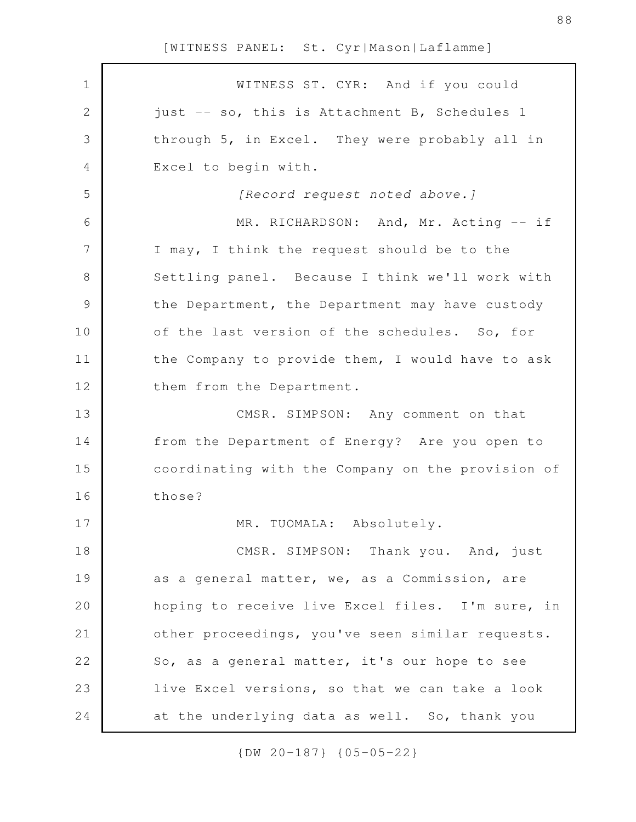WITNESS ST. CYR: And if you could just -- so, this is Attachment B, Schedules 1 through 5, in Excel. They were probably all in Excel to begin with. *[Record request noted above.]* MR. RICHARDSON: And, Mr. Acting -- if I may, I think the request should be to the Settling panel. Because I think we'll work with the Department, the Department may have custody of the last version of the schedules. So, for the Company to provide them, I would have to ask them from the Department. CMSR. SIMPSON: Any comment on that from the Department of Energy? Are you open to coordinating with the Company on the provision of those? MR. TUOMALA: Absolutely. CMSR. SIMPSON: Thank you. And, just as a general matter, we, as a Commission, are hoping to receive live Excel files. I'm sure, in other proceedings, you've seen similar requests. So, as a general matter, it's our hope to see live Excel versions, so that we can take a look at the underlying data as well. So, thank you 1 2 3 4 5 6 7 8 9 10 11 12 13 14 15 16 17 18 19 20 21 22 23 24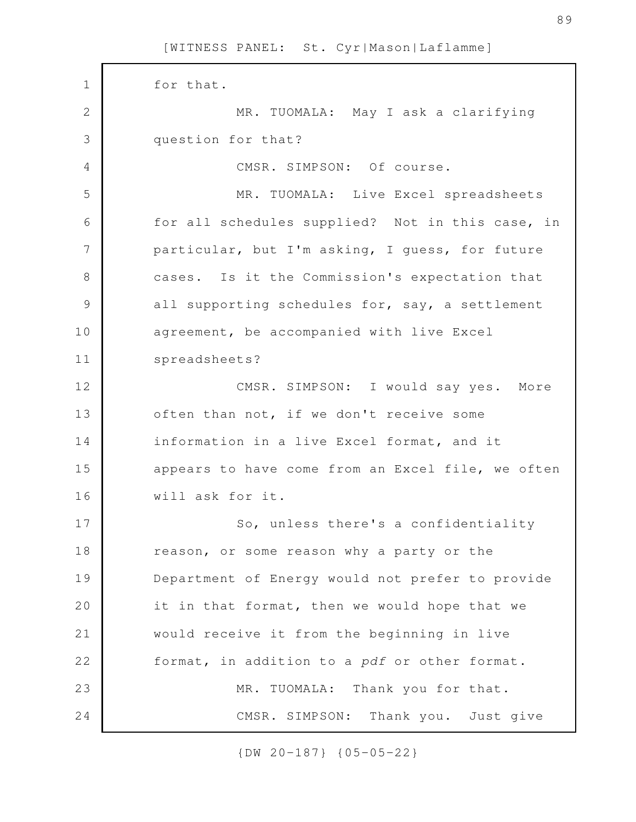for that. MR. TUOMALA: May I ask a clarifying question for that? CMSR. SIMPSON: Of course. MR. TUOMALA: Live Excel spreadsheets for all schedules supplied? Not in this case, in particular, but I'm asking, I guess, for future cases. Is it the Commission's expectation that all supporting schedules for, say, a settlement agreement, be accompanied with live Excel spreadsheets? CMSR. SIMPSON: I would say yes. More often than not, if we don't receive some information in a live Excel format, and it appears to have come from an Excel file, we often will ask for it. So, unless there's a confidentiality reason, or some reason why a party or the Department of Energy would not prefer to provide it in that format, then we would hope that we would receive it from the beginning in live format, in addition to a *pdf* or other format. MR. TUOMALA: Thank you for that. CMSR. SIMPSON: Thank you. Just give 1 2 3 4 5 6 7 8 9 10 11 12 13 14 15 16 17 18 19 20 21 22 23 24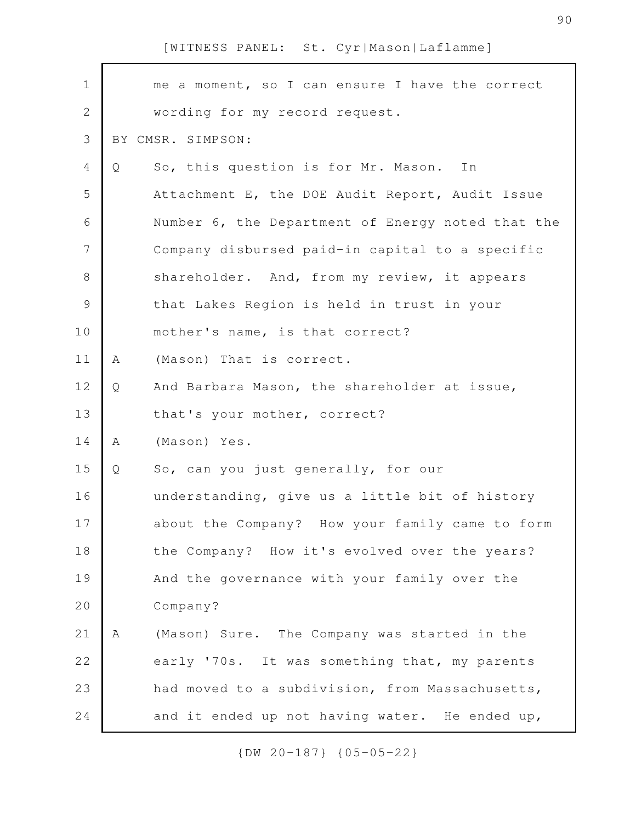| $\mathbf 1$   |   | me a moment, so I can ensure I have the correct   |
|---------------|---|---------------------------------------------------|
| $\mathbf{2}$  |   | wording for my record request.                    |
| 3             |   | BY CMSR. SIMPSON:                                 |
| 4             | Q | So, this question is for Mr. Mason.<br>In         |
| 5             |   | Attachment E, the DOE Audit Report, Audit Issue   |
| 6             |   | Number 6, the Department of Energy noted that the |
| 7             |   | Company disbursed paid-in capital to a specific   |
| $8\,$         |   | shareholder. And, from my review, it appears      |
| $\mathcal{G}$ |   | that Lakes Region is held in trust in your        |
| 10            |   | mother's name, is that correct?                   |
| 11            | A | (Mason) That is correct.                          |
| 12            | Q | And Barbara Mason, the shareholder at issue,      |
| 13            |   | that's your mother, correct?                      |
| 14            | A | (Mason) Yes.                                      |
| 15            | Q | So, can you just generally, for our               |
| 16            |   | understanding, give us a little bit of history    |
| 17            |   | about the Company? How your family came to form   |
| 18            |   | the Company? How it's evolved over the years?     |
| 19            |   | And the governance with your family over the      |
| 20            |   | Company?                                          |
| 21            | Α | (Mason) Sure. The Company was started in the      |
| 22            |   | early '70s. It was something that, my parents     |
| 23            |   | had moved to a subdivision, from Massachusetts,   |
| 24            |   | and it ended up not having water. He ended up,    |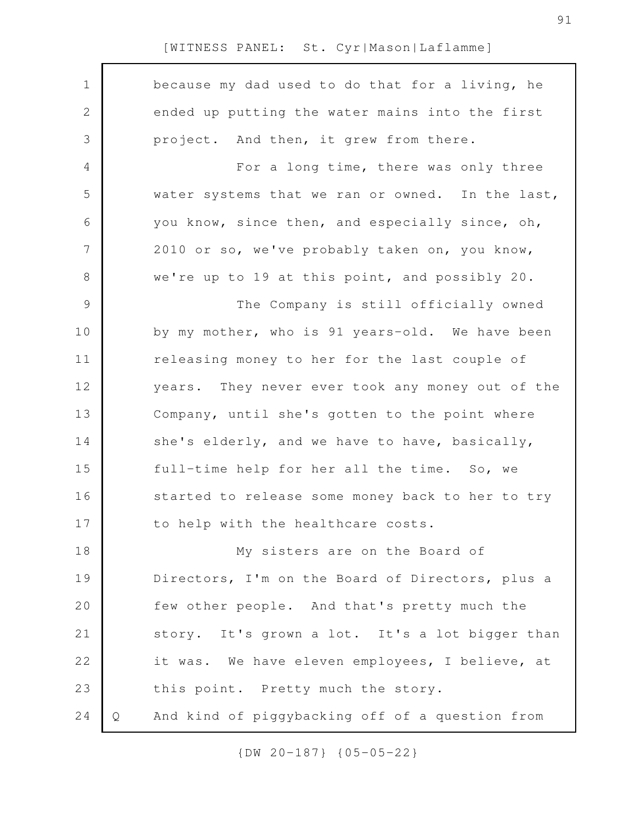| $\mathbf 1$    |   | because my dad used to do that for a living, he  |
|----------------|---|--------------------------------------------------|
| 2              |   | ended up putting the water mains into the first  |
| 3              |   | project. And then, it grew from there.           |
| 4              |   | For a long time, there was only three            |
| 5              |   | water systems that we ran or owned. In the last, |
| 6              |   | you know, since then, and especially since, oh,  |
| 7              |   | 2010 or so, we've probably taken on, you know,   |
| 8              |   | we're up to 19 at this point, and possibly 20.   |
| $\overline{9}$ |   | The Company is still officially owned            |
| 10             |   | by my mother, who is 91 years-old. We have been  |
| 11             |   | releasing money to her for the last couple of    |
| 12             |   | years. They never ever took any money out of the |
| 13             |   | Company, until she's gotten to the point where   |
| 14             |   | she's elderly, and we have to have, basically,   |
| 15             |   | full-time help for her all the time. So, we      |
| 16             |   | started to release some money back to her to try |
| 17             |   | to help with the healthcare costs.               |
| 18             |   | My sisters are on the Board of                   |
| 19             |   | Directors, I'm on the Board of Directors, plus a |
| 20             |   | few other people. And that's pretty much the     |
| 21             |   | story. It's grown a lot. It's a lot bigger than  |
| 22             |   | it was. We have eleven employees, I believe, at  |
| 23             |   | this point. Pretty much the story.               |
| 24             | Q | And kind of piggybacking off of a question from  |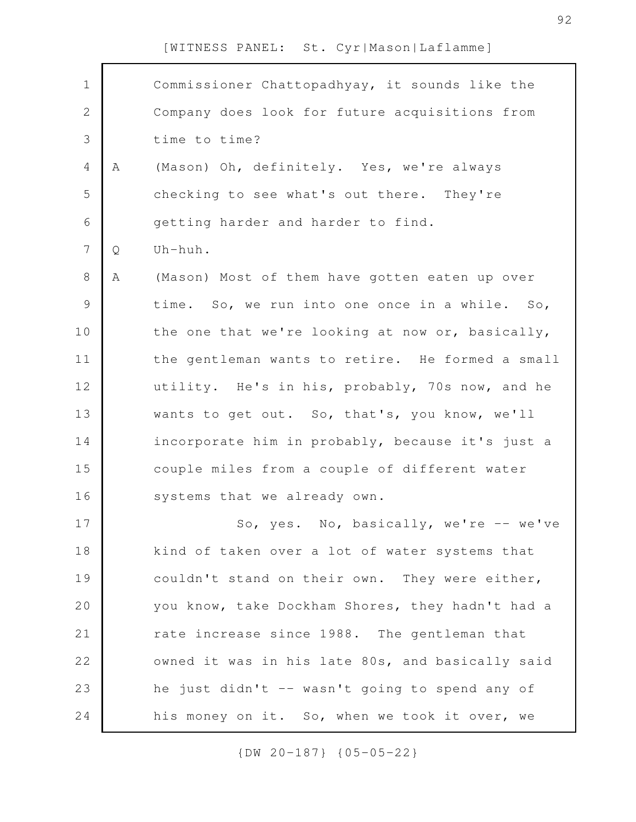| $\mathbf 1$    |   | Commissioner Chattopadhyay, it sounds like the   |
|----------------|---|--------------------------------------------------|
| $\mathbf{2}$   |   | Company does look for future acquisitions from   |
| 3              |   | time to time?                                    |
| $\overline{4}$ | Α | (Mason) Oh, definitely. Yes, we're always        |
| 5              |   | checking to see what's out there. They're        |
| 6              |   | getting harder and harder to find.               |
| $\overline{7}$ | Q | Uh-huh.                                          |
| 8              | Α | (Mason) Most of them have gotten eaten up over   |
| 9              |   | time. So, we run into one once in a while. So,   |
| 10             |   | the one that we're looking at now or, basically, |
| 11             |   | the gentleman wants to retire. He formed a small |
| 12             |   | utility. He's in his, probably, 70s now, and he  |
| 13             |   | wants to get out. So, that's, you know, we'll    |
| 14             |   | incorporate him in probably, because it's just a |
| 15             |   | couple miles from a couple of different water    |
| 16             |   | systems that we already own.                     |
| 17             |   | So, yes. No, basically, we're -- we've           |
| 18             |   | kind of taken over a lot of water systems that   |
| 19             |   | couldn't stand on their own. They were either,   |
| 20             |   | you know, take Dockham Shores, they hadn't had a |
| 21             |   | rate increase since 1988. The gentleman that     |
| 22             |   | owned it was in his late 80s, and basically said |
| 23             |   | he just didn't -- wasn't going to spend any of   |
| 24             |   | his money on it. So, when we took it over, we    |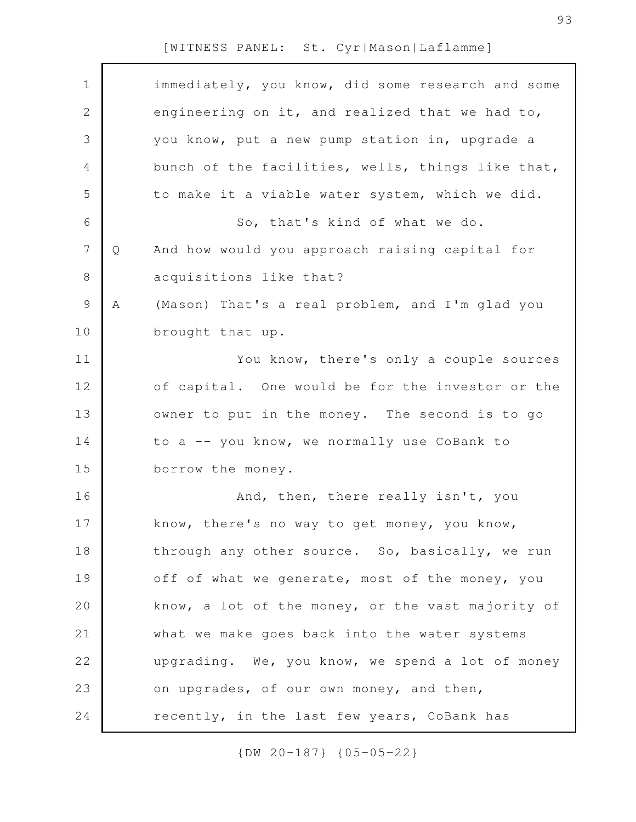| $\mathbf 1$    |   | immediately, you know, did some research and some |
|----------------|---|---------------------------------------------------|
| $\mathbf{2}$   |   | engineering on it, and realized that we had to,   |
| 3              |   | you know, put a new pump station in, upgrade a    |
| 4              |   | bunch of the facilities, wells, things like that, |
| 5              |   | to make it a viable water system, which we did.   |
| 6              |   | So, that's kind of what we do.                    |
| $\overline{7}$ | Q | And how would you approach raising capital for    |
| $8\,$          |   | acquisitions like that?                           |
| $\mathsf 9$    | Α | (Mason) That's a real problem, and I'm glad you   |
| 10             |   | brought that up.                                  |
| 11             |   | You know, there's only a couple sources           |
| 12             |   | of capital. One would be for the investor or the  |
| 13             |   | owner to put in the money. The second is to go    |
| 14             |   | to a -- you know, we normally use CoBank to       |
| 15             |   | borrow the money.                                 |
| 16             |   | And, then, there really isn't, you                |
| 17             |   | know, there's no way to get money, you know,      |
| 18             |   | through any other source. So, basically, we run   |
| 19             |   | off of what we generate, most of the money, you   |
| 20             |   | know, a lot of the money, or the vast majority of |
| 21             |   | what we make goes back into the water systems     |
| 22             |   | upgrading. We, you know, we spend a lot of money  |
| 23             |   | on upgrades, of our own money, and then,          |
| 24             |   | recently, in the last few years, CoBank has       |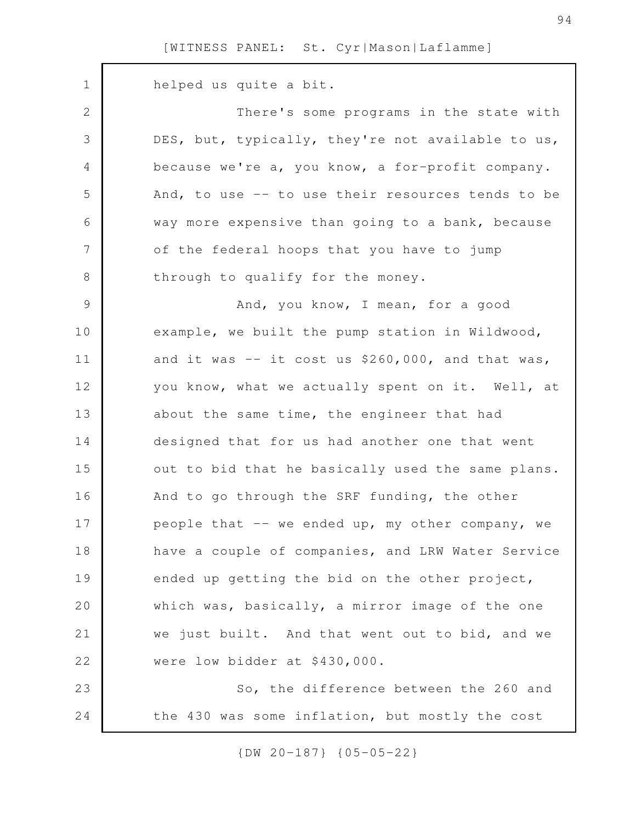helped us quite a bit. There's some programs in the state with DES, but, typically, they're not available to us, because we're a, you know, a for-profit company. And, to use -- to use their resources tends to be way more expensive than going to a bank, because of the federal hoops that you have to jump through to qualify for the money. And, you know, I mean, for a good example, we built the pump station in Wildwood, and it was  $-$  it cost us \$260,000, and that was, you know, what we actually spent on it. Well, at about the same time, the engineer that had designed that for us had another one that went out to bid that he basically used the same plans. And to go through the SRF funding, the other people that -- we ended up, my other company, we have a couple of companies, and LRW Water Service ended up getting the bid on the other project, which was, basically, a mirror image of the one we just built. And that went out to bid, and we were low bidder at \$430,000. So, the difference between the 260 and the 430 was some inflation, but mostly the cost 1 2 3 4 5 6 7 8 9 10 11 12 13 14 15 16 17 18 19 20 21 22 23 24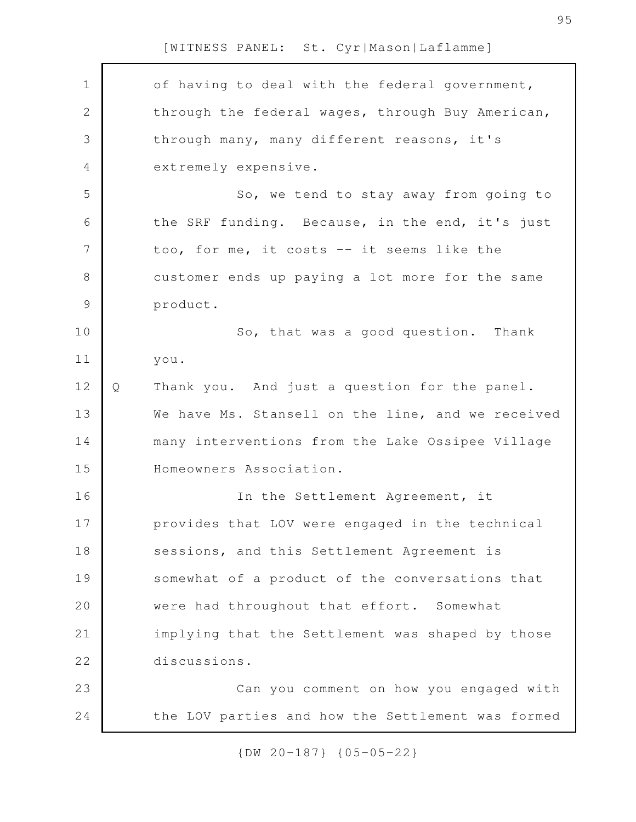| $\mathbf 1$   |   | of having to deal with the federal government,    |
|---------------|---|---------------------------------------------------|
| $\mathbf{2}$  |   | through the federal wages, through Buy American,  |
| 3             |   | through many, many different reasons, it's        |
| 4             |   | extremely expensive.                              |
| 5             |   | So, we tend to stay away from going to            |
| 6             |   | the SRF funding. Because, in the end, it's just   |
| 7             |   | too, for me, it costs -- it seems like the        |
| 8             |   | customer ends up paying a lot more for the same   |
| $\mathcal{G}$ |   | product.                                          |
| 10            |   | So, that was a good question. Thank               |
| 11            |   | you.                                              |
| 12            | Q | Thank you. And just a question for the panel.     |
| 13            |   | We have Ms. Stansell on the line, and we received |
| 14            |   | many interventions from the Lake Ossipee Village  |
| 15            |   | Homeowners Association.                           |
| 16            |   | In the Settlement Agreement, it                   |
| 17            |   | provides that LOV were engaged in the technical   |
| 18            |   | sessions, and this Settlement Agreement is        |
| 19            |   | somewhat of a product of the conversations that   |
| 20            |   | were had throughout that effort. Somewhat         |
| 21            |   | implying that the Settlement was shaped by those  |
| 22            |   | discussions.                                      |
| 23            |   | Can you comment on how you engaged with           |
| 24            |   | the LOV parties and how the Settlement was formed |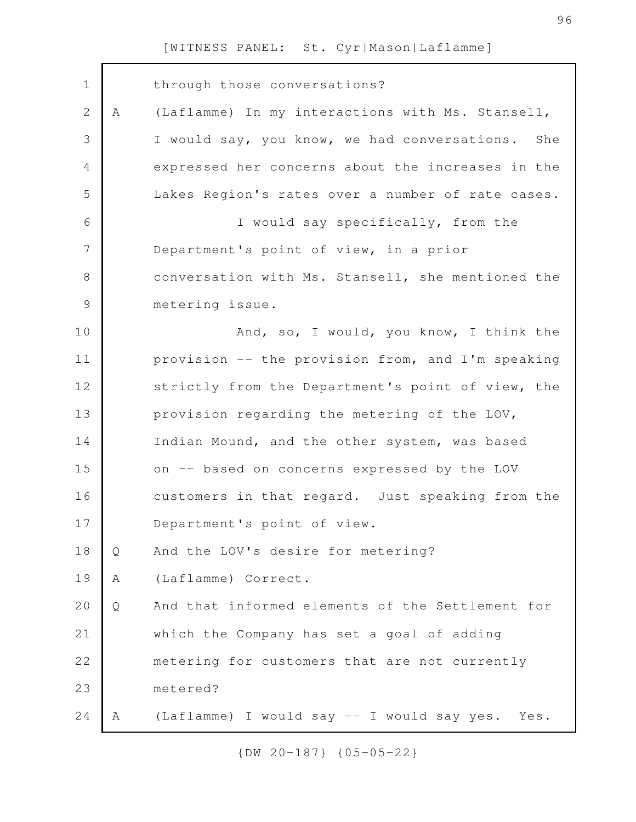| $\mathbf 1$   |   | through those conversations?                        |
|---------------|---|-----------------------------------------------------|
| $\mathbf{2}$  | A | (Laflamme) In my interactions with Ms. Stansell,    |
| 3             |   | I would say, you know, we had conversations.<br>She |
| 4             |   | expressed her concerns about the increases in the   |
| 5             |   | Lakes Region's rates over a number of rate cases.   |
| 6             |   | I would say specifically, from the                  |
| 7             |   | Department's point of view, in a prior              |
| 8             |   | conversation with Ms. Stansell, she mentioned the   |
| $\mathcal{G}$ |   | metering issue.                                     |
| 10            |   | And, so, I would, you know, I think the             |
| 11            |   | provision -- the provision from, and I'm speaking   |
| 12            |   | strictly from the Department's point of view, the   |
| 13            |   | provision regarding the metering of the LOV,        |
| 14            |   | Indian Mound, and the other system, was based       |
| 15            |   | on -- based on concerns expressed by the LOV        |
| 16            |   | customers in that regard. Just speaking from the    |
| 17            |   | Department's point of view.                         |
| 18            | Q | And the LOV's desire for metering?                  |
| 19            | Α | (Laflamme) Correct.                                 |
| 20            | Q | And that informed elements of the Settlement for    |
| 21            |   | which the Company has set a goal of adding          |
| 22            |   | metering for customers that are not currently       |
| 23            |   | metered?                                            |
| $2\,4$        | Α | (Laflamme) I would say -- I would say yes. Yes.     |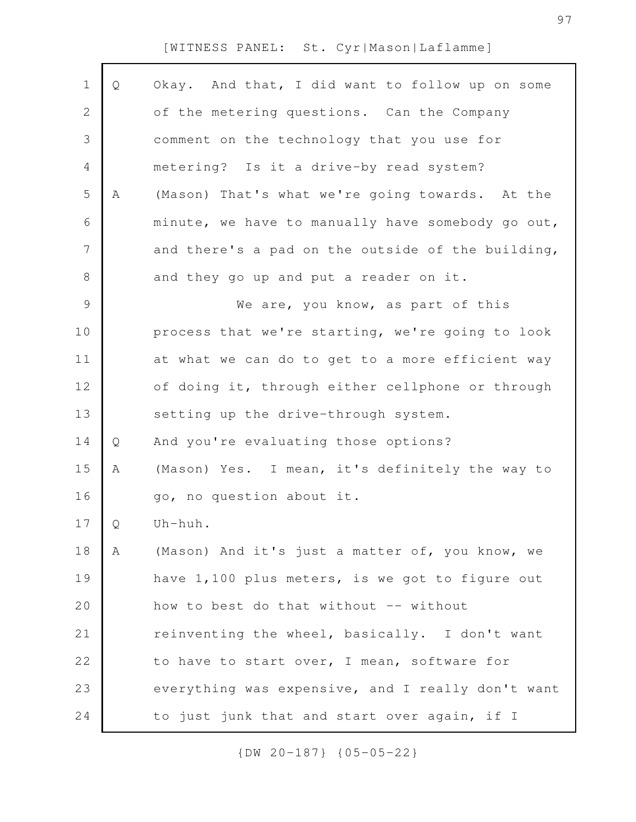| $\mathbf 1$    | Q | Okay. And that, I did want to follow up on some   |
|----------------|---|---------------------------------------------------|
| 2              |   | of the metering questions. Can the Company        |
| 3              |   | comment on the technology that you use for        |
| 4              |   | metering? Is it a drive-by read system?           |
| 5              | Α | (Mason) That's what we're going towards. At the   |
| 6              |   | minute, we have to manually have somebody go out, |
| $\overline{7}$ |   | and there's a pad on the outside of the building, |
| $\,8\,$        |   | and they go up and put a reader on it.            |
| $\mathcal{G}$  |   | We are, you know, as part of this                 |
| 10             |   | process that we're starting, we're going to look  |
| 11             |   | at what we can do to get to a more efficient way  |
| 12             |   | of doing it, through either cellphone or through  |
| 13             |   | setting up the drive-through system.              |
| 14             | Q | And you're evaluating those options?              |
| 15             | Α | (Mason) Yes. I mean, it's definitely the way to   |
| 16             |   | go, no question about it.                         |
| 17             | Q | Uh-huh.                                           |
| 18             | A | (Mason) And it's just a matter of, you know, we   |
| 19             |   | have 1,100 plus meters, is we got to figure out   |
| 20             |   | how to best do that without -- without            |
| 21             |   | reinventing the wheel, basically. I don't want    |
| 22             |   | to have to start over, I mean, software for       |
| 23             |   | everything was expensive, and I really don't want |
| 24             |   | to just junk that and start over again, if I      |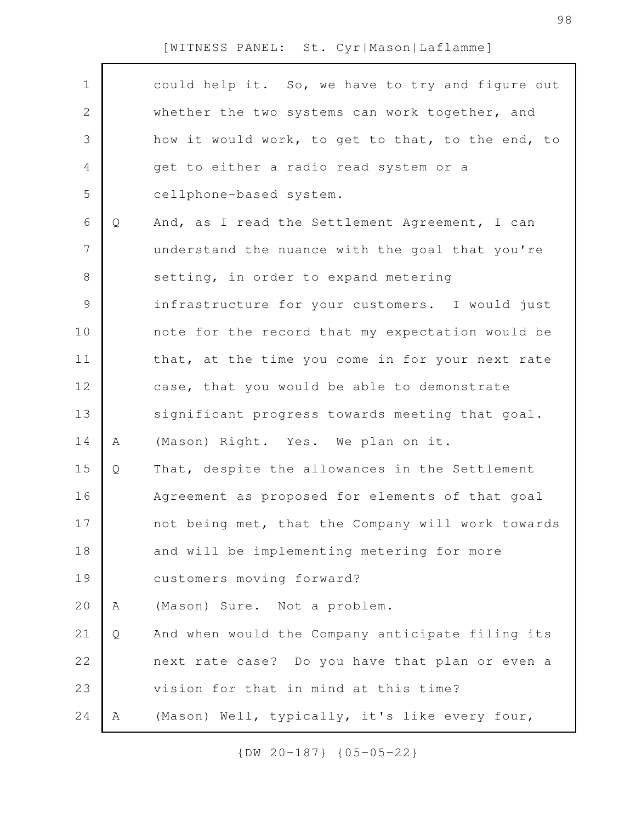| $\mathbf 1$    |   | could help it. So, we have to try and figure out  |
|----------------|---|---------------------------------------------------|
| 2              |   | whether the two systems can work together, and    |
| 3              |   | how it would work, to get to that, to the end, to |
| 4              |   | get to either a radio read system or a            |
| 5              |   | cellphone-based system.                           |
| 6              | Q | And, as I read the Settlement Agreement, I can    |
| $\overline{7}$ |   | understand the nuance with the goal that you're   |
| $8\,$          |   | setting, in order to expand metering              |
| $\overline{9}$ |   | infrastructure for your customers. I would just   |
| 10             |   | note for the record that my expectation would be  |
| 11             |   | that, at the time you come in for your next rate  |
| 12             |   | case, that you would be able to demonstrate       |
| 13             |   | significant progress towards meeting that goal.   |
| 14             | Α | (Mason) Right. Yes. We plan on it.                |
| 15             | Q | That, despite the allowances in the Settlement    |
| 16             |   | Agreement as proposed for elements of that goal   |
| 17             |   | not being met, that the Company will work towards |
| 18             |   | and will be implementing metering for more        |
| 19             |   | customers moving forward?                         |
| 20             | Α | (Mason) Sure. Not a problem.                      |
| 21             | Q | And when would the Company anticipate filing its  |
| 22             |   | next rate case? Do you have that plan or even a   |
| 23             |   | vision for that in mind at this time?             |
| 24             | Α | (Mason) Well, typically, it's like every four,    |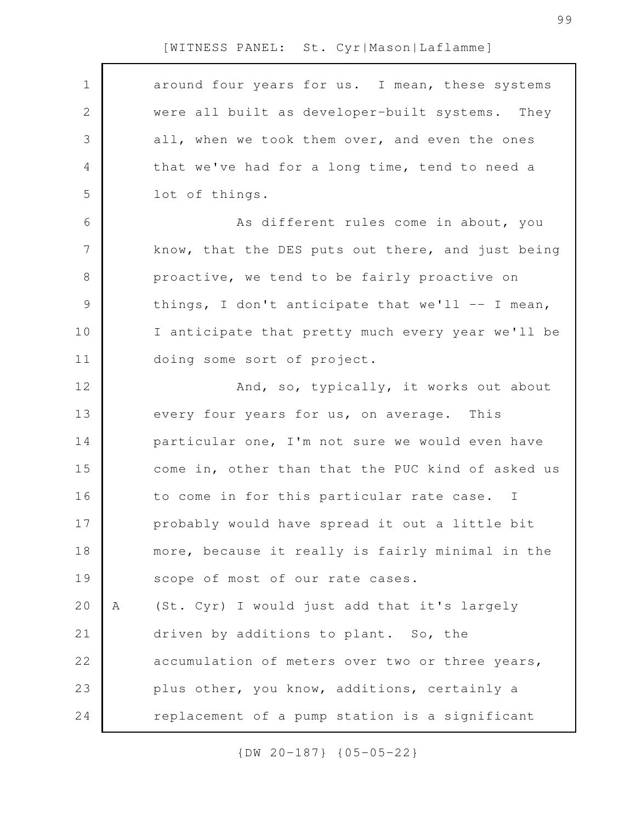| $\mathbf 1$  |   | around four years for us. I mean, these systems   |
|--------------|---|---------------------------------------------------|
| $\mathbf{2}$ |   | were all built as developer-built systems. They   |
| 3            |   | all, when we took them over, and even the ones    |
| 4            |   | that we've had for a long time, tend to need a    |
| 5            |   | lot of things.                                    |
| 6            |   | As different rules come in about, you             |
| 7            |   | know, that the DES puts out there, and just being |
| $\,8\,$      |   | proactive, we tend to be fairly proactive on      |
| $\mathsf 9$  |   | things, I don't anticipate that we'll -- I mean,  |
| 10           |   | I anticipate that pretty much every year we'll be |
| 11           |   | doing some sort of project.                       |
| 12           |   | And, so, typically, it works out about            |
| 13           |   | every four years for us, on average. This         |
| 14           |   | particular one, I'm not sure we would even have   |
| 15           |   | come in, other than that the PUC kind of asked us |
| 16           |   | to come in for this particular rate case. I       |
| 17           |   | probably would have spread it out a little bit    |
| 18           |   | more, because it really is fairly minimal in the  |
| 19           |   | scope of most of our rate cases.                  |
| 20           | Α | (St. Cyr) I would just add that it's largely      |
| 21           |   | driven by additions to plant. So, the             |
| 22           |   | accumulation of meters over two or three years,   |
| 23           |   | plus other, you know, additions, certainly a      |
| 24           |   | replacement of a pump station is a significant    |
|              |   |                                                   |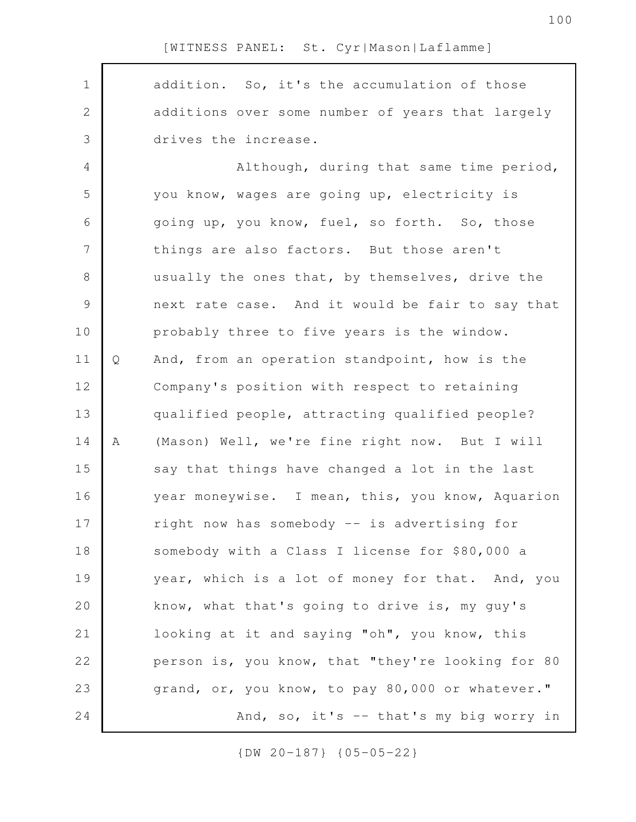addition. So, it's the accumulation of those additions over some number of years that largely drives the increase. Although, during that same time period, you know, wages are going up, electricity is going up, you know, fuel, so forth. So, those things are also factors. But those aren't usually the ones that, by themselves, drive the next rate case. And it would be fair to say that probably three to five years is the window. Q And, from an operation standpoint, how is the Company's position with respect to retaining qualified people, attracting qualified people? A (Mason) Well, we're fine right now. But I will say that things have changed a lot in the last year moneywise. I mean, this, you know, Aquarion right now has somebody -- is advertising for somebody with a Class I license for \$80,000 a year, which is a lot of money for that. And, you know, what that's going to drive is, my guy's looking at it and saying "oh", you know, this person is, you know, that "they're looking for 80 grand, or, you know, to pay 80,000 or whatever." And, so, it's -- that's my big worry in 1 2 3 4 5 6 7 8 9 10 11 12 13 14 15 16 17 18 19 20 21 22 23 24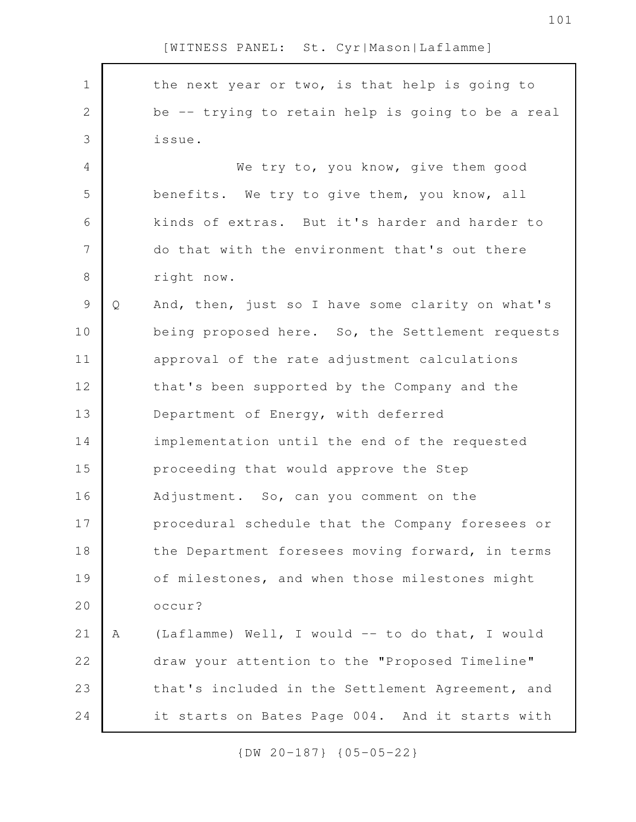| $\mathbf 1$    |   | the next year or two, is that help is going to    |
|----------------|---|---------------------------------------------------|
| $\overline{2}$ |   | be -- trying to retain help is going to be a real |
| 3              |   | issue.                                            |
| 4              |   | We try to, you know, give them good               |
| 5              |   | benefits. We try to give them, you know, all      |
| 6              |   | kinds of extras. But it's harder and harder to    |
| $\overline{7}$ |   | do that with the environment that's out there     |
| 8              |   | right now.                                        |
| 9              | Q | And, then, just so I have some clarity on what's  |
| 10             |   | being proposed here. So, the Settlement requests  |
| 11             |   | approval of the rate adjustment calculations      |
| 12             |   | that's been supported by the Company and the      |
| 13             |   | Department of Energy, with deferred               |
| 14             |   | implementation until the end of the requested     |
| 15             |   | proceeding that would approve the Step            |
| 16             |   | Adjustment. So, can you comment on the            |
| 17             |   | procedural schedule that the Company foresees or  |
| 18             |   | the Department foresees moving forward, in terms  |
| 19             |   | of milestones, and when those milestones might    |
| 20             |   | occur?                                            |
| 21             | Α | (Laflamme) Well, I would -- to do that, I would   |
| 22             |   | draw your attention to the "Proposed Timeline"    |
| 23             |   | that's included in the Settlement Agreement, and  |
| 24             |   | it starts on Bates Page 004. And it starts with   |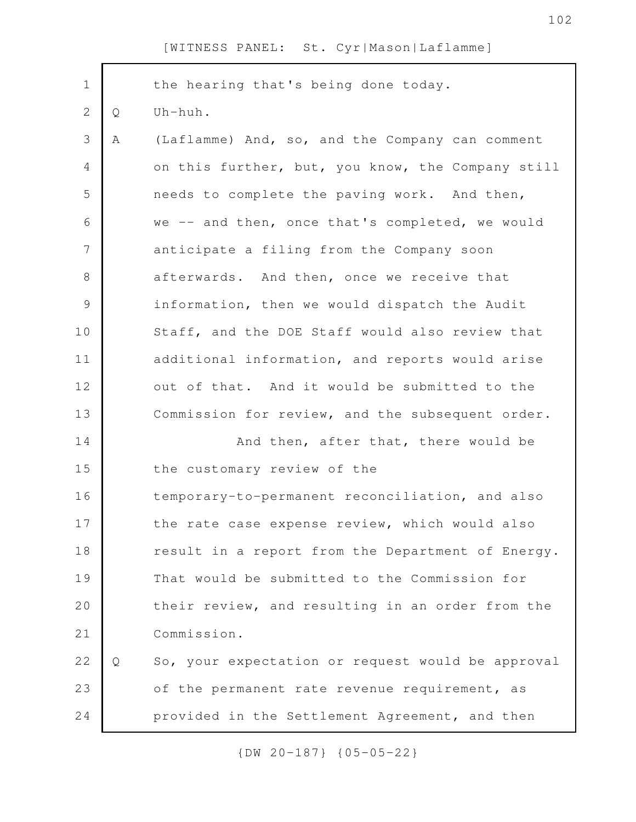| $\mathbf 1$   |   | the hearing that's being done today.              |
|---------------|---|---------------------------------------------------|
| $\mathbf{2}$  | Q | Uh-huh.                                           |
| 3             | Α | (Laflamme) And, so, and the Company can comment   |
| 4             |   | on this further, but, you know, the Company still |
| 5             |   | needs to complete the paving work. And then,      |
| 6             |   | we -- and then, once that's completed, we would   |
| 7             |   | anticipate a filing from the Company soon         |
| 8             |   | afterwards. And then, once we receive that        |
| $\mathcal{G}$ |   | information, then we would dispatch the Audit     |
| 10            |   | Staff, and the DOE Staff would also review that   |
| 11            |   | additional information, and reports would arise   |
| 12            |   | out of that. And it would be submitted to the     |
| 13            |   | Commission for review, and the subsequent order.  |
| 14            |   | And then, after that, there would be              |
| 15            |   | the customary review of the                       |
| 16            |   | temporary-to-permanent reconciliation, and also   |
| 17            |   | the rate case expense review, which would also    |
| 18            |   | result in a report from the Department of Energy. |
| 19            |   | That would be submitted to the Commission for     |
| 20            |   | their review, and resulting in an order from the  |
| 21            |   | Commission.                                       |
| 22            | Q | So, your expectation or request would be approval |
| 23            |   | of the permanent rate revenue requirement, as     |
| 24            |   | provided in the Settlement Agreement, and then    |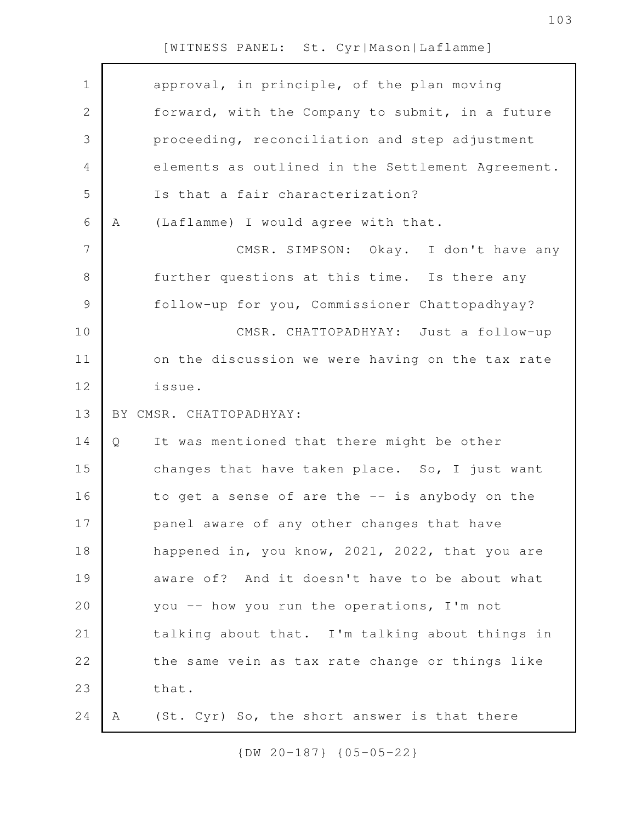| $\mathbf 1$    |   | approval, in principle, of the plan moving        |
|----------------|---|---------------------------------------------------|
| $\mathbf{2}$   |   | forward, with the Company to submit, in a future  |
| 3              |   | proceeding, reconciliation and step adjustment    |
| 4              |   | elements as outlined in the Settlement Agreement. |
| 5              |   | Is that a fair characterization?                  |
| 6              | A | (Laflamme) I would agree with that.               |
| $\overline{7}$ |   | CMSR. SIMPSON: Okay. I don't have any             |
| $8\,$          |   | further questions at this time. Is there any      |
| $\mathcal{G}$  |   | follow-up for you, Commissioner Chattopadhyay?    |
| 10             |   | CMSR. CHATTOPADHYAY: Just a follow-up             |
| 11             |   | on the discussion we were having on the tax rate  |
| 12             |   | issue.                                            |
| 13             |   | BY CMSR. CHATTOPADHYAY:                           |
| 14             | Q | It was mentioned that there might be other        |
| 15             |   | changes that have taken place. So, I just want    |
| 16             |   | to get a sense of are the -- is anybody on the    |
| 17             |   | panel aware of any other changes that have        |
| 18             |   | happened in, you know, 2021, 2022, that you are   |
| 19             |   | aware of? And it doesn't have to be about what    |
| 20             |   | you -- how you run the operations, I'm not        |
| 21             |   | talking about that. I'm talking about things in   |
| 22             |   | the same vein as tax rate change or things like   |
| 23             |   | that.                                             |
| 24             | А | (St. Cyr) So, the short answer is that there      |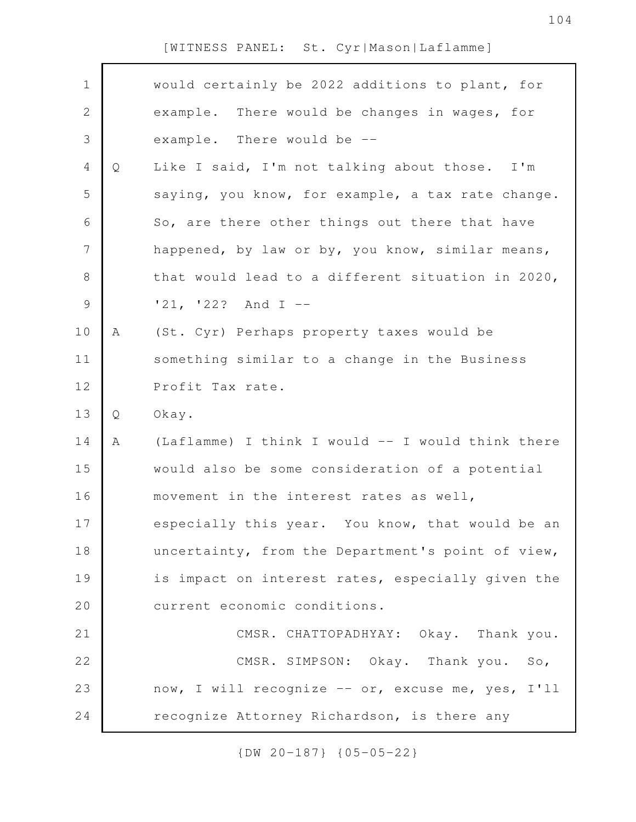| $\mathbf 1$    |   | would certainly be 2022 additions to plant, for   |
|----------------|---|---------------------------------------------------|
| $\mathbf{2}$   |   | example. There would be changes in wages, for     |
| 3              |   | example. There would be --                        |
| $\overline{4}$ | Q | Like I said, I'm not talking about those. I'm     |
| 5              |   | saying, you know, for example, a tax rate change. |
| 6              |   | So, are there other things out there that have    |
| 7              |   | happened, by law or by, you know, similar means,  |
| $8\,$          |   | that would lead to a different situation in 2020, |
| $\mathcal{G}$  |   | $'21, '22?$ And I --                              |
| 10             | Α | (St. Cyr) Perhaps property taxes would be         |
| 11             |   | something similar to a change in the Business     |
| 12             |   | Profit Tax rate.                                  |
|                |   |                                                   |
| 13             | Q | Okay.                                             |
| 14             | Α | (Laflamme) I think I would -- I would think there |
| 15             |   | would also be some consideration of a potential   |
| 16             |   | movement in the interest rates as well,           |
| 17             |   | especially this year. You know, that would be an  |
| 18             |   | uncertainty, from the Department's point of view, |
| 19             |   | is impact on interest rates, especially given the |
| 20             |   | current economic conditions.                      |
| 21             |   | CMSR. CHATTOPADHYAY: Okay. Thank you.             |
| 22             |   | CMSR. SIMPSON: Okay. Thank you. So,               |
| 23             |   | now, I will recognize -- or, excuse me, yes, I'll |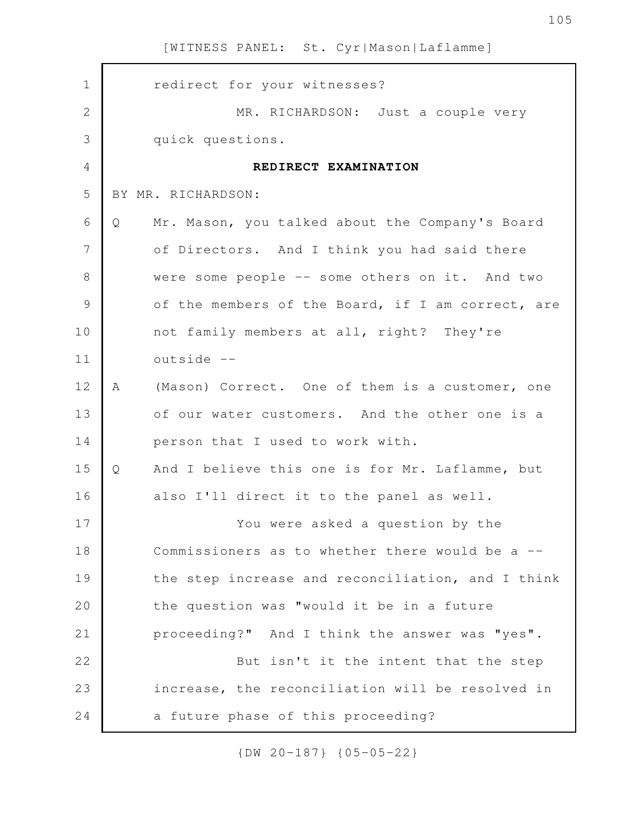| $\mathbf 1$   |   | redirect for your witnesses?                      |
|---------------|---|---------------------------------------------------|
| $\mathbf{2}$  |   | MR. RICHARDSON: Just a couple very                |
| 3             |   | quick questions.                                  |
| 4             |   | REDIRECT EXAMINATION                              |
| 5             |   | BY MR. RICHARDSON:                                |
| 6             | Q | Mr. Mason, you talked about the Company's Board   |
| 7             |   | of Directors. And I think you had said there      |
| 8             |   | were some people -- some others on it. And two    |
| $\mathcal{G}$ |   | of the members of the Board, if I am correct, are |
| 10            |   | not family members at all, right? They're         |
| 11            |   | outside --                                        |
| 12            | A | (Mason) Correct. One of them is a customer, one   |
| 13            |   | of our water customers. And the other one is a    |
| 14            |   | person that I used to work with.                  |
| 15            | Q | And I believe this one is for Mr. Laflamme, but   |
| 16            |   | also I'll direct it to the panel as well.         |
| 17            |   | You were asked a question by the                  |
| 18            |   | Commissioners as to whether there would be a --   |
| 19            |   | the step increase and reconciliation, and I think |
| 20            |   | the question was "would it be in a future         |
| 21            |   | proceeding?" And I think the answer was "yes".    |
| 22            |   | But isn't it the intent that the step             |
| 23            |   | increase, the reconciliation will be resolved in  |
| 24            |   | a future phase of this proceeding?                |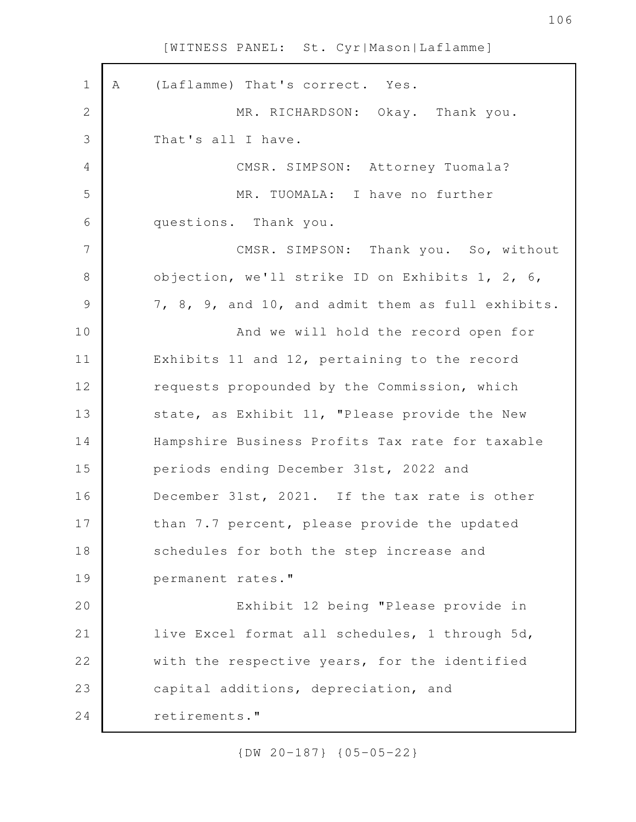| $\mathbf 1$   | Α | (Laflamme) That's correct. Yes.                   |
|---------------|---|---------------------------------------------------|
| $\mathbf{2}$  |   | MR. RICHARDSON: Okay. Thank you.                  |
| 3             |   | That's all I have.                                |
| 4             |   | CMSR. SIMPSON: Attorney Tuomala?                  |
| 5             |   | MR. TUOMALA: I have no further                    |
| 6             |   | questions. Thank you.                             |
| 7             |   | CMSR. SIMPSON: Thank you. So, without             |
| 8             |   | objection, we'll strike ID on Exhibits 1, 2, 6,   |
| $\mathcal{G}$ |   | 7, 8, 9, and 10, and admit them as full exhibits. |
| 10            |   | And we will hold the record open for              |
| 11            |   | Exhibits 11 and 12, pertaining to the record      |
| 12            |   | requests propounded by the Commission, which      |
| 13            |   | state, as Exhibit 11, "Please provide the New     |
| 14            |   | Hampshire Business Profits Tax rate for taxable   |
| 15            |   | periods ending December 31st, 2022 and            |
| 16            |   | December 31st, 2021. If the tax rate is other     |
| 17            |   | than 7.7 percent, please provide the updated      |
| 18            |   | schedules for both the step increase and          |
| 19            |   | permanent rates."                                 |
| 20            |   | Exhibit 12 being "Please provide in               |
| 21            |   | live Excel format all schedules, 1 through 5d,    |
| 22            |   | with the respective years, for the identified     |
| 23            |   | capital additions, depreciation, and              |
| 24            |   | retirements."                                     |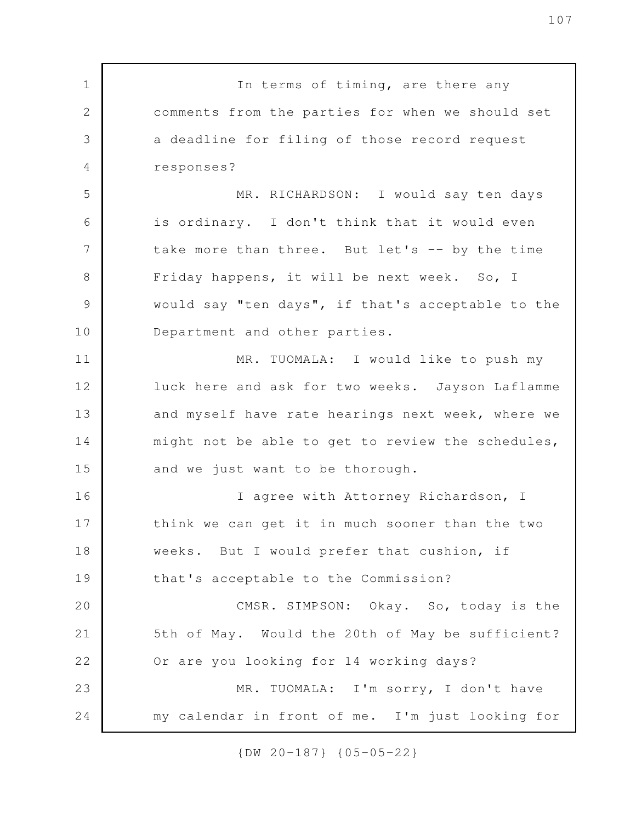In terms of timing, are there any comments from the parties for when we should set a deadline for filing of those record request responses? MR. RICHARDSON: I would say ten days is ordinary. I don't think that it would even take more than three. But let's -- by the time Friday happens, it will be next week. So, I would say "ten days", if that's acceptable to the Department and other parties. MR. TUOMALA: I would like to push my luck here and ask for two weeks. Jayson Laflamme and myself have rate hearings next week, where we might not be able to get to review the schedules, and we just want to be thorough. I agree with Attorney Richardson, I think we can get it in much sooner than the two weeks. But I would prefer that cushion, if that's acceptable to the Commission? CMSR. SIMPSON: Okay. So, today is the 5th of May. Would the 20th of May be sufficient? Or are you looking for 14 working days? MR. TUOMALA: I'm sorry, I don't have my calendar in front of me. I'm just looking for 1 2 3 4 5 6 7 8 9 10 11 12 13 14 15 16 17 18 19 20 21 22 23 24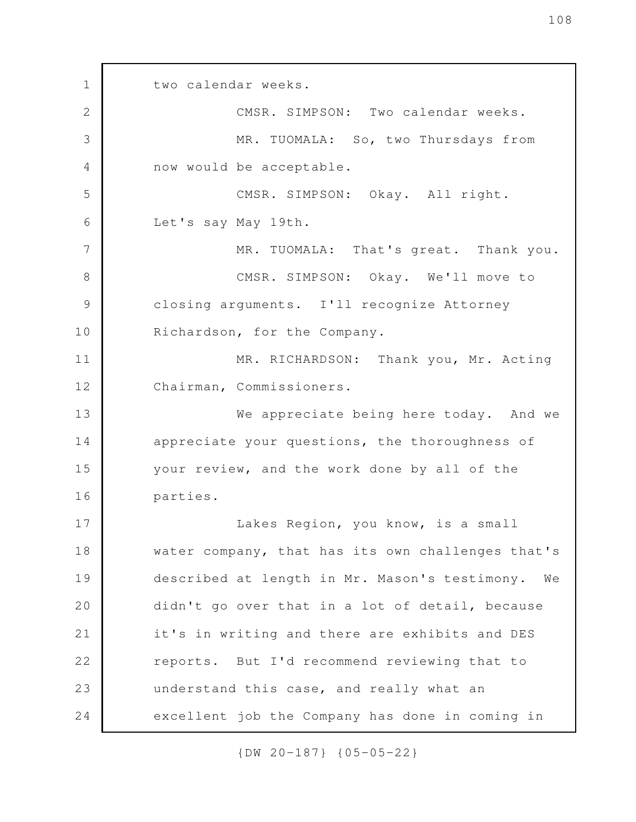two calendar weeks. CMSR. SIMPSON: Two calendar weeks. MR. TUOMALA: So, two Thursdays from now would be acceptable. CMSR. SIMPSON: Okay. All right. Let's say May 19th. MR. TUOMALA: That's great. Thank you. CMSR. SIMPSON: Okay. We'll move to closing arguments. I'll recognize Attorney Richardson, for the Company. MR. RICHARDSON: Thank you, Mr. Acting Chairman, Commissioners. We appreciate being here today. And we appreciate your questions, the thoroughness of your review, and the work done by all of the parties. Lakes Region, you know, is a small water company, that has its own challenges that's described at length in Mr. Mason's testimony. We didn't go over that in a lot of detail, because it's in writing and there are exhibits and DES reports. But I'd recommend reviewing that to understand this case, and really what an excellent job the Company has done in coming in 1 2 3 4 5 6 7 8 9 10 11 12 13 14 15 16 17 18 19 20 21 22 23 24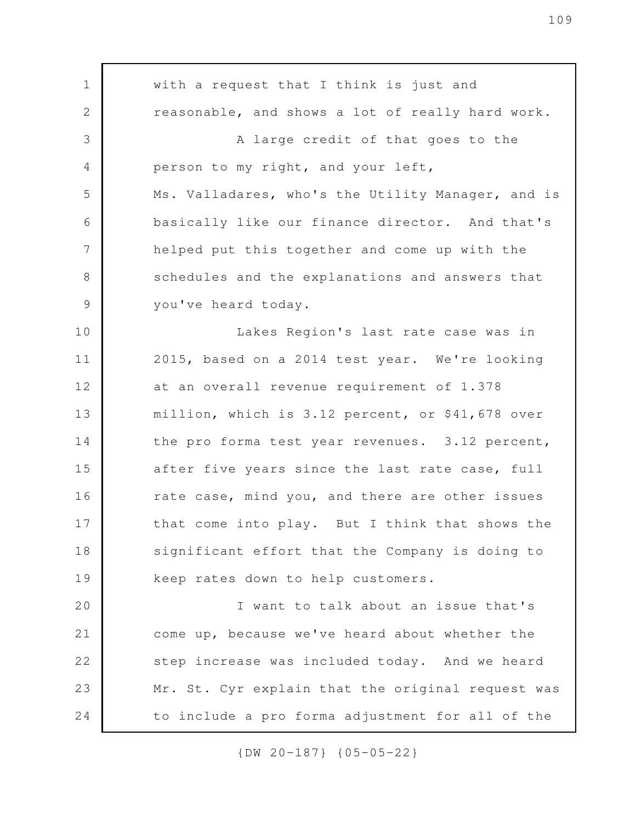with a request that I think is just and reasonable, and shows a lot of really hard work. A large credit of that goes to the person to my right, and your left, Ms. Valladares, who's the Utility Manager, and is basically like our finance director. And that's helped put this together and come up with the schedules and the explanations and answers that you've heard today. Lakes Region's last rate case was in 2015, based on a 2014 test year. We're looking at an overall revenue requirement of 1.378 million, which is 3.12 percent, or \$41,678 over the pro forma test year revenues. 3.12 percent, after five years since the last rate case, full rate case, mind you, and there are other issues that come into play. But I think that shows the significant effort that the Company is doing to keep rates down to help customers. I want to talk about an issue that's come up, because we've heard about whether the step increase was included today. And we heard Mr. St. Cyr explain that the original request was to include a pro forma adjustment for all of the 1 2 3 4 5 6 7 8 9 10 11 12 13 14 15 16 17 18 19 20 21 22 23 24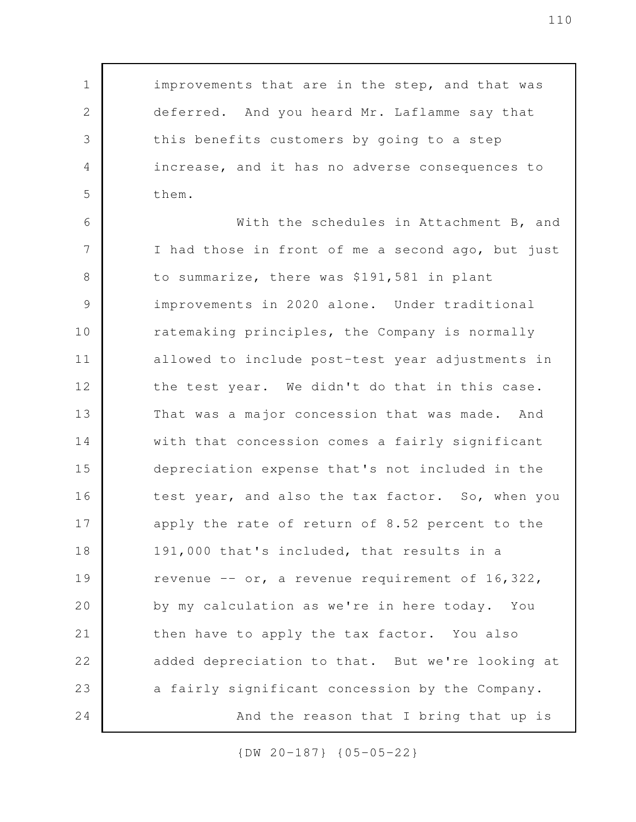improvements that are in the step, and that was deferred. And you heard Mr. Laflamme say that this benefits customers by going to a step increase, and it has no adverse consequences to them.

1

2

3

4

5

With the schedules in Attachment B, and I had those in front of me a second ago, but just to summarize, there was \$191,581 in plant improvements in 2020 alone. Under traditional ratemaking principles, the Company is normally allowed to include post-test year adjustments in the test year. We didn't do that in this case. That was a major concession that was made. And with that concession comes a fairly significant depreciation expense that's not included in the test year, and also the tax factor. So, when you apply the rate of return of 8.52 percent to the 191,000 that's included, that results in a revenue -- or, a revenue requirement of 16,322, by my calculation as we're in here today. You then have to apply the tax factor. You also added depreciation to that. But we're looking at a fairly significant concession by the Company. And the reason that I bring that up is 6 7 8 9 10 11 12 13 14 15 16 17 18 19 20 21 22 23 24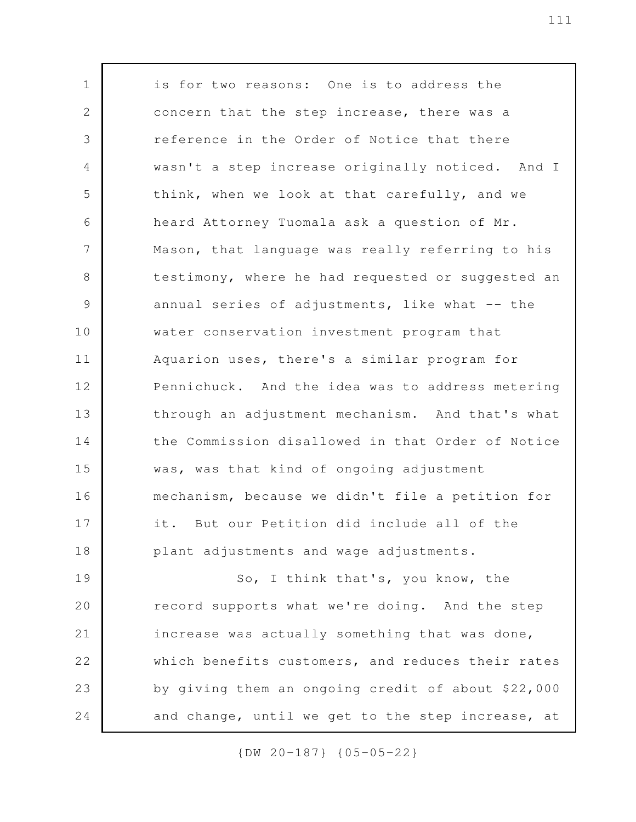is for two reasons: One is to address the concern that the step increase, there was a reference in the Order of Notice that there wasn't a step increase originally noticed. And I think, when we look at that carefully, and we heard Attorney Tuomala ask a question of Mr. Mason, that language was really referring to his testimony, where he had requested or suggested an annual series of adjustments, like what  $-$  the water conservation investment program that Aquarion uses, there's a similar program for Pennichuck. And the idea was to address metering through an adjustment mechanism. And that's what the Commission disallowed in that Order of Notice was, was that kind of ongoing adjustment mechanism, because we didn't file a petition for it. But our Petition did include all of the plant adjustments and wage adjustments. So, I think that's, you know, the record supports what we're doing. And the step increase was actually something that was done, which benefits customers, and reduces their rates by giving them an ongoing credit of about \$22,000 1 2 3 4 5 6 7 8 9 10 11 12 13 14 15 16 17 18 19 20 21 22 23

{DW 20-187} {05-05-22}

24

and change, until we get to the step increase, at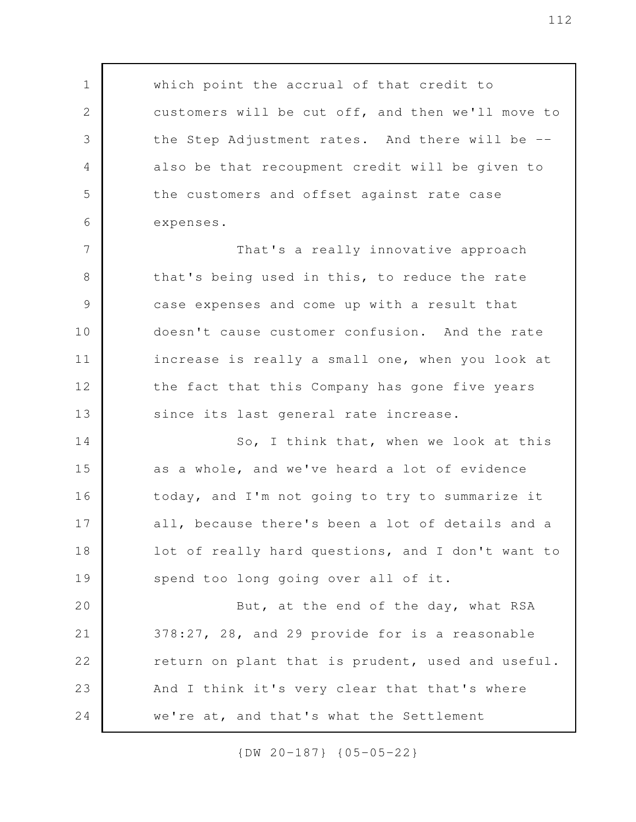which point the accrual of that credit to customers will be cut off, and then we'll move to the Step Adjustment rates. And there will be - also be that recoupment credit will be given to the customers and offset against rate case expenses. That's a really innovative approach that's being used in this, to reduce the rate case expenses and come up with a result that doesn't cause customer confusion. And the rate increase is really a small one, when you look at the fact that this Company has gone five years since its last general rate increase. So, I think that, when we look at this as a whole, and we've heard a lot of evidence today, and I'm not going to try to summarize it all, because there's been a lot of details and a lot of really hard questions, and I don't want to spend too long going over all of it. But, at the end of the day, what RSA 378:27, 28, and 29 provide for is a reasonable return on plant that is prudent, used and useful. And I think it's very clear that that's where we're at, and that's what the Settlement 1 2 3 4 5 6 7 8 9 10 11 12 13 14 15 16 17 18 19 20 21 22 23 24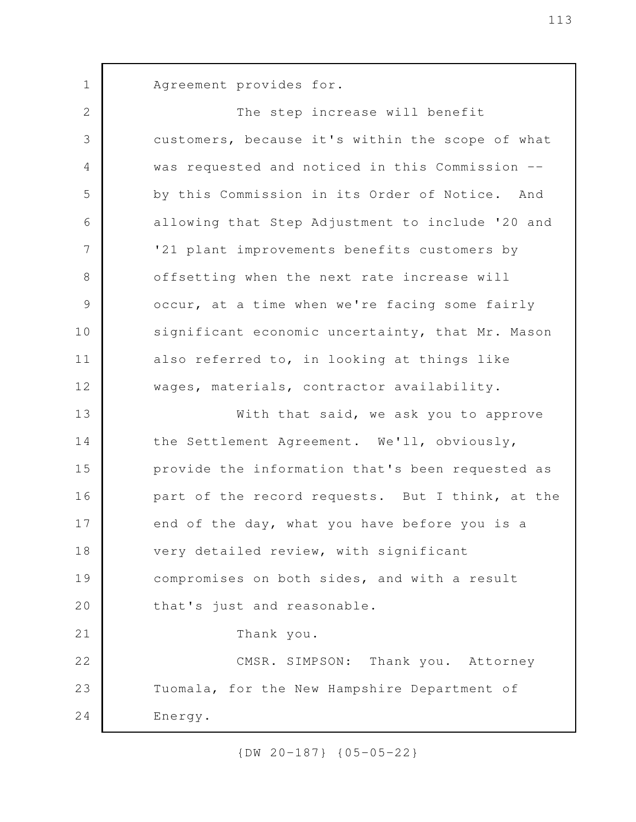Agreement provides for.

1

The step increase will benefit customers, because it's within the scope of what was requested and noticed in this Commission - by this Commission in its Order of Notice. And allowing that Step Adjustment to include '20 and '21 plant improvements benefits customers by offsetting when the next rate increase will occur, at a time when we're facing some fairly significant economic uncertainty, that Mr. Mason also referred to, in looking at things like wages, materials, contractor availability. With that said, we ask you to approve the Settlement Agreement. We'll, obviously, provide the information that's been requested as part of the record requests. But I think, at the end of the day, what you have before you is a very detailed review, with significant compromises on both sides, and with a result that's just and reasonable. Thank you. CMSR. SIMPSON: Thank you. Attorney Tuomala, for the New Hampshire Department of Energy. 2 3 4 5 6 7 8 9 10 11 12 13 14 15 16 17 18 19 20 21 22 23 24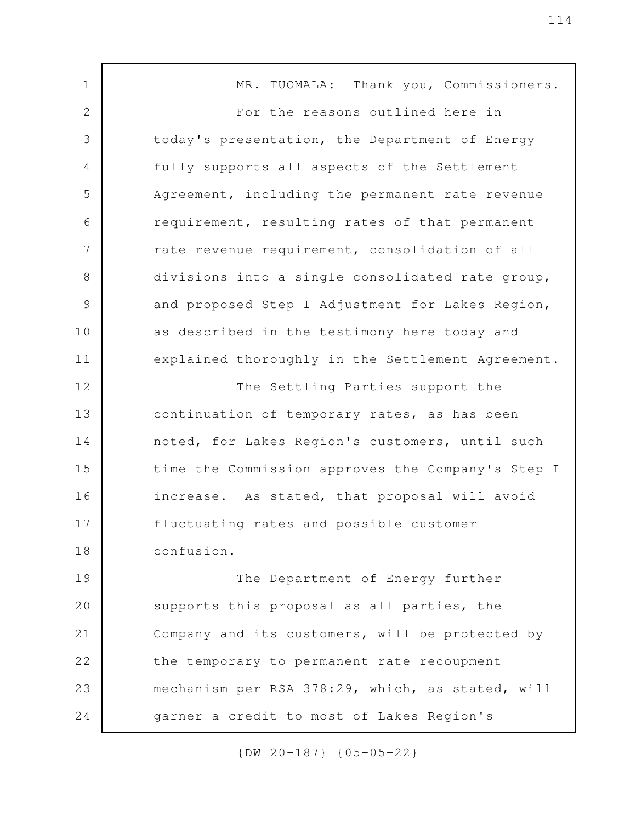MR. TUOMALA: Thank you, Commissioners. For the reasons outlined here in today's presentation, the Department of Energy fully supports all aspects of the Settlement Agreement, including the permanent rate revenue requirement, resulting rates of that permanent rate revenue requirement, consolidation of all divisions into a single consolidated rate group, and proposed Step I Adjustment for Lakes Region, as described in the testimony here today and explained thoroughly in the Settlement Agreement. The Settling Parties support the continuation of temporary rates, as has been noted, for Lakes Region's customers, until such time the Commission approves the Company's Step I increase. As stated, that proposal will avoid fluctuating rates and possible customer confusion. The Department of Energy further supports this proposal as all parties, the Company and its customers, will be protected by the temporary-to-permanent rate recoupment mechanism per RSA 378:29, which, as stated, will garner a credit to most of Lakes Region's 1 2 3 4 5 6 7 8 9 10 11 12 13 14 15 16 17 18 19 20 21 22 23 24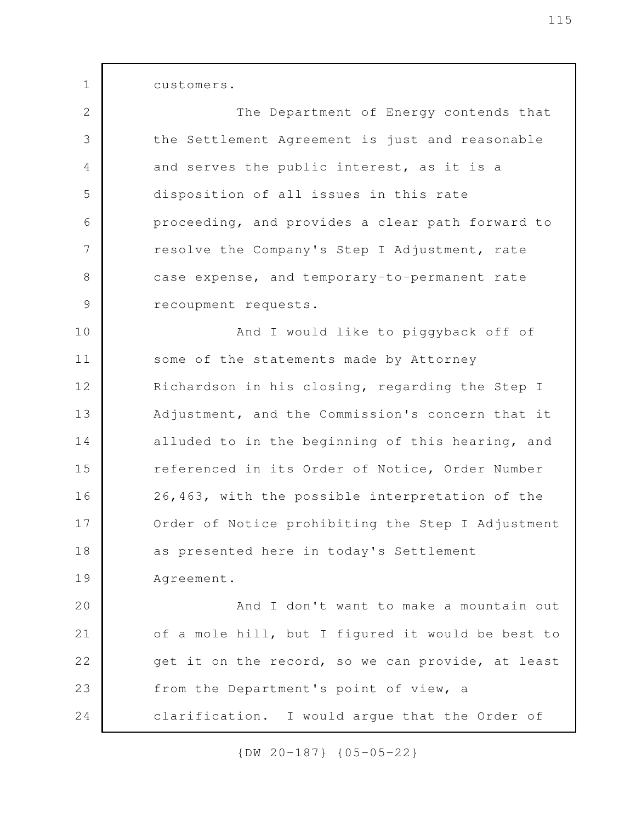customers.

1

The Department of Energy contends that the Settlement Agreement is just and reasonable and serves the public interest, as it is a disposition of all issues in this rate proceeding, and provides a clear path forward to resolve the Company's Step I Adjustment, rate case expense, and temporary-to-permanent rate recoupment requests. And I would like to piggyback off of some of the statements made by Attorney 2 3 4 5 6 7 8 9 10 11

Richardson in his closing, regarding the Step I Adjustment, and the Commission's concern that it alluded to in the beginning of this hearing, and referenced in its Order of Notice, Order Number 26,463, with the possible interpretation of the Order of Notice prohibiting the Step I Adjustment as presented here in today's Settlement Agreement. 12 13 14 15 16 17 18 19

And I don't want to make a mountain out of a mole hill, but I figured it would be best to get it on the record, so we can provide, at least from the Department's point of view, a clarification. I would argue that the Order of 20 21 22 23 24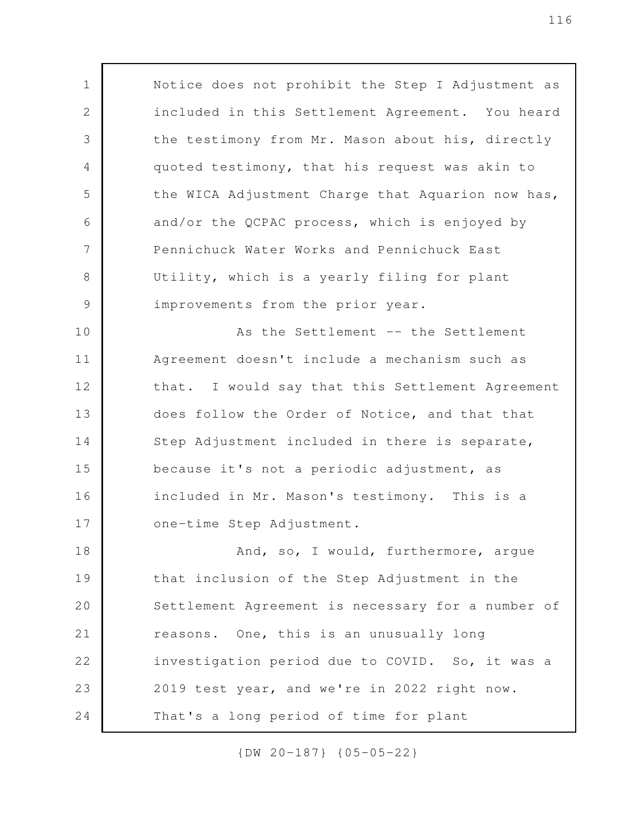Notice does not prohibit the Step I Adjustment as included in this Settlement Agreement. You heard the testimony from Mr. Mason about his, directly quoted testimony, that his request was akin to the WICA Adjustment Charge that Aquarion now has, and/or the QCPAC process, which is enjoyed by Pennichuck Water Works and Pennichuck East Utility, which is a yearly filing for plant improvements from the prior year. As the Settlement -- the Settlement Agreement doesn't include a mechanism such as that. I would say that this Settlement Agreement does follow the Order of Notice, and that that Step Adjustment included in there is separate, because it's not a periodic adjustment, as included in Mr. Mason's testimony. This is a one-time Step Adjustment. And, so, I would, furthermore, argue that inclusion of the Step Adjustment in the 1 2 3 4 5 6 7 8 9 10 11 12 13 14 15 16 17 18

Settlement Agreement is necessary for a number of reasons. One, this is an unusually long investigation period due to COVID. So, it was a 2019 test year, and we're in 2022 right now. That's a long period of time for plant 19 20 21 22 23 24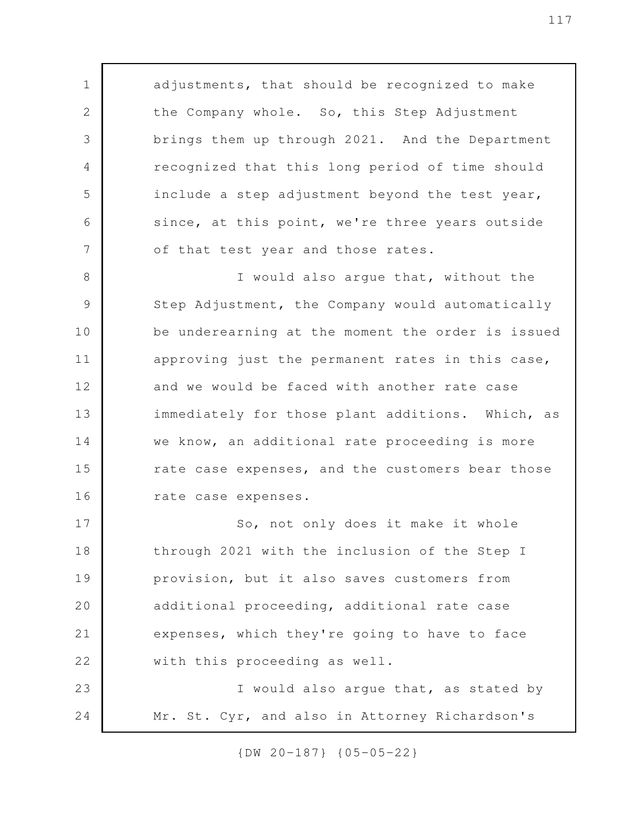adjustments, that should be recognized to make the Company whole. So, this Step Adjustment brings them up through 2021. And the Department recognized that this long period of time should include a step adjustment beyond the test year, since, at this point, we're three years outside of that test year and those rates.

1

2

3

4

5

6

7

I would also argue that, without the Step Adjustment, the Company would automatically be underearning at the moment the order is issued approving just the permanent rates in this case, and we would be faced with another rate case immediately for those plant additions. Which, as we know, an additional rate proceeding is more rate case expenses, and the customers bear those rate case expenses. 8 9 10 11 12 13 14 15 16

So, not only does it make it whole through 2021 with the inclusion of the Step I provision, but it also saves customers from additional proceeding, additional rate case expenses, which they're going to have to face with this proceeding as well. I would also argue that, as stated by Mr. St. Cyr, and also in Attorney Richardson's 17 18 19 20 21 22 23 24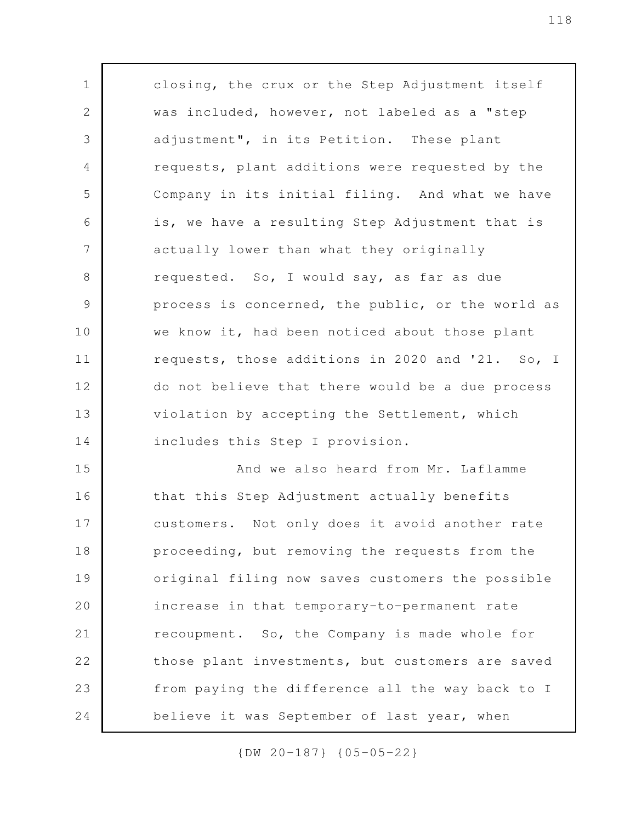closing, the crux or the Step Adjustment itself was included, however, not labeled as a "step adjustment", in its Petition. These plant requests, plant additions were requested by the Company in its initial filing. And what we have is, we have a resulting Step Adjustment that is actually lower than what they originally requested. So, I would say, as far as due process is concerned, the public, or the world as we know it, had been noticed about those plant requests, those additions in 2020 and '21. So, I do not believe that there would be a due process violation by accepting the Settlement, which includes this Step I provision. And we also heard from Mr. Laflamme that this Step Adjustment actually benefits customers. Not only does it avoid another rate proceeding, but removing the requests from the original filing now saves customers the possible increase in that temporary-to-permanent rate recoupment. So, the Company is made whole for those plant investments, but customers are saved from paying the difference all the way back to I believe it was September of last year, when 1 2 3 4 5 6 7 8 9 10 11 12 13 14 15 16 17 18 19 20 21 22 23 24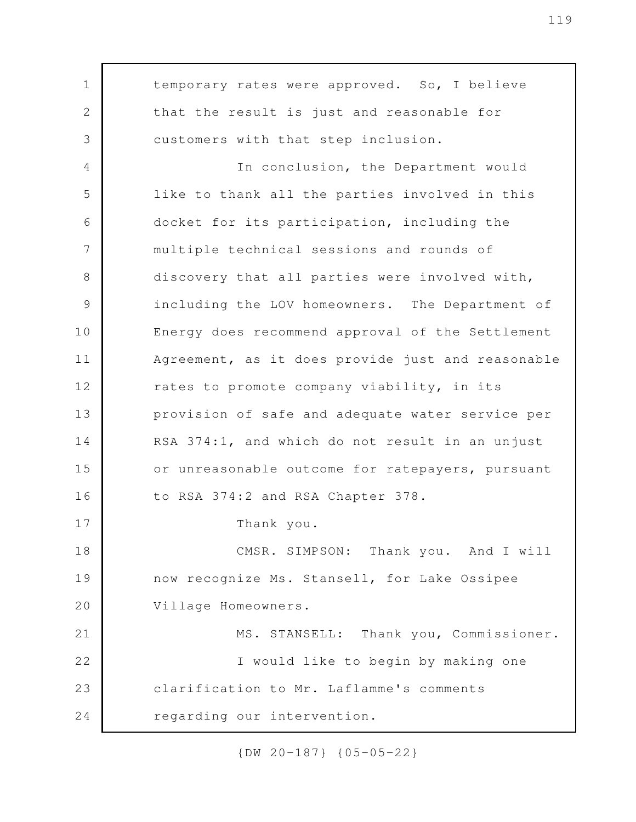temporary rates were approved. So, I believe that the result is just and reasonable for customers with that step inclusion. In conclusion, the Department would like to thank all the parties involved in this docket for its participation, including the multiple technical sessions and rounds of discovery that all parties were involved with, including the LOV homeowners. The Department of Energy does recommend approval of the Settlement Agreement, as it does provide just and reasonable rates to promote company viability, in its provision of safe and adequate water service per RSA 374:1, and which do not result in an unjust or unreasonable outcome for ratepayers, pursuant to RSA 374:2 and RSA Chapter 378. Thank you. CMSR. SIMPSON: Thank you. And I will now recognize Ms. Stansell, for Lake Ossipee Village Homeowners. MS. STANSELL: Thank you, Commissioner. I would like to begin by making one clarification to Mr. Laflamme's comments regarding our intervention. 1 2 3 4 5 6 7 8 9 10 11 12 13 14 15 16 17 18 19 20 21 22 23 24